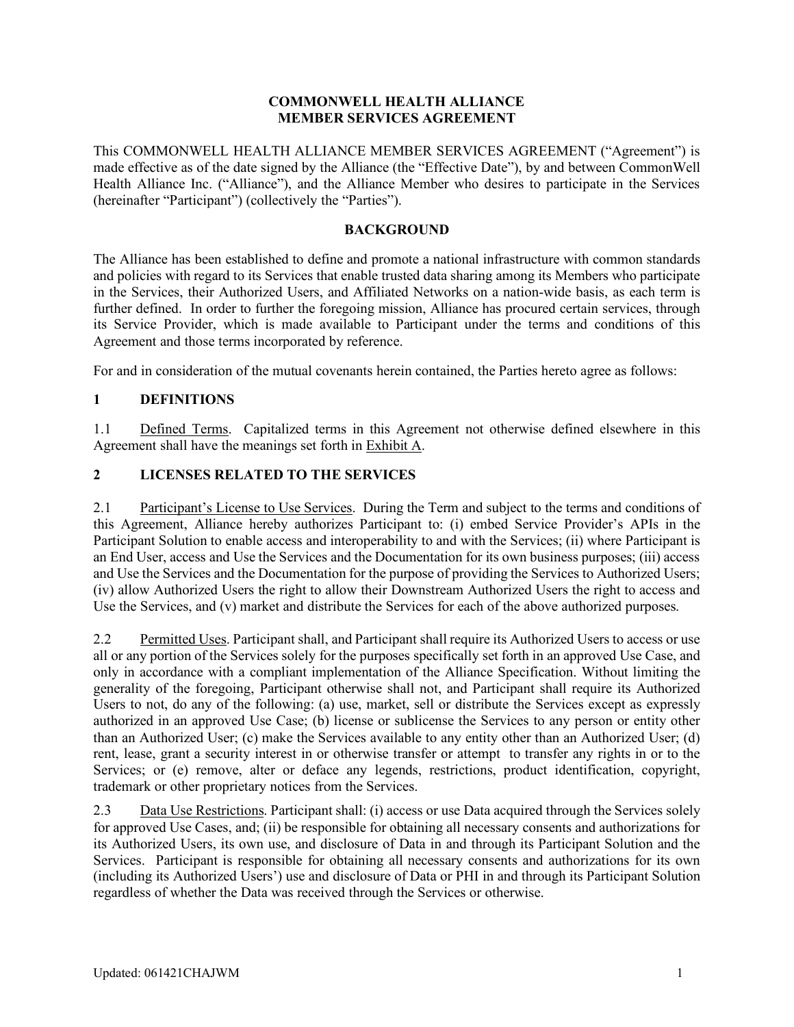#### **COMMONWELL HEALTH ALLIANCE MEMBER SERVICES AGREEMENT**

This COMMONWELL HEALTH ALLIANCE MEMBER SERVICES AGREEMENT ("Agreement") is made effective as of the date signed by the Alliance (the "Effective Date"), by and between CommonWell Health Alliance Inc. ("Alliance"), and the Alliance Member who desires to participate in the Services (hereinafter "Participant") (collectively the "Parties").

#### **BACKGROUND**

The Alliance has been established to define and promote a national infrastructure with common standards and policies with regard to its Services that enable trusted data sharing among its Members who participate in the Services, their Authorized Users, and Affiliated Networks on a nation-wide basis, as each term is further defined. In order to further the foregoing mission, Alliance has procured certain services, through its Service Provider, which is made available to Participant under the terms and conditions of this Agreement and those terms incorporated by reference.

For and in consideration of the mutual covenants herein contained, the Parties hereto agree as follows:

### **1 DEFINITIONS**

1.1 Defined Terms. Capitalized terms in this Agreement not otherwise defined elsewhere in this Agreement shall have the meanings set forth in Exhibit A.

### **2 LICENSES RELATED TO THE SERVICES**

2.1 Participant's License to Use Services. During the Term and subject to the terms and conditions of this Agreement, Alliance hereby authorizes Participant to: (i) embed Service Provider's APIs in the Participant Solution to enable access and interoperability to and with the Services; (ii) where Participant is an End User, access and Use the Services and the Documentation for its own business purposes; (iii) access and Use the Services and the Documentation for the purpose of providing the Services to Authorized Users; (iv) allow Authorized Users the right to allow their Downstream Authorized Users the right to access and Use the Services, and (v) market and distribute the Services for each of the above authorized purposes.

2.2 Permitted Uses. Participant shall, and Participant shall require its Authorized Users to access or use all or any portion of the Services solely for the purposes specifically set forth in an approved Use Case, and only in accordance with a compliant implementation of the Alliance Specification. Without limiting the generality of the foregoing, Participant otherwise shall not, and Participant shall require its Authorized Users to not, do any of the following: (a) use, market, sell or distribute the Services except as expressly authorized in an approved Use Case; (b) license or sublicense the Services to any person or entity other than an Authorized User; (c) make the Services available to any entity other than an Authorized User; (d) rent, lease, grant a security interest in or otherwise transfer or attempt to transfer any rights in or to the Services; or (e) remove, alter or deface any legends, restrictions, product identification, copyright, trademark or other proprietary notices from the Services.

2.3 Data Use Restrictions. Participant shall: (i) access or use Data acquired through the Services solely for approved Use Cases, and; (ii) be responsible for obtaining all necessary consents and authorizations for its Authorized Users, its own use, and disclosure of Data in and through its Participant Solution and the Services. Participant is responsible for obtaining all necessary consents and authorizations for its own (including its Authorized Users') use and disclosure of Data or PHI in and through its Participant Solution regardless of whether the Data was received through the Services or otherwise.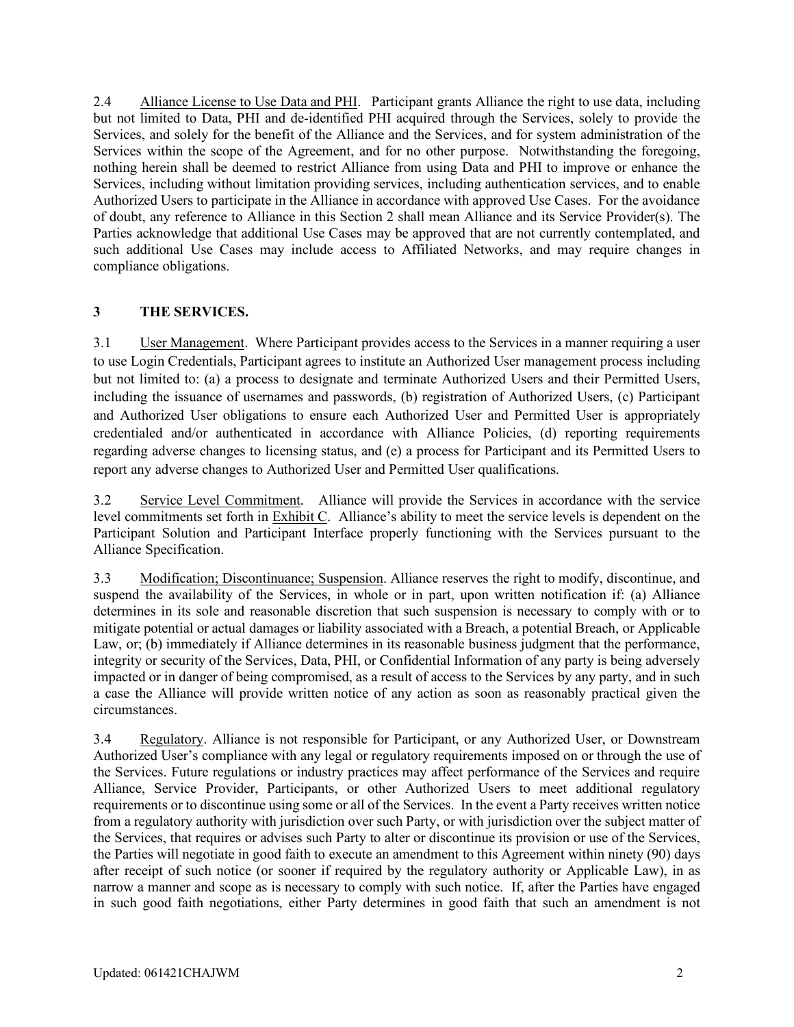2.4 Alliance License to Use Data and PHI. Participant grants Alliance the right to use data, including but not limited to Data, PHI and de-identified PHI acquired through the Services, solely to provide the Services, and solely for the benefit of the Alliance and the Services, and for system administration of the Services within the scope of the Agreement, and for no other purpose. Notwithstanding the foregoing, nothing herein shall be deemed to restrict Alliance from using Data and PHI to improve or enhance the Services, including without limitation providing services, including authentication services, and to enable Authorized Users to participate in the Alliance in accordance with approved Use Cases. For the avoidance of doubt, any reference to Alliance in this Section 2 shall mean Alliance and its Service Provider(s). The Parties acknowledge that additional Use Cases may be approved that are not currently contemplated, and such additional Use Cases may include access to Affiliated Networks, and may require changes in compliance obligations.

### **3 THE SERVICES.**

3.1 User Management. Where Participant provides access to the Services in a manner requiring a user to use Login Credentials, Participant agrees to institute an Authorized User management process including but not limited to: (a) a process to designate and terminate Authorized Users and their Permitted Users, including the issuance of usernames and passwords, (b) registration of Authorized Users, (c) Participant and Authorized User obligations to ensure each Authorized User and Permitted User is appropriately credentialed and/or authenticated in accordance with Alliance Policies, (d) reporting requirements regarding adverse changes to licensing status, and (e) a process for Participant and its Permitted Users to report any adverse changes to Authorized User and Permitted User qualifications.

3.2 Service Level Commitment. Alliance will provide the Services in accordance with the service level commitments set forth in Exhibit C. Alliance's ability to meet the service levels is dependent on the Participant Solution and Participant Interface properly functioning with the Services pursuant to the Alliance Specification.

3.3 Modification; Discontinuance; Suspension. Alliance reserves the right to modify, discontinue, and suspend the availability of the Services, in whole or in part, upon written notification if: (a) Alliance determines in its sole and reasonable discretion that such suspension is necessary to comply with or to mitigate potential or actual damages or liability associated with a Breach, a potential Breach, or Applicable Law, or; (b) immediately if Alliance determines in its reasonable business judgment that the performance, integrity or security of the Services, Data, PHI, or Confidential Information of any party is being adversely impacted or in danger of being compromised, as a result of access to the Services by any party, and in such a case the Alliance will provide written notice of any action as soon as reasonably practical given the circumstances.

3.4 Regulatory. Alliance is not responsible for Participant, or any Authorized User, or Downstream Authorized User's compliance with any legal or regulatory requirements imposed on or through the use of the Services. Future regulations or industry practices may affect performance of the Services and require Alliance, Service Provider, Participants, or other Authorized Users to meet additional regulatory requirements or to discontinue using some or all of the Services. In the event a Party receives written notice from a regulatory authority with jurisdiction over such Party, or with jurisdiction over the subject matter of the Services, that requires or advises such Party to alter or discontinue its provision or use of the Services, the Parties will negotiate in good faith to execute an amendment to this Agreement within ninety (90) days after receipt of such notice (or sooner if required by the regulatory authority or Applicable Law), in as narrow a manner and scope as is necessary to comply with such notice. If, after the Parties have engaged in such good faith negotiations, either Party determines in good faith that such an amendment is not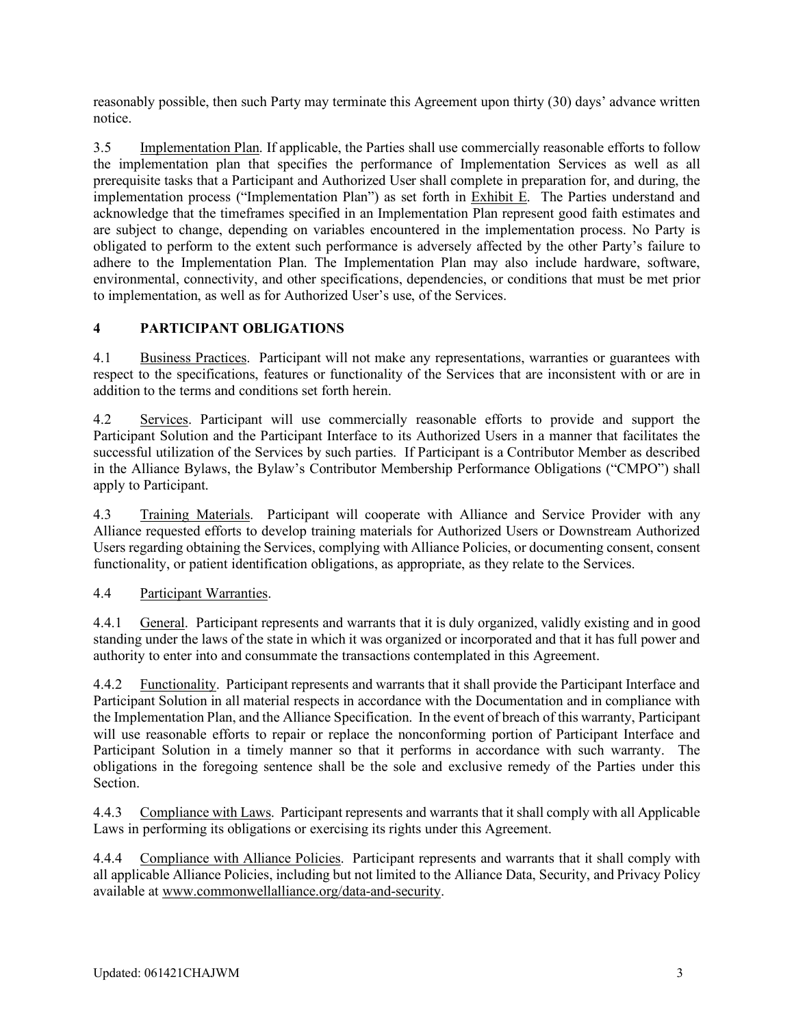reasonably possible, then such Party may terminate this Agreement upon thirty (30) days' advance written notice.

3.5 Implementation Plan. If applicable, the Parties shall use commercially reasonable efforts to follow the implementation plan that specifies the performance of Implementation Services as well as all prerequisite tasks that a Participant and Authorized User shall complete in preparation for, and during, the implementation process ("Implementation Plan") as set forth in Exhibit E. The Parties understand and acknowledge that the timeframes specified in an Implementation Plan represent good faith estimates and are subject to change, depending on variables encountered in the implementation process. No Party is obligated to perform to the extent such performance is adversely affected by the other Party's failure to adhere to the Implementation Plan. The Implementation Plan may also include hardware, software, environmental, connectivity, and other specifications, dependencies, or conditions that must be met prior to implementation, as well as for Authorized User's use, of the Services.

### **4 PARTICIPANT OBLIGATIONS**

4.1 Business Practices. Participant will not make any representations, warranties or guarantees with respect to the specifications, features or functionality of the Services that are inconsistent with or are in addition to the terms and conditions set forth herein.

4.2 Services. Participant will use commercially reasonable efforts to provide and support the Participant Solution and the Participant Interface to its Authorized Users in a manner that facilitates the successful utilization of the Services by such parties. If Participant is a Contributor Member as described in the Alliance Bylaws, the Bylaw's Contributor Membership Performance Obligations ("CMPO") shall apply to Participant.

4.3 Training Materials. Participant will cooperate with Alliance and Service Provider with any Alliance requested efforts to develop training materials for Authorized Users or Downstream Authorized Users regarding obtaining the Services, complying with Alliance Policies, or documenting consent, consent functionality, or patient identification obligations, as appropriate, as they relate to the Services.

4.4 Participant Warranties.

4.4.1 General. Participant represents and warrants that it is duly organized, validly existing and in good standing under the laws of the state in which it was organized or incorporated and that it has full power and authority to enter into and consummate the transactions contemplated in this Agreement.

4.4.2 Eunctionality. Participant represents and warrants that it shall provide the Participant Interface and Participant Solution in all material respects in accordance with the Documentation and in compliance with the Implementation Plan, and the Alliance Specification. In the event of breach of this warranty, Participant will use reasonable efforts to repair or replace the nonconforming portion of Participant Interface and Participant Solution in a timely manner so that it performs in accordance with such warranty. The obligations in the foregoing sentence shall be the sole and exclusive remedy of the Parties under this Section.

4.4.3 Compliance with Laws. Participant represents and warrants that it shall comply with all Applicable Laws in performing its obligations or exercising its rights under this Agreement.

4.4.4 Compliance with Alliance Policies. Participant represents and warrants that it shall comply with all applicable Alliance Policies, including but not limited to the Alliance Data, Security, and Privacy Policy available at [www.commonwellalliance.org/data-and-security.](http://www.commonwellalliance.org/data-and-security)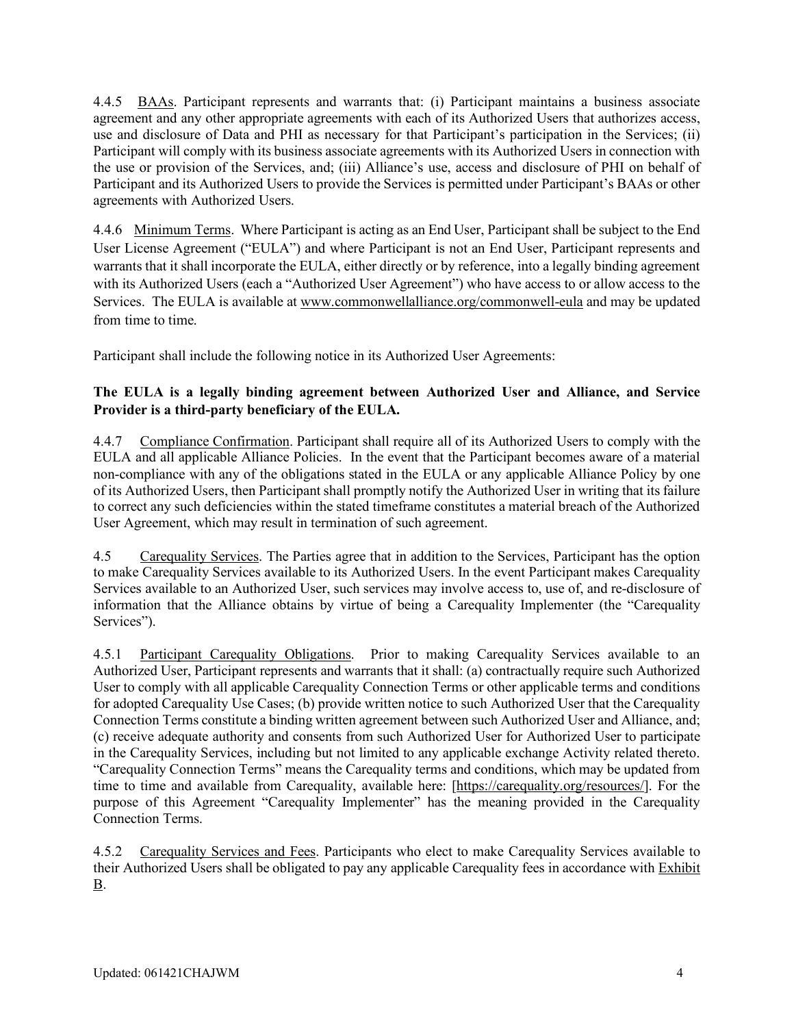4.4.5 BAAs. Participant represents and warrants that: (i) Participant maintains a business associate agreement and any other appropriate agreements with each of its Authorized Users that authorizes access, use and disclosure of Data and PHI as necessary for that Participant's participation in the Services; (ii) Participant will comply with its business associate agreements with its Authorized Users in connection with the use or provision of the Services, and; (iii) Alliance's use, access and disclosure of PHI on behalf of Participant and its Authorized Users to provide the Services is permitted under Participant's BAAs or other agreements with Authorized Users.

4.4.6 Minimum Terms. Where Participant is acting as an End User, Participant shall be subject to the End User License Agreement ("EULA") and where Participant is not an End User, Participant represents and warrants that it shall incorporate the EULA, either directly or by reference, into a legally binding agreement with its Authorized Users (each a "Authorized User Agreement") who have access to or allow access to the Services. The EULA is available a[t www.commonwellalliance.org/commonwell-eula](https://www.commonwellalliance.org/commonwell-eula/) and may be updated from time to time.

Participant shall include the following notice in its Authorized User Agreements:

## **The EULA is a legally binding agreement between Authorized User and Alliance, and Service Provider is a third-party beneficiary of the EULA.**

4.4.7 Compliance Confirmation. Participant shall require all of its Authorized Users to comply with the EULA and all applicable Alliance Policies. In the event that the Participant becomes aware of a material non-compliance with any of the obligations stated in the EULA or any applicable Alliance Policy by one of its Authorized Users, then Participant shall promptly notify the Authorized User in writing that its failure to correct any such deficiencies within the stated timeframe constitutes a material breach of the Authorized User Agreement, which may result in termination of such agreement.

4.5 Carequality Services. The Parties agree that in addition to the Services, Participant has the option to make Carequality Services available to its Authorized Users. In the event Participant makes Carequality Services available to an Authorized User, such services may involve access to, use of, and re-disclosure of information that the Alliance obtains by virtue of being a Carequality Implementer (the "Carequality Services").

4.5.1 Participant Carequality Obligations. Prior to making Carequality Services available to an Authorized User, Participant represents and warrants that it shall: (a) contractually require such Authorized User to comply with all applicable Carequality Connection Terms or other applicable terms and conditions for adopted Carequality Use Cases; (b) provide written notice to such Authorized User that the Carequality Connection Terms constitute a binding written agreement between such Authorized User and Alliance, and; (c) receive adequate authority and consents from such Authorized User for Authorized User to participate in the Carequality Services, including but not limited to any applicable exchange Activity related thereto. "Carequality Connection Terms" means the Carequality terms and conditions, which may be updated from time to time and available from Carequality, available here: [\[https://carequality.org/resources/\]](https://carequality.org/resources/). For the purpose of this Agreement "Carequality Implementer" has the meaning provided in the Carequality Connection Terms.

4.5.2 Carequality Services and Fees. Participants who elect to make Carequality Services available to their Authorized Users shall be obligated to pay any applicable Carequality fees in accordance with Exhibit B.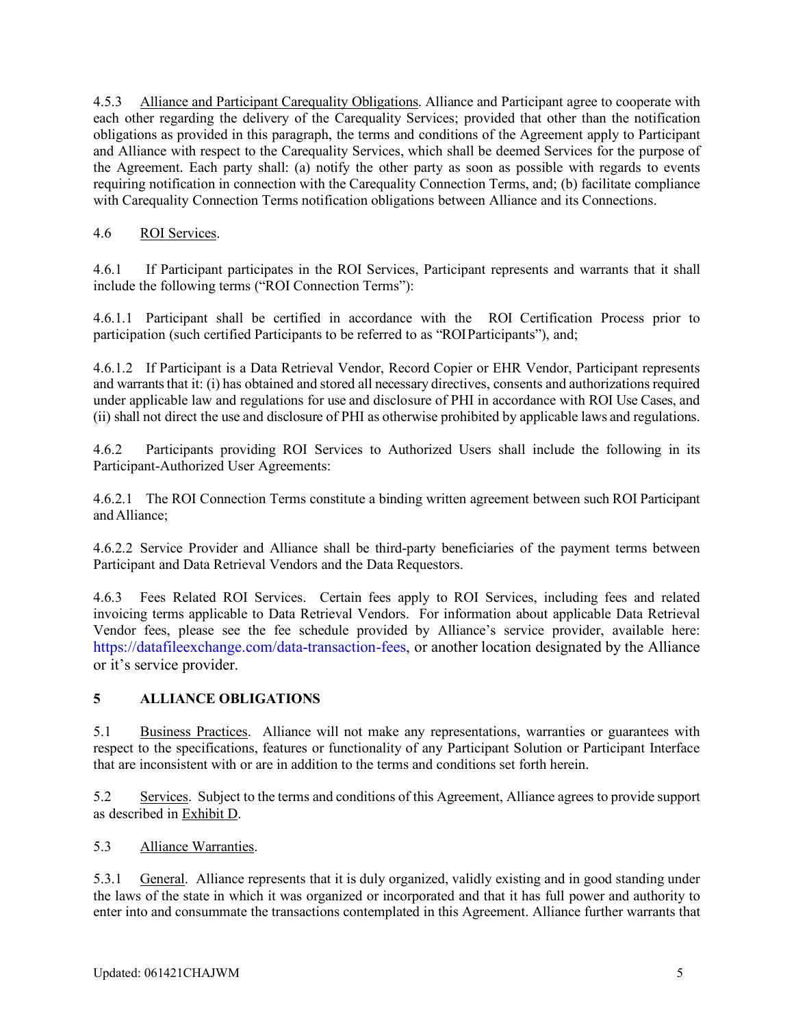4.5.3 Alliance and Participant Carequality Obligations. Alliance and Participant agree to cooperate with each other regarding the delivery of the Carequality Services; provided that other than the notification obligations as provided in this paragraph, the terms and conditions of the Agreement apply to Participant and Alliance with respect to the Carequality Services, which shall be deemed Services for the purpose of the Agreement. Each party shall: (a) notify the other party as soon as possible with regards to events requiring notification in connection with the Carequality Connection Terms, and; (b) facilitate compliance with Carequality Connection Terms notification obligations between Alliance and its Connections.

## 4.6 ROI Services.

4.6.1 If Participant participates in the ROI Services, Participant represents and warrants that it shall include the following terms ("ROI Connection Terms"):

4.6.1.1 Participant shall be certified in accordance with the ROI Certification Process prior to participation (such certified Participants to be referred to as "ROIParticipants"), and;

4.6.1.2 If Participant is a Data Retrieval Vendor, Record Copier or EHR Vendor, Participant represents and warrants that it: (i) has obtained and stored all necessary directives, consents and authorizations required under applicable law and regulations for use and disclosure of PHI in accordance with ROI Use Cases, and (ii) shall not direct the use and disclosure of PHI as otherwise prohibited by applicable laws and regulations.

4.6.2 Participants providing ROI Services to Authorized Users shall include the following in its Participant-Authorized User Agreements:

4.6.2.1 The ROI Connection Terms constitute a binding written agreement between such ROI Participant andAlliance;

4.6.2.2 Service Provider and Alliance shall be third-party beneficiaries of the payment terms between Participant and Data Retrieval Vendors and the Data Requestors.

4.6.3 Fees Related ROI Services. Certain fees apply to ROI Services, including fees and related invoicing terms applicable to Data Retrieval Vendors. For information about applicable Data Retrieval Vendor fees, please see the fee schedule provided by Alliance's service provider, available here: [https://datafileexchange.com/data-transaction-fees,](https://datafileexchange.com/data-transaction-fees) or another location designated by the Alliance or it's service provider.

## **5 ALLIANCE OBLIGATIONS**

5.1 Business Practices. Alliance will not make any representations, warranties or guarantees with respect to the specifications, features or functionality of any Participant Solution or Participant Interface that are inconsistent with or are in addition to the terms and conditions set forth herein.

5.2 Services. Subject to the terms and conditions of this Agreement, Alliance agrees to provide support as described in Exhibit D.

5.3 Alliance Warranties.

5.3.1 General. Alliance represents that it is duly organized, validly existing and in good standing under the laws of the state in which it was organized or incorporated and that it has full power and authority to enter into and consummate the transactions contemplated in this Agreement. Alliance further warrants that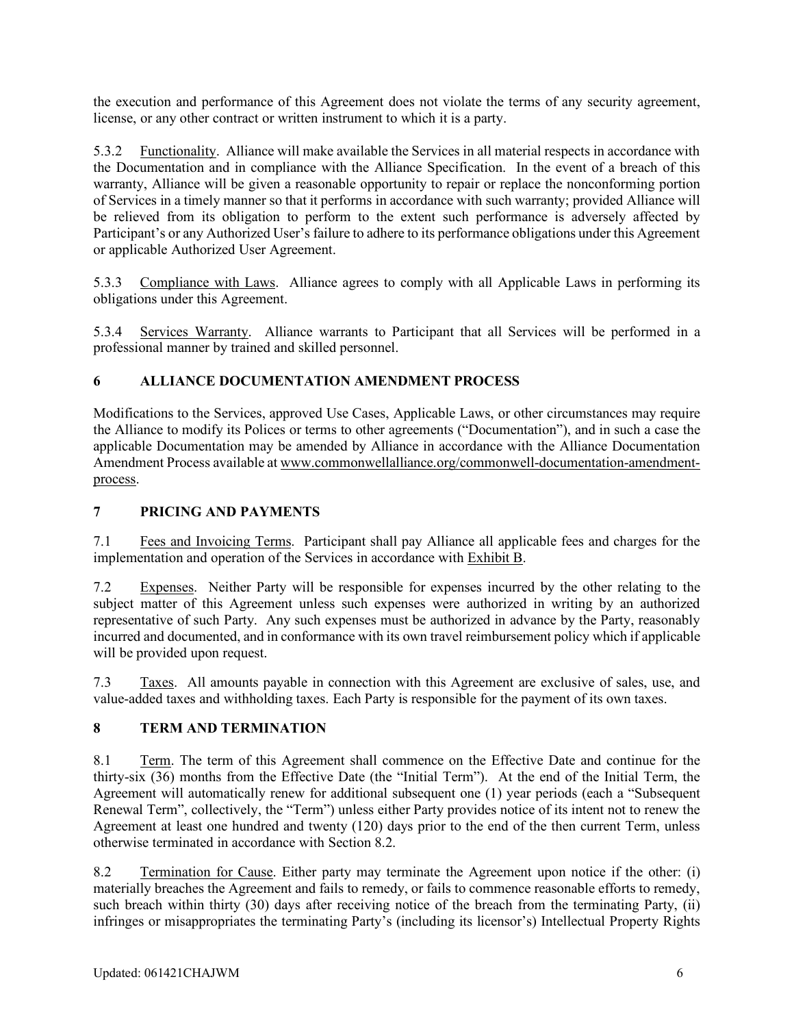the execution and performance of this Agreement does not violate the terms of any security agreement, license, or any other contract or written instrument to which it is a party.

5.3.2 Functionality. Alliance will make available the Services in all material respects in accordance with the Documentation and in compliance with the Alliance Specification. In the event of a breach of this warranty, Alliance will be given a reasonable opportunity to repair or replace the nonconforming portion of Services in a timely manner so that it performs in accordance with such warranty; provided Alliance will be relieved from its obligation to perform to the extent such performance is adversely affected by Participant's or any Authorized User's failure to adhere to its performance obligations under this Agreement or applicable Authorized User Agreement.

5.3.3 Compliance with Laws. Alliance agrees to comply with all Applicable Laws in performing its obligations under this Agreement.

5.3.4 Services Warranty. Alliance warrants to Participant that all Services will be performed in a professional manner by trained and skilled personnel.

### **6 ALLIANCE DOCUMENTATION AMENDMENT PROCESS**

Modifications to the Services, approved Use Cases, Applicable Laws, or other circumstances may require the Alliance to modify its Polices or terms to other agreements ("Documentation"), and in such a case the applicable Documentation may be amended by Alliance in accordance with the Alliance Documentation Amendment Process available a[t www.commonwellalliance.org/commonwell-documentation-amendment](https://www.commonwellalliance.org/commonwell-documentation-amendment-process/)[process.](https://www.commonwellalliance.org/commonwell-documentation-amendment-process/)

#### **7 PRICING AND PAYMENTS**

7.1 Fees and Invoicing Terms. Participant shall pay Alliance all applicable fees and charges for the implementation and operation of the Services in accordance with Exhibit B.

7.2 Expenses. Neither Party will be responsible for expenses incurred by the other relating to the subject matter of this Agreement unless such expenses were authorized in writing by an authorized representative of such Party. Any such expenses must be authorized in advance by the Party, reasonably incurred and documented, and in conformance with its own travel reimbursement policy which if applicable will be provided upon request.

7.3 Taxes. All amounts payable in connection with this Agreement are exclusive of sales, use, and value-added taxes and withholding taxes. Each Party is responsible for the payment of its own taxes.

## **8 TERM AND TERMINATION**

8.1 Term. The term of this Agreement shall commence on the Effective Date and continue for the thirty-six (36) months from the Effective Date (the "Initial Term"). At the end of the Initial Term, the Agreement will automatically renew for additional subsequent one (1) year periods (each a "Subsequent Renewal Term", collectively, the "Term") unless either Party provides notice of its intent not to renew the Agreement at least one hundred and twenty (120) days prior to the end of the then current Term, unless otherwise terminated in accordance with Section 8.2.

8.2 Termination for Cause. Either party may terminate the Agreement upon notice if the other: (i) materially breaches the Agreement and fails to remedy, or fails to commence reasonable efforts to remedy, such breach within thirty (30) days after receiving notice of the breach from the terminating Party, (ii) infringes or misappropriates the terminating Party's (including its licensor's) Intellectual Property Rights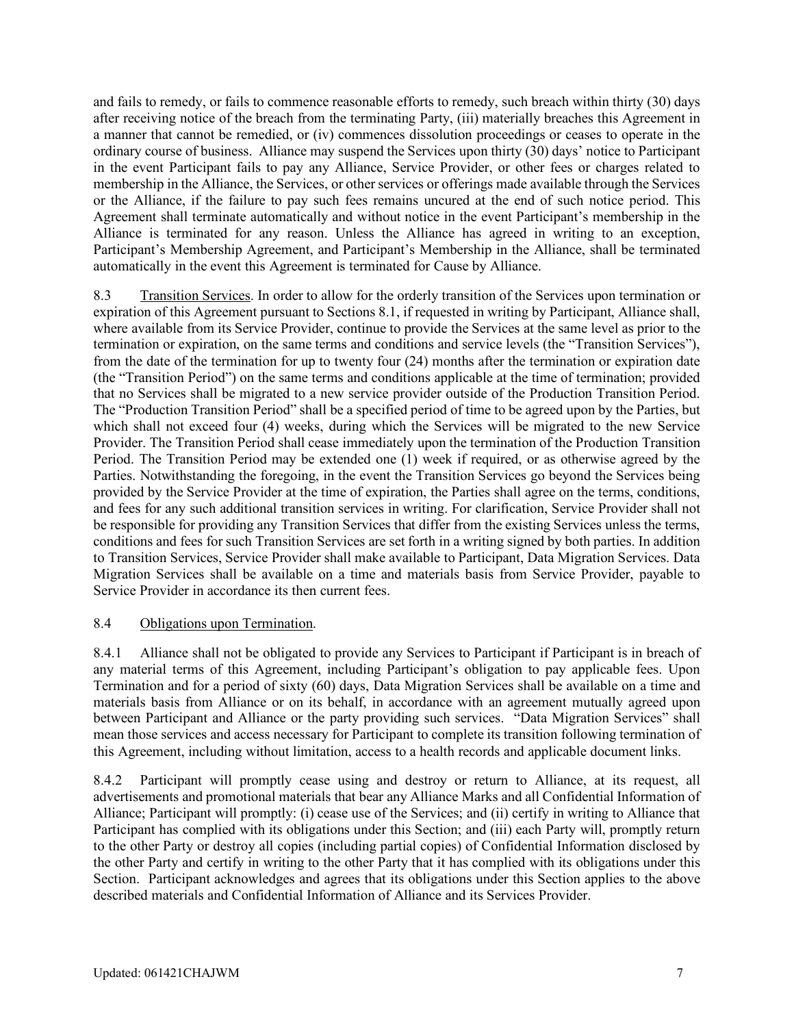and fails to remedy, or fails to commence reasonable efforts to remedy, such breach within thirty (30) days after receiving notice of the breach from the terminating Party, (iii) materially breaches this Agreement in a manner that cannot be remedied, or (iv) commences dissolution proceedings or ceases to operate in the ordinary course of business. Alliance may suspend the Services upon thirty (30) days' notice to Participant in the event Participant fails to pay any Alliance, Service Provider, or other fees or charges related to membership in the Alliance, the Services, or other services or offerings made available through the Services or the Alliance, if the failure to pay such fees remains uncured at the end of such notice period. This Agreement shall terminate automatically and without notice in the event Participant's membership in the Alliance is terminated for any reason. Unless the Alliance has agreed in writing to an exception, Participant's Membership Agreement, and Participant's Membership in the Alliance, shall be terminated automatically in the event this Agreement is terminated for Cause by Alliance.

8.3 Transition Services. In order to allow for the orderly transition of the Services upon termination or expiration of this Agreement pursuant to Sections 8.1, if requested in writing by Participant, Alliance shall, where available from its Service Provider, continue to provide the Services at the same level as prior to the termination or expiration, on the same terms and conditions and service levels (the "Transition Services"), from the date of the termination for up to twenty four (24) months after the termination or expiration date (the "Transition Period") on the same terms and conditions applicable at the time of termination; provided that no Services shall be migrated to a new service provider outside of the Production Transition Period. The "Production Transition Period" shall be a specified period of time to be agreed upon by the Parties, but which shall not exceed four (4) weeks, during which the Services will be migrated to the new Service Provider. The Transition Period shall cease immediately upon the termination of the Production Transition Period. The Transition Period may be extended one (1) week if required, or as otherwise agreed by the Parties. Notwithstanding the foregoing, in the event the Transition Services go beyond the Services being provided by the Service Provider at the time of expiration, the Parties shall agree on the terms, conditions, and fees for any such additional transition services in writing. For clarification, Service Provider shall not be responsible for providing any Transition Services that differ from the existing Services unless the terms, conditions and fees for such Transition Services are set forth in a writing signed by both parties. In addition to Transition Services, Service Provider shall make available to Participant, Data Migration Services. Data Migration Services shall be available on a time and materials basis from Service Provider, payable to Service Provider in accordance its then current fees.

#### 8.4 Obligations upon Termination.

8.4.1 Alliance shall not be obligated to provide any Services to Participant if Participant is in breach of any material terms of this Agreement, including Participant's obligation to pay applicable fees. Upon Termination and for a period of sixty (60) days, Data Migration Services shall be available on a time and materials basis from Alliance or on its behalf, in accordance with an agreement mutually agreed upon between Participant and Alliance or the party providing such services. "Data Migration Services" shall mean those services and access necessary for Participant to complete its transition following termination of this Agreement, including without limitation, access to a health records and applicable document links.

8.4.2 Participant will promptly cease using and destroy or return to Alliance, at its request, all advertisements and promotional materials that bear any Alliance Marks and all Confidential Information of Alliance; Participant will promptly: (i) cease use of the Services; and (ii) certify in writing to Alliance that Participant has complied with its obligations under this Section; and (iii) each Party will, promptly return to the other Party or destroy all copies (including partial copies) of Confidential Information disclosed by the other Party and certify in writing to the other Party that it has complied with its obligations under this Section. Participant acknowledges and agrees that its obligations under this Section applies to the above described materials and Confidential Information of Alliance and its Services Provider.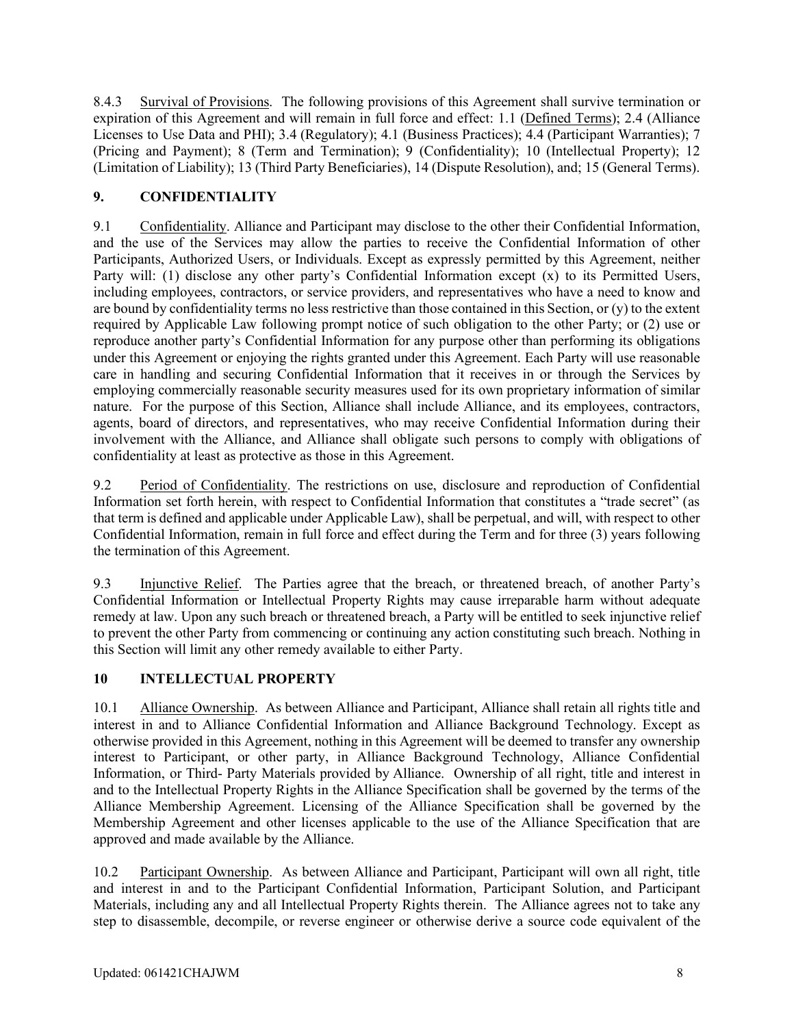8.4.3 Survival of Provisions. The following provisions of this Agreement shall survive termination or expiration of this Agreement and will remain in full force and effect: 1.1 (Defined Terms); 2.4 (Alliance Licenses to Use Data and PHI); 3.4 (Regulatory); 4.1 (Business Practices); 4.4 (Participant Warranties); 7 (Pricing and Payment); 8 (Term and Termination); 9 (Confidentiality); 10 (Intellectual Property); 12 (Limitation of Liability); 13 (Third Party Beneficiaries), 14 (Dispute Resolution), and; 15 (General Terms).

## **9. CONFIDENTIALITY**

9.1 Confidentiality. Alliance and Participant may disclose to the other their Confidential Information, and the use of the Services may allow the parties to receive the Confidential Information of other Participants, Authorized Users, or Individuals. Except as expressly permitted by this Agreement, neither Party will: (1) disclose any other party's Confidential Information except (x) to its Permitted Users, including employees, contractors, or service providers, and representatives who have a need to know and are bound by confidentiality terms no less restrictive than those contained in this Section, or (y) to the extent required by Applicable Law following prompt notice of such obligation to the other Party; or (2) use or reproduce another party's Confidential Information for any purpose other than performing its obligations under this Agreement or enjoying the rights granted under this Agreement. Each Party will use reasonable care in handling and securing Confidential Information that it receives in or through the Services by employing commercially reasonable security measures used for its own proprietary information of similar nature. For the purpose of this Section, Alliance shall include Alliance, and its employees, contractors, agents, board of directors, and representatives, who may receive Confidential Information during their involvement with the Alliance, and Alliance shall obligate such persons to comply with obligations of confidentiality at least as protective as those in this Agreement.

9.2 Period of Confidentiality. The restrictions on use, disclosure and reproduction of Confidential Information set forth herein, with respect to Confidential Information that constitutes a "trade secret" (as that term is defined and applicable under Applicable Law), shall be perpetual, and will, with respect to other Confidential Information, remain in full force and effect during the Term and for three (3) years following the termination of this Agreement.

9.3 Injunctive Relief. The Parties agree that the breach, or threatened breach, of another Party's Confidential Information or Intellectual Property Rights may cause irreparable harm without adequate remedy at law. Upon any such breach or threatened breach, a Party will be entitled to seek injunctive relief to prevent the other Party from commencing or continuing any action constituting such breach. Nothing in this Section will limit any other remedy available to either Party.

## **10 INTELLECTUAL PROPERTY**

10.1 Alliance Ownership. As between Alliance and Participant, Alliance shall retain all rights title and interest in and to Alliance Confidential Information and Alliance Background Technology. Except as otherwise provided in this Agreement, nothing in this Agreement will be deemed to transfer any ownership interest to Participant, or other party, in Alliance Background Technology, Alliance Confidential Information, or Third- Party Materials provided by Alliance. Ownership of all right, title and interest in and to the Intellectual Property Rights in the Alliance Specification shall be governed by the terms of the Alliance Membership Agreement. Licensing of the Alliance Specification shall be governed by the Membership Agreement and other licenses applicable to the use of the Alliance Specification that are approved and made available by the Alliance.

10.2 Participant Ownership. As between Alliance and Participant, Participant will own all right, title and interest in and to the Participant Confidential Information, Participant Solution, and Participant Materials, including any and all Intellectual Property Rights therein. The Alliance agrees not to take any step to disassemble, decompile, or reverse engineer or otherwise derive a source code equivalent of the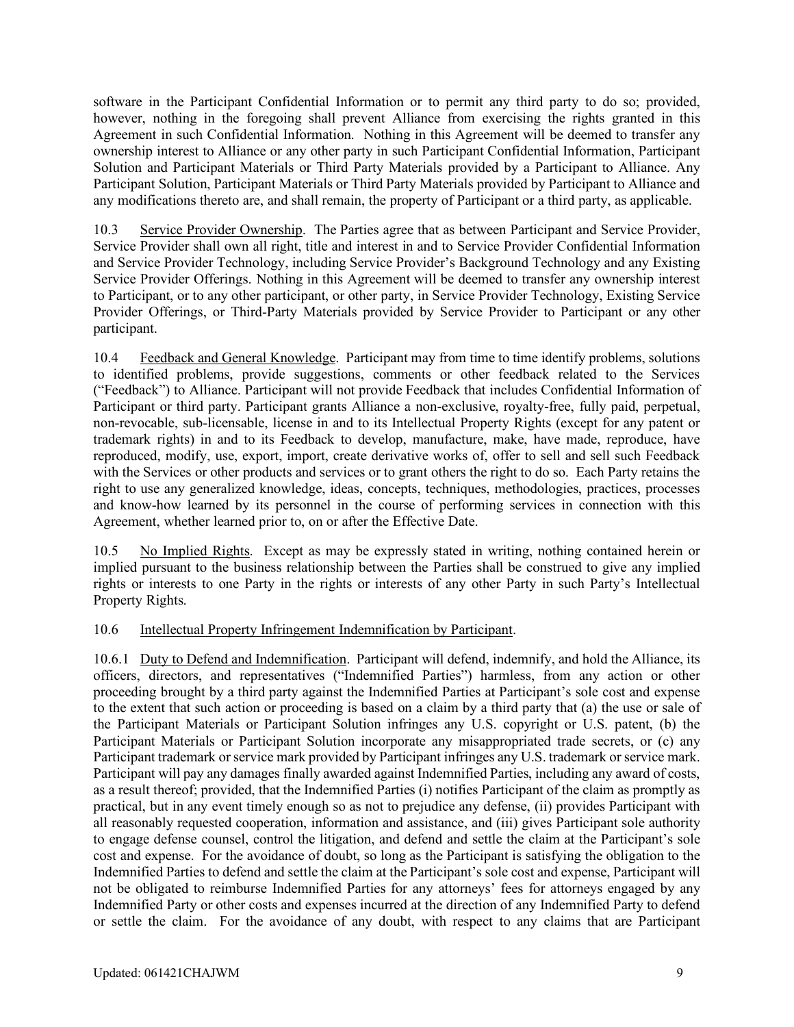software in the Participant Confidential Information or to permit any third party to do so; provided, however, nothing in the foregoing shall prevent Alliance from exercising the rights granted in this Agreement in such Confidential Information. Nothing in this Agreement will be deemed to transfer any ownership interest to Alliance or any other party in such Participant Confidential Information, Participant Solution and Participant Materials or Third Party Materials provided by a Participant to Alliance. Any Participant Solution, Participant Materials or Third Party Materials provided by Participant to Alliance and any modifications thereto are, and shall remain, the property of Participant or a third party, as applicable.

10.3 Service Provider Ownership. The Parties agree that as between Participant and Service Provider, Service Provider shall own all right, title and interest in and to Service Provider Confidential Information and Service Provider Technology, including Service Provider's Background Technology and any Existing Service Provider Offerings. Nothing in this Agreement will be deemed to transfer any ownership interest to Participant, or to any other participant, or other party, in Service Provider Technology, Existing Service Provider Offerings, or Third-Party Materials provided by Service Provider to Participant or any other participant.

10.4 Feedback and General Knowledge. Participant may from time to time identify problems, solutions to identified problems, provide suggestions, comments or other feedback related to the Services ("Feedback") to Alliance. Participant will not provide Feedback that includes Confidential Information of Participant or third party. Participant grants Alliance a non-exclusive, royalty-free, fully paid, perpetual, non-revocable, sub-licensable, license in and to its Intellectual Property Rights (except for any patent or trademark rights) in and to its Feedback to develop, manufacture, make, have made, reproduce, have reproduced, modify, use, export, import, create derivative works of, offer to sell and sell such Feedback with the Services or other products and services or to grant others the right to do so. Each Party retains the right to use any generalized knowledge, ideas, concepts, techniques, methodologies, practices, processes and know-how learned by its personnel in the course of performing services in connection with this Agreement, whether learned prior to, on or after the Effective Date.

10.5 No Implied Rights. Except as may be expressly stated in writing, nothing contained herein or implied pursuant to the business relationship between the Parties shall be construed to give any implied rights or interests to one Party in the rights or interests of any other Party in such Party's Intellectual Property Rights.

### 10.6 Intellectual Property Infringement Indemnification by Participant.

10.6.1 Duty to Defend and Indemnification. Participant will defend, indemnify, and hold the Alliance, its officers, directors, and representatives ("Indemnified Parties") harmless, from any action or other proceeding brought by a third party against the Indemnified Parties at Participant's sole cost and expense to the extent that such action or proceeding is based on a claim by a third party that (a) the use or sale of the Participant Materials or Participant Solution infringes any U.S. copyright or U.S. patent, (b) the Participant Materials or Participant Solution incorporate any misappropriated trade secrets, or (c) any Participant trademark or service mark provided by Participant infringes any U.S. trademark or service mark. Participant will pay any damages finally awarded against Indemnified Parties, including any award of costs, as a result thereof; provided, that the Indemnified Parties (i) notifies Participant of the claim as promptly as practical, but in any event timely enough so as not to prejudice any defense, (ii) provides Participant with all reasonably requested cooperation, information and assistance, and (iii) gives Participant sole authority to engage defense counsel, control the litigation, and defend and settle the claim at the Participant's sole cost and expense. For the avoidance of doubt, so long as the Participant is satisfying the obligation to the Indemnified Parties to defend and settle the claim at the Participant's sole cost and expense, Participant will not be obligated to reimburse Indemnified Parties for any attorneys' fees for attorneys engaged by any Indemnified Party or other costs and expenses incurred at the direction of any Indemnified Party to defend or settle the claim. For the avoidance of any doubt, with respect to any claims that are Participant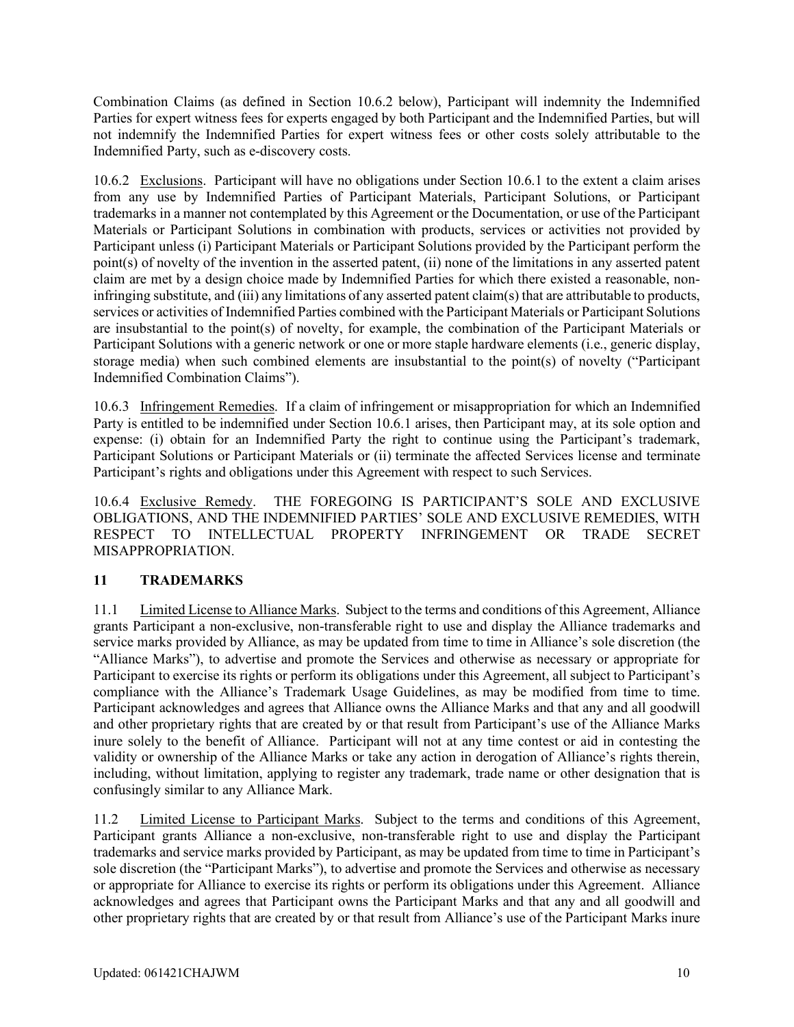Combination Claims (as defined in Section 10.6.2 below), Participant will indemnity the Indemnified Parties for expert witness fees for experts engaged by both Participant and the Indemnified Parties, but will not indemnify the Indemnified Parties for expert witness fees or other costs solely attributable to the Indemnified Party, such as e-discovery costs.

10.6.2 Exclusions. Participant will have no obligations under Section 10.6.1 to the extent a claim arises from any use by Indemnified Parties of Participant Materials, Participant Solutions, or Participant trademarks in a manner not contemplated by this Agreement or the Documentation, or use of the Participant Materials or Participant Solutions in combination with products, services or activities not provided by Participant unless (i) Participant Materials or Participant Solutions provided by the Participant perform the point(s) of novelty of the invention in the asserted patent, (ii) none of the limitations in any asserted patent claim are met by a design choice made by Indemnified Parties for which there existed a reasonable, noninfringing substitute, and (iii) any limitations of any asserted patent claim(s) that are attributable to products, services or activities of Indemnified Parties combined with the Participant Materials or Participant Solutions are insubstantial to the point(s) of novelty, for example, the combination of the Participant Materials or Participant Solutions with a generic network or one or more staple hardware elements (i.e., generic display, storage media) when such combined elements are insubstantial to the point(s) of novelty ("Participant Indemnified Combination Claims").

10.6.3 Infringement Remedies. If a claim of infringement or misappropriation for which an Indemnified Party is entitled to be indemnified under Section 10.6.1 arises, then Participant may, at its sole option and expense: (i) obtain for an Indemnified Party the right to continue using the Participant's trademark, Participant Solutions or Participant Materials or (ii) terminate the affected Services license and terminate Participant's rights and obligations under this Agreement with respect to such Services.

10.6.4 Exclusive Remedy. THE FOREGOING IS PARTICIPANT'S SOLE AND EXCLUSIVE OBLIGATIONS, AND THE INDEMNIFIED PARTIES' SOLE AND EXCLUSIVE REMEDIES, WITH RESPECT TO INTELLECTUAL PROPERTY INFRINGEMENT OR TRADE SECRET MISAPPROPRIATION.

## **11 TRADEMARKS**

11.1 Limited License to Alliance Marks. Subject to the terms and conditions of this Agreement, Alliance grants Participant a non-exclusive, non-transferable right to use and display the Alliance trademarks and service marks provided by Alliance, as may be updated from time to time in Alliance's sole discretion (the "Alliance Marks"), to advertise and promote the Services and otherwise as necessary or appropriate for Participant to exercise its rights or perform its obligations under this Agreement, all subject to Participant's compliance with the Alliance's Trademark Usage Guidelines, as may be modified from time to time. Participant acknowledges and agrees that Alliance owns the Alliance Marks and that any and all goodwill and other proprietary rights that are created by or that result from Participant's use of the Alliance Marks inure solely to the benefit of Alliance. Participant will not at any time contest or aid in contesting the validity or ownership of the Alliance Marks or take any action in derogation of Alliance's rights therein, including, without limitation, applying to register any trademark, trade name or other designation that is confusingly similar to any Alliance Mark.

11.2 Limited License to Participant Marks. Subject to the terms and conditions of this Agreement, Participant grants Alliance a non-exclusive, non-transferable right to use and display the Participant trademarks and service marks provided by Participant, as may be updated from time to time in Participant's sole discretion (the "Participant Marks"), to advertise and promote the Services and otherwise as necessary or appropriate for Alliance to exercise its rights or perform its obligations under this Agreement. Alliance acknowledges and agrees that Participant owns the Participant Marks and that any and all goodwill and other proprietary rights that are created by or that result from Alliance's use of the Participant Marks inure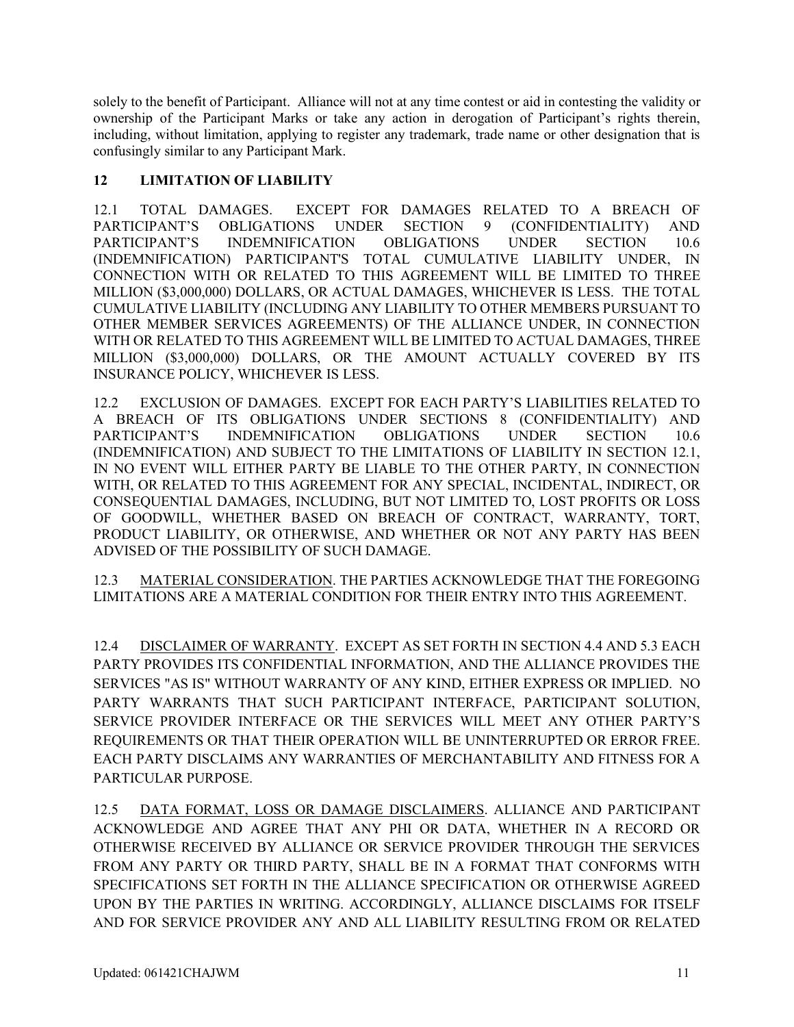solely to the benefit of Participant. Alliance will not at any time contest or aid in contesting the validity or ownership of the Participant Marks or take any action in derogation of Participant's rights therein, including, without limitation, applying to register any trademark, trade name or other designation that is confusingly similar to any Participant Mark.

### **12 LIMITATION OF LIABILITY**

12.1 TOTAL DAMAGES. EXCEPT FOR DAMAGES RELATED TO A BREACH OF PARTICIPANT'S OBLIGATIONS UNDER SECTION 9 (CONFIDENTIALITY) AND PARTICIPANT'S INDEMNIFICATION OBLIGATIONS UNDER SECTION 10.6 (INDEMNIFICATION) PARTICIPANT'S TOTAL CUMULATIVE LIABILITY UNDER, IN CONNECTION WITH OR RELATED TO THIS AGREEMENT WILL BE LIMITED TO THREE MILLION (\$3,000,000) DOLLARS, OR ACTUAL DAMAGES, WHICHEVER IS LESS. THE TOTAL CUMULATIVE LIABILITY (INCLUDING ANY LIABILITY TO OTHER MEMBERS PURSUANT TO OTHER MEMBER SERVICES AGREEMENTS) OF THE ALLIANCE UNDER, IN CONNECTION WITH OR RELATED TO THIS AGREEMENT WILL BE LIMITED TO ACTUAL DAMAGES, THREE MILLION (\$3,000,000) DOLLARS, OR THE AMOUNT ACTUALLY COVERED BY ITS INSURANCE POLICY, WHICHEVER IS LESS.

12.2 EXCLUSION OF DAMAGES. EXCEPT FOR EACH PARTY'S LIABILITIES RELATED TO A BREACH OF ITS OBLIGATIONS UNDER SECTIONS 8 (CONFIDENTIALITY) AND PARTICIPANT'S INDEMNIFICATION OBLIGATIONS UNDER SECTION 10.6 (INDEMNIFICATION) AND SUBJECT TO THE LIMITATIONS OF LIABILITY IN SECTION 12.1, IN NO EVENT WILL EITHER PARTY BE LIABLE TO THE OTHER PARTY, IN CONNECTION WITH, OR RELATED TO THIS AGREEMENT FOR ANY SPECIAL, INCIDENTAL, INDIRECT, OR CONSEQUENTIAL DAMAGES, INCLUDING, BUT NOT LIMITED TO, LOST PROFITS OR LOSS OF GOODWILL, WHETHER BASED ON BREACH OF CONTRACT, WARRANTY, TORT, PRODUCT LIABILITY, OR OTHERWISE, AND WHETHER OR NOT ANY PARTY HAS BEEN ADVISED OF THE POSSIBILITY OF SUCH DAMAGE.

12.3 MATERIAL CONSIDERATION. THE PARTIES ACKNOWLEDGE THAT THE FOREGOING LIMITATIONS ARE A MATERIAL CONDITION FOR THEIR ENTRY INTO THIS AGREEMENT.

12.4 DISCLAIMER OF WARRANTY. EXCEPT AS SET FORTH IN SECTION 4.4 AND 5.3 EACH PARTY PROVIDES ITS CONFIDENTIAL INFORMATION, AND THE ALLIANCE PROVIDES THE SERVICES "AS IS" WITHOUT WARRANTY OF ANY KIND, EITHER EXPRESS OR IMPLIED. NO PARTY WARRANTS THAT SUCH PARTICIPANT INTERFACE, PARTICIPANT SOLUTION, SERVICE PROVIDER INTERFACE OR THE SERVICES WILL MEET ANY OTHER PARTY'S REQUIREMENTS OR THAT THEIR OPERATION WILL BE UNINTERRUPTED OR ERROR FREE. EACH PARTY DISCLAIMS ANY WARRANTIES OF MERCHANTABILITY AND FITNESS FOR A PARTICULAR PURPOSE.

12.5 DATA FORMAT, LOSS OR DAMAGE DISCLAIMERS. ALLIANCE AND PARTICIPANT ACKNOWLEDGE AND AGREE THAT ANY PHI OR DATA, WHETHER IN A RECORD OR OTHERWISE RECEIVED BY ALLIANCE OR SERVICE PROVIDER THROUGH THE SERVICES FROM ANY PARTY OR THIRD PARTY, SHALL BE IN A FORMAT THAT CONFORMS WITH SPECIFICATIONS SET FORTH IN THE ALLIANCE SPECIFICATION OR OTHERWISE AGREED UPON BY THE PARTIES IN WRITING. ACCORDINGLY, ALLIANCE DISCLAIMS FOR ITSELF AND FOR SERVICE PROVIDER ANY AND ALL LIABILITY RESULTING FROM OR RELATED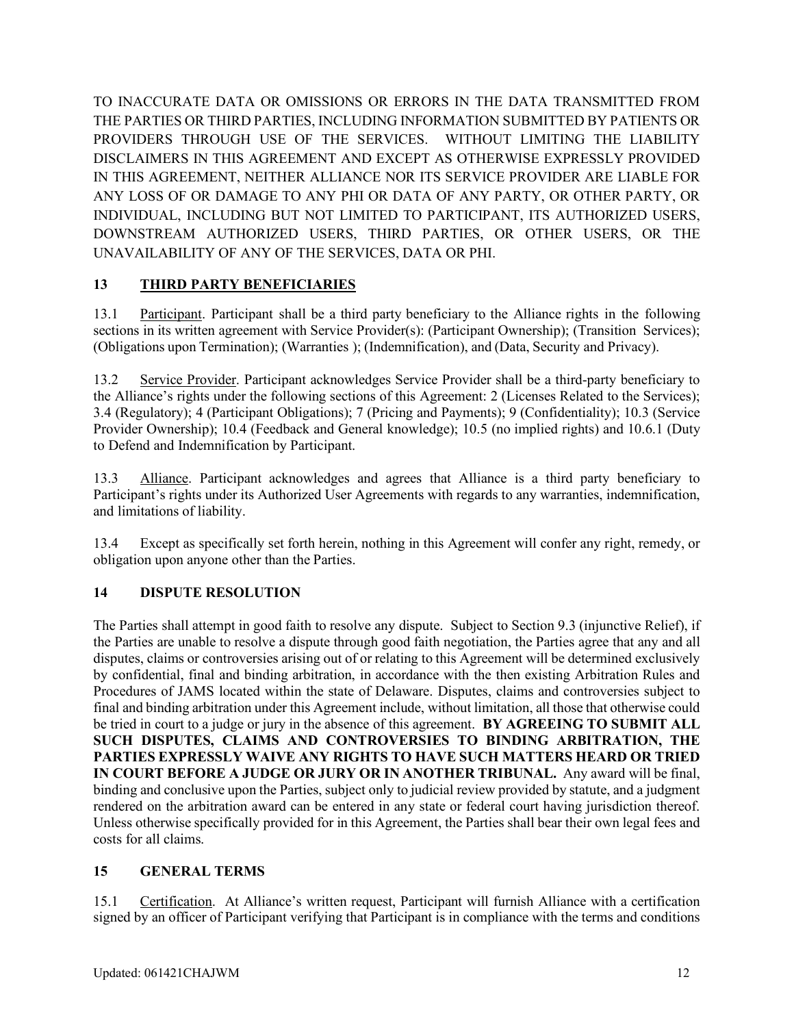TO INACCURATE DATA OR OMISSIONS OR ERRORS IN THE DATA TRANSMITTED FROM THE PARTIES OR THIRD PARTIES, INCLUDING INFORMATION SUBMITTED BY PATIENTS OR PROVIDERS THROUGH USE OF THE SERVICES. WITHOUT LIMITING THE LIABILITY DISCLAIMERS IN THIS AGREEMENT AND EXCEPT AS OTHERWISE EXPRESSLY PROVIDED IN THIS AGREEMENT, NEITHER ALLIANCE NOR ITS SERVICE PROVIDER ARE LIABLE FOR ANY LOSS OF OR DAMAGE TO ANY PHI OR DATA OF ANY PARTY, OR OTHER PARTY, OR INDIVIDUAL, INCLUDING BUT NOT LIMITED TO PARTICIPANT, ITS AUTHORIZED USERS, DOWNSTREAM AUTHORIZED USERS, THIRD PARTIES, OR OTHER USERS, OR THE UNAVAILABILITY OF ANY OF THE SERVICES, DATA OR PHI.

## **13 THIRD PARTY BENEFICIARIES**

13.1 Participant. Participant shall be a third party beneficiary to the Alliance rights in the following sections in its written agreement with Service Provider(s): (Participant Ownership); (Transition Services); (Obligations upon Termination); (Warranties ); (Indemnification), and (Data, Security and Privacy).

13.2 Service Provider. Participant acknowledges Service Provider shall be a third-party beneficiary to the Alliance's rights under the following sections of this Agreement: 2 (Licenses Related to the Services); 3.4 (Regulatory); 4 (Participant Obligations); 7 (Pricing and Payments); 9 (Confidentiality); 10.3 (Service Provider Ownership); 10.4 (Feedback and General knowledge); 10.5 (no implied rights) and 10.6.1 (Duty to Defend and Indemnification by Participant.

13.3 Alliance. Participant acknowledges and agrees that Alliance is a third party beneficiary to Participant's rights under its Authorized User Agreements with regards to any warranties, indemnification, and limitations of liability.

13.4 Except as specifically set forth herein, nothing in this Agreement will confer any right, remedy, or obligation upon anyone other than the Parties.

## **14 DISPUTE RESOLUTION**

The Parties shall attempt in good faith to resolve any dispute. Subject to Section 9.3 (injunctive Relief), if the Parties are unable to resolve a dispute through good faith negotiation, the Parties agree that any and all disputes, claims or controversies arising out of or relating to this Agreement will be determined exclusively by confidential, final and binding arbitration, in accordance with the then existing Arbitration Rules and Procedures of JAMS located within the state of Delaware. Disputes, claims and controversies subject to final and binding arbitration under this Agreement include, without limitation, all those that otherwise could be tried in court to a judge or jury in the absence of this agreement. **BY AGREEING TO SUBMIT ALL SUCH DISPUTES, CLAIMS AND CONTROVERSIES TO BINDING ARBITRATION, THE PARTIES EXPRESSLY WAIVE ANY RIGHTS TO HAVE SUCH MATTERS HEARD OR TRIED IN COURT BEFORE A JUDGE OR JURY OR IN ANOTHER TRIBUNAL.** Any award will be final, binding and conclusive upon the Parties, subject only to judicial review provided by statute, and a judgment rendered on the arbitration award can be entered in any state or federal court having jurisdiction thereof. Unless otherwise specifically provided for in this Agreement, the Parties shall bear their own legal fees and costs for all claims.

### **15 GENERAL TERMS**

15.1 Certification. At Alliance's written request, Participant will furnish Alliance with a certification signed by an officer of Participant verifying that Participant is in compliance with the terms and conditions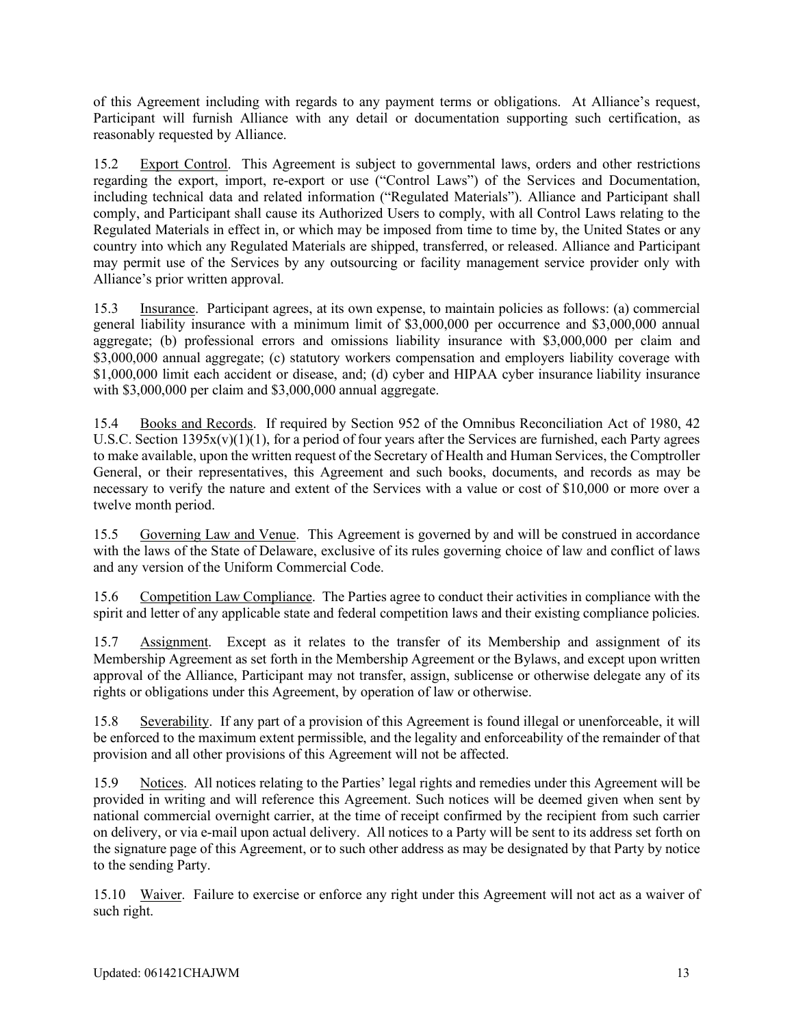of this Agreement including with regards to any payment terms or obligations. At Alliance's request, Participant will furnish Alliance with any detail or documentation supporting such certification, as reasonably requested by Alliance.

15.2 Export Control. This Agreement is subject to governmental laws, orders and other restrictions regarding the export, import, re-export or use ("Control Laws") of the Services and Documentation, including technical data and related information ("Regulated Materials"). Alliance and Participant shall comply, and Participant shall cause its Authorized Users to comply, with all Control Laws relating to the Regulated Materials in effect in, or which may be imposed from time to time by, the United States or any country into which any Regulated Materials are shipped, transferred, or released. Alliance and Participant may permit use of the Services by any outsourcing or facility management service provider only with Alliance's prior written approval.

15.3 Insurance.Participant agrees, at its own expense, to maintain policies as follows: (a) commercial general liability insurance with a minimum limit of \$3,000,000 per occurrence and \$3,000,000 annual aggregate; (b) professional errors and omissions liability insurance with \$3,000,000 per claim and \$3,000,000 annual aggregate; (c) statutory workers compensation and employers liability coverage with \$1,000,000 limit each accident or disease, and; (d) cyber and HIPAA cyber insurance liability insurance with \$3,000,000 per claim and \$3,000,000 annual aggregate.

15.4 Books and Records. If required by Section 952 of the Omnibus Reconciliation Act of 1980, 42 U.S.C. Section  $1395x(v)(1)(1)$ , for a period of four years after the Services are furnished, each Party agrees to make available, upon the written request of the Secretary of Health and Human Services, the Comptroller General, or their representatives, this Agreement and such books, documents, and records as may be necessary to verify the nature and extent of the Services with a value or cost of \$10,000 or more over a twelve month period.

15.5 Governing Law and Venue. This Agreement is governed by and will be construed in accordance with the laws of the State of Delaware, exclusive of its rules governing choice of law and conflict of laws and any version of the Uniform Commercial Code.

15.6 Competition Law Compliance. The Parties agree to conduct their activities in compliance with the spirit and letter of any applicable state and federal competition laws and their existing compliance policies.

15.7 Assignment. Except as it relates to the transfer of its Membership and assignment of its Membership Agreement as set forth in the Membership Agreement or the Bylaws, and except upon written approval of the Alliance, Participant may not transfer, assign, sublicense or otherwise delegate any of its rights or obligations under this Agreement, by operation of law or otherwise.

15.8 Severability. If any part of a provision of this Agreement is found illegal or unenforceable, it will be enforced to the maximum extent permissible, and the legality and enforceability of the remainder of that provision and all other provisions of this Agreement will not be affected.

15.9 Notices. All notices relating to the Parties' legal rights and remedies under this Agreement will be provided in writing and will reference this Agreement. Such notices will be deemed given when sent by national commercial overnight carrier, at the time of receipt confirmed by the recipient from such carrier on delivery, or via e-mail upon actual delivery. All notices to a Party will be sent to its address set forth on the signature page of this Agreement, or to such other address as may be designated by that Party by notice to the sending Party.

15.10 Waiver. Failure to exercise or enforce any right under this Agreement will not act as a waiver of such right.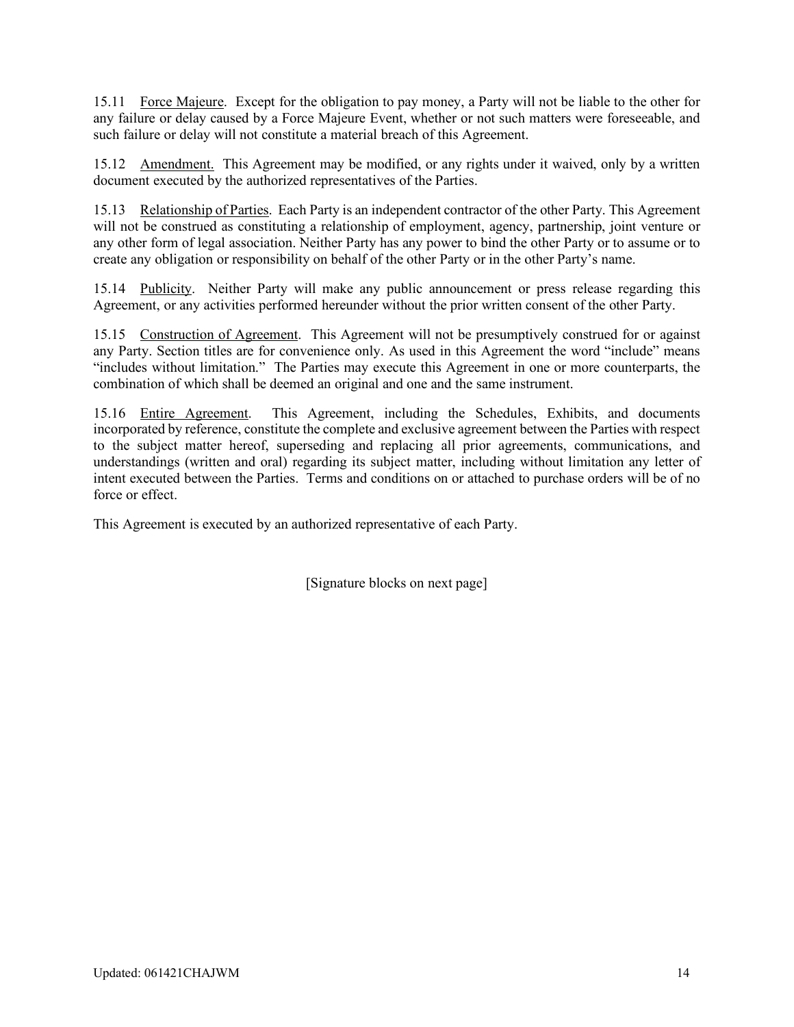15.11 Force Majeure. Except for the obligation to pay money, a Party will not be liable to the other for any failure or delay caused by a Force Majeure Event, whether or not such matters were foreseeable, and such failure or delay will not constitute a material breach of this Agreement.

15.12 Amendment. This Agreement may be modified, or any rights under it waived, only by a written document executed by the authorized representatives of the Parties.

15.13 Relationship of Parties. Each Party is an independent contractor of the other Party. This Agreement will not be construed as constituting a relationship of employment, agency, partnership, joint venture or any other form of legal association. Neither Party has any power to bind the other Party or to assume or to create any obligation or responsibility on behalf of the other Party or in the other Party's name.

15.14 Publicity. Neither Party will make any public announcement or press release regarding this Agreement, or any activities performed hereunder without the prior written consent of the other Party.

15.15 Construction of Agreement. This Agreement will not be presumptively construed for or against any Party. Section titles are for convenience only. As used in this Agreement the word "include" means "includes without limitation." The Parties may execute this Agreement in one or more counterparts, the combination of which shall be deemed an original and one and the same instrument.

15.16 Entire Agreement. This Agreement, including the Schedules, Exhibits, and documents incorporated by reference, constitute the complete and exclusive agreement between the Parties with respect to the subject matter hereof, superseding and replacing all prior agreements, communications, and understandings (written and oral) regarding its subject matter, including without limitation any letter of intent executed between the Parties. Terms and conditions on or attached to purchase orders will be of no force or effect.

This Agreement is executed by an authorized representative of each Party.

[Signature blocks on next page]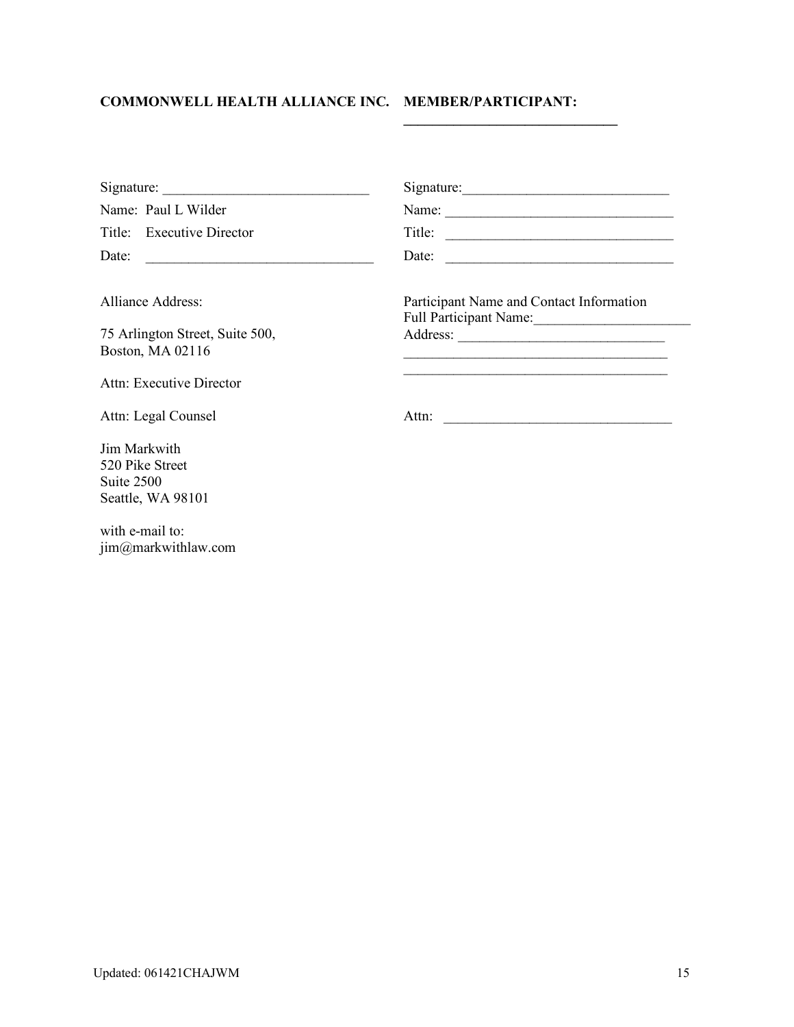# **COMMONWELL HEALTH ALLIANCE INC. MEMBER/PARTICIPANT:**

| Signature:                                                         | Signature:                                                                                                            |
|--------------------------------------------------------------------|-----------------------------------------------------------------------------------------------------------------------|
| Name: Paul L Wilder                                                | Name:                                                                                                                 |
| Title: Executive Director                                          | Title: $\qquad \qquad$                                                                                                |
| Date:                                                              | Date:                                                                                                                 |
| <b>Alliance Address:</b>                                           | Participant Name and Contact Information<br>Full Participant Name:                                                    |
| 75 Arlington Street, Suite 500,<br>Boston, MA 02116                | <u> 1989 - Johann Stoff, deutscher Stoff, der Stoff, der Stoff, der Stoff, der Stoff, der Stoff, der Stoff, der S</u> |
| Attn: Executive Director                                           | <u> 1989 - Johann Stoff, deutscher Stoff, der Stoff, der Stoff, der Stoff, der Stoff, der Stoff, der Stoff, der S</u> |
| Attn: Legal Counsel                                                |                                                                                                                       |
| Jim Markwith<br>520 Pike Street<br>Suite 2500<br>Seattle, WA 98101 |                                                                                                                       |

**\_\_\_\_\_\_\_\_\_\_\_\_\_\_\_\_\_\_\_\_\_\_\_\_\_\_\_\_\_\_**

with e-mail to: jim@markwithlaw.com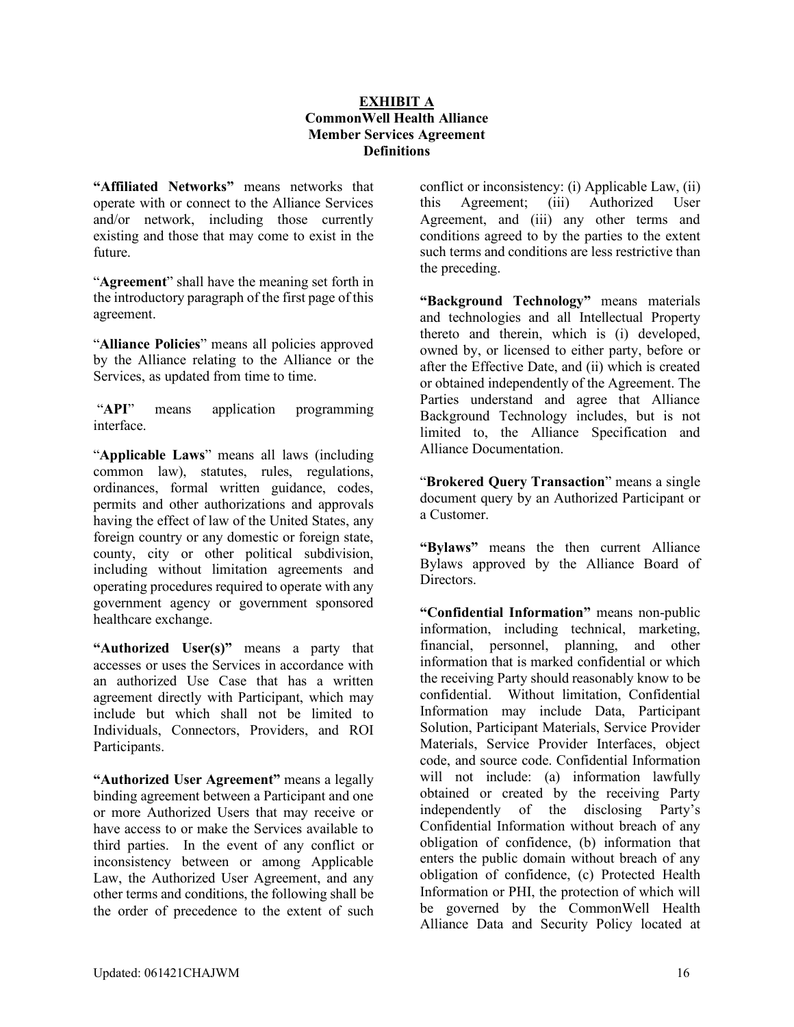#### **EXHIBIT A CommonWell Health Alliance Member Services Agreement Definitions**

**"Affiliated Networks"** means networks that operate with or connect to the Alliance Services and/or network, including those currently existing and those that may come to exist in the future.

"**Agreement**" shall have the meaning set forth in the introductory paragraph of the first page of this agreement.

"**Alliance Policies**" means all policies approved by the Alliance relating to the Alliance or the Services, as updated from time to time.

"**API**" means application programming interface.

"**Applicable Laws**" means all laws (including common law), statutes, rules, regulations, ordinances, formal written guidance, codes, permits and other authorizations and approvals having the effect of law of the United States, any foreign country or any domestic or foreign state, county, city or other political subdivision, including without limitation agreements and operating procedures required to operate with any government agency or government sponsored healthcare exchange.

**"Authorized User(s)"** means a party that accesses or uses the Services in accordance with an authorized Use Case that has a written agreement directly with Participant, which may include but which shall not be limited to Individuals, Connectors, Providers, and ROI Participants.

**"Authorized User Agreement"** means a legally binding agreement between a Participant and one or more Authorized Users that may receive or have access to or make the Services available to third parties. In the event of any conflict or inconsistency between or among Applicable Law, the Authorized User Agreement, and any other terms and conditions, the following shall be the order of precedence to the extent of such conflict or inconsistency: (i) Applicable Law, (ii) this Agreement; (iii) Authorized User Agreement, and (iii) any other terms and conditions agreed to by the parties to the extent such terms and conditions are less restrictive than the preceding.

**"Background Technology"** means materials and technologies and all Intellectual Property thereto and therein, which is (i) developed, owned by, or licensed to either party, before or after the Effective Date, and (ii) which is created or obtained independently of the Agreement. The Parties understand and agree that Alliance Background Technology includes, but is not limited to, the Alliance Specification and Alliance Documentation.

"**Brokered Query Transaction**" means a single document query by an Authorized Participant or a Customer.

**"Bylaws"** means the then current Alliance Bylaws approved by the Alliance Board of Directors.

**"Confidential Information"** means non-public information, including technical, marketing, financial, personnel, planning, and other information that is marked confidential or which the receiving Party should reasonably know to be confidential. Without limitation, Confidential Information may include Data, Participant Solution, Participant Materials, Service Provider Materials, Service Provider Interfaces, object code, and source code. Confidential Information will not include: (a) information lawfully obtained or created by the receiving Party independently of the disclosing Party's Confidential Information without breach of any obligation of confidence, (b) information that enters the public domain without breach of any obligation of confidence, (c) Protected Health Information or PHI, the protection of which will be governed by the CommonWell Health Alliance Data and Security Policy located at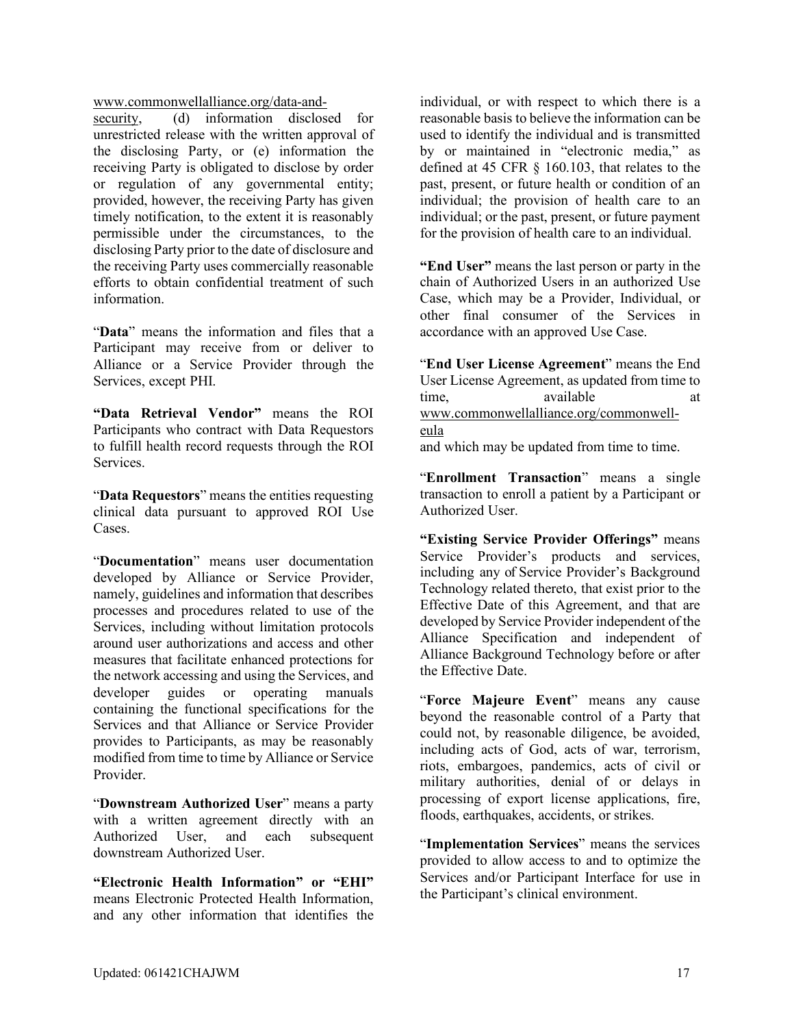[www.commonwellalliance.org/data-and-](https://www.commonwellalliance.org/data-and-security/)

[security,](https://www.commonwellalliance.org/data-and-security/) (d) information disclosed for unrestricted release with the written approval of the disclosing Party, or (e) information the receiving Party is obligated to disclose by order or regulation of any governmental entity; provided, however, the receiving Party has given timely notification, to the extent it is reasonably permissible under the circumstances, to the disclosing Party prior to the date of disclosure and the receiving Party uses commercially reasonable efforts to obtain confidential treatment of such information.

"**Data**" means the information and files that a Participant may receive from or deliver to Alliance or a Service Provider through the Services, except PHI.

**"Data Retrieval Vendor"** means the ROI Participants who contract with Data Requestors to fulfill health record requests through the ROI Services.

"**Data Requestors**" means the entities requesting clinical data pursuant to approved ROI Use Cases.

"**Documentation**" means user documentation developed by Alliance or Service Provider, namely, guidelines and information that describes processes and procedures related to use of the Services, including without limitation protocols around user authorizations and access and other measures that facilitate enhanced protections for the network accessing and using the Services, and developer guides or operating manuals containing the functional specifications for the Services and that Alliance or Service Provider provides to Participants, as may be reasonably modified from time to time by Alliance or Service Provider.

"**Downstream Authorized User**" means a party with a written agreement directly with an Authorized User, and each subsequent downstream Authorized User.

**"Electronic Health Information" or "EHI"** means Electronic Protected Health Information, and any other information that identifies the individual, or with respect to which there is a reasonable basis to believe the information can be used to identify the individual and is transmitted by or maintained in "electronic media," as defined at 45 CFR § 160.103, that relates to the past, present, or future health or condition of an individual; the provision of health care to an individual; or the past, present, or future payment for the provision of health care to an individual.

**"End User"** means the last person or party in the chain of Authorized Users in an authorized Use Case, which may be a Provider, Individual, or other final consumer of the Services in accordance with an approved Use Case.

"**End User License Agreement**" means the End User License Agreement, as updated from time to time, available [www.commonwellalliance.org/commonwell](http://www.commonwellalliance.org/commonwell-eula)[eula](http://www.commonwellalliance.org/commonwell-eula) and which may be updated from time to time.

"**Enrollment Transaction**" means a single transaction to enroll a patient by a Participant or Authorized User.

**"Existing Service Provider Offerings"** means Service Provider's products and services, including any of Service Provider's Background Technology related thereto, that exist prior to the Effective Date of this Agreement, and that are developed by Service Provider independent of the Alliance Specification and independent of Alliance Background Technology before or after the Effective Date.

"**Force Majeure Event**" means any cause beyond the reasonable control of a Party that could not, by reasonable diligence, be avoided, including acts of God, acts of war, terrorism, riots, embargoes, pandemics, acts of civil or military authorities, denial of or delays in processing of export license applications, fire, floods, earthquakes, accidents, or strikes.

"**Implementation Services**" means the services provided to allow access to and to optimize the Services and/or Participant Interface for use in the Participant's clinical environment.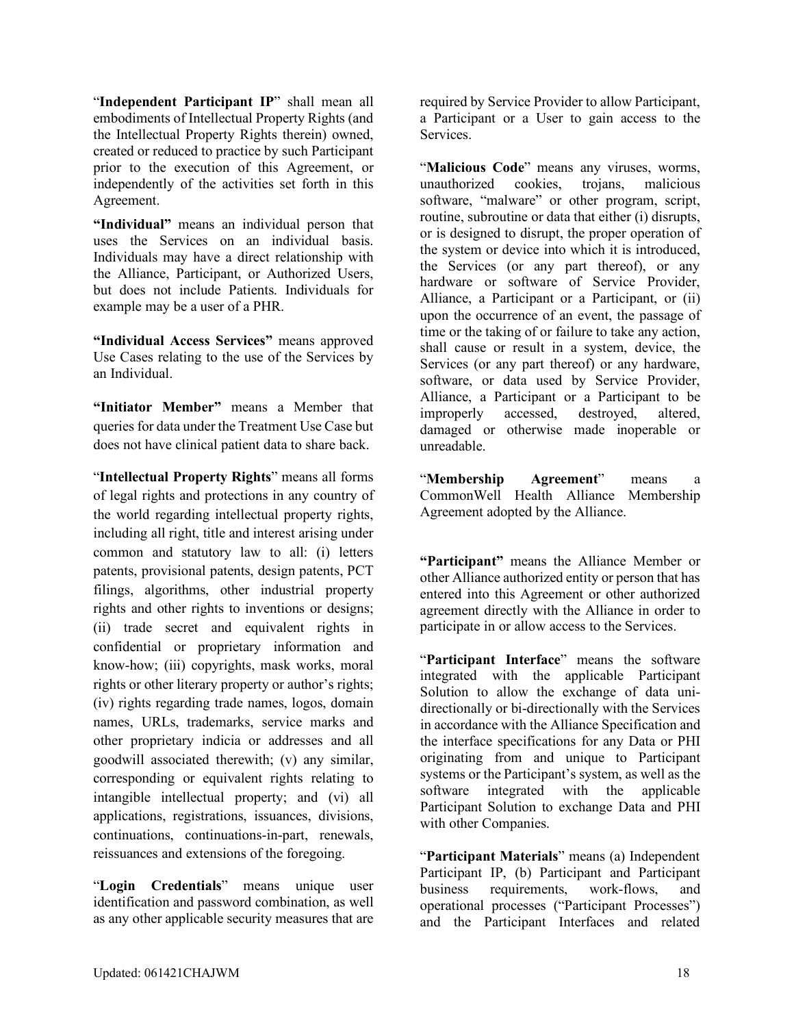"**Independent Participant IP**" shall mean all embodiments of Intellectual Property Rights (and the Intellectual Property Rights therein) owned, created or reduced to practice by such Participant prior to the execution of this Agreement, or independently of the activities set forth in this Agreement.

**"Individual"** means an individual person that uses the Services on an individual basis. Individuals may have a direct relationship with the Alliance, Participant, or Authorized Users, but does not include Patients. Individuals for example may be a user of a PHR.

**"Individual Access Services"** means approved Use Cases relating to the use of the Services by an Individual.

**"Initiator Member"** means a Member that queries for data under the Treatment Use Case but does not have clinical patient data to share back.

"**Intellectual Property Rights**" means all forms of legal rights and protections in any country of the world regarding intellectual property rights, including all right, title and interest arising under common and statutory law to all: (i) letters patents, provisional patents, design patents, PCT filings, algorithms, other industrial property rights and other rights to inventions or designs; (ii) trade secret and equivalent rights in confidential or proprietary information and know-how; (iii) copyrights, mask works, moral rights or other literary property or author's rights; (iv) rights regarding trade names, logos, domain names, URLs, trademarks, service marks and other proprietary indicia or addresses and all goodwill associated therewith; (v) any similar, corresponding or equivalent rights relating to intangible intellectual property; and (vi) all applications, registrations, issuances, divisions, continuations, continuations-in-part, renewals, reissuances and extensions of the foregoing.

"**Login Credentials**" means unique user identification and password combination, as well as any other applicable security measures that are required by Service Provider to allow Participant, a Participant or a User to gain access to the Services.

"**Malicious Code**" means any viruses, worms, unauthorized cookies, trojans, malicious software, "malware" or other program, script, routine, subroutine or data that either (i) disrupts, or is designed to disrupt, the proper operation of the system or device into which it is introduced, the Services (or any part thereof), or any hardware or software of Service Provider, Alliance, a Participant or a Participant, or (ii) upon the occurrence of an event, the passage of time or the taking of or failure to take any action, shall cause or result in a system, device, the Services (or any part thereof) or any hardware, software, or data used by Service Provider, Alliance, a Participant or a Participant to be improperly accessed, destroyed, altered, damaged or otherwise made inoperable or unreadable.

"**Membership Agreement**" means a CommonWell Health Alliance Membership Agreement adopted by the Alliance.

**"Participant"** means the Alliance Member or other Alliance authorized entity or person that has entered into this Agreement or other authorized agreement directly with the Alliance in order to participate in or allow access to the Services.

"**Participant Interface**" means the software integrated with the applicable Participant Solution to allow the exchange of data unidirectionally or bi-directionally with the Services in accordance with the Alliance Specification and the interface specifications for any Data or PHI originating from and unique to Participant systems or the Participant's system, as well as the software integrated with the applicable Participant Solution to exchange Data and PHI with other Companies.

"**Participant Materials**" means (a) Independent Participant IP, (b) Participant and Participant business requirements, work-flows, and operational processes ("Participant Processes") and the Participant Interfaces and related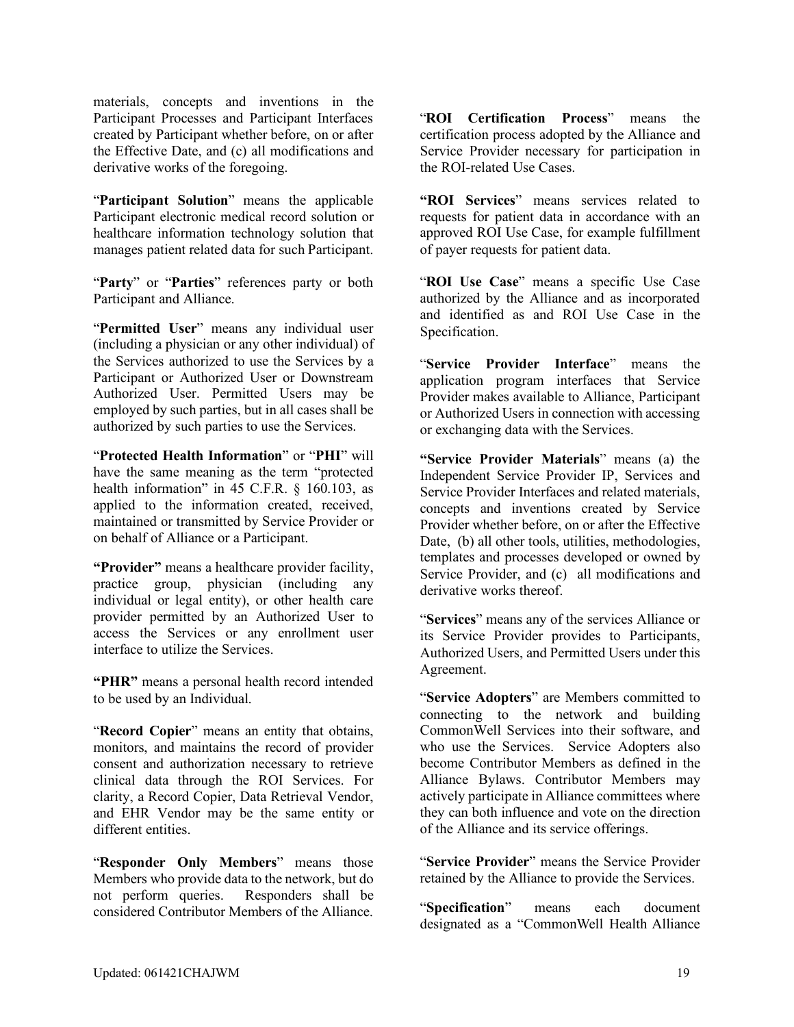materials, concepts and inventions in the Participant Processes and Participant Interfaces created by Participant whether before, on or after the Effective Date, and (c) all modifications and derivative works of the foregoing.

"**Participant Solution**" means the applicable Participant electronic medical record solution or healthcare information technology solution that manages patient related data for such Participant.

"**Party**" or "**Parties**" references party or both Participant and Alliance.

"**Permitted User**" means any individual user (including a physician or any other individual) of the Services authorized to use the Services by a Participant or Authorized User or Downstream Authorized User. Permitted Users may be employed by such parties, but in all cases shall be authorized by such parties to use the Services.

"**Protected Health Information**" or "**PHI**" will have the same meaning as the term "protected health information" in 45 C.F.R. § 160.103, as applied to the information created, received, maintained or transmitted by Service Provider or on behalf of Alliance or a Participant.

**"Provider"** means a healthcare provider facility, practice group, physician (including any individual or legal entity), or other health care provider permitted by an Authorized User to access the Services or any enrollment user interface to utilize the Services.

**"PHR"** means a personal health record intended to be used by an Individual.

"Record Copier" means an entity that obtains, monitors, and maintains the record of provider consent and authorization necessary to retrieve clinical data through the ROI Services. For clarity, a Record Copier, Data Retrieval Vendor, and EHR Vendor may be the same entity or different entities.

"**Responder Only Members**" means those Members who provide data to the network, but do not perform queries. Responders shall be considered Contributor Members of the Alliance.

"**ROI Certification Process**" means the certification process adopted by the Alliance and Service Provider necessary for participation in the ROI-related Use Cases.

**"ROI Services**" means services related to requests for patient data in accordance with an approved ROI Use Case, for example fulfillment of payer requests for patient data.

"**ROI Use Case**" means a specific Use Case authorized by the Alliance and as incorporated and identified as and ROI Use Case in the Specification.

"**Service Provider Interface**" means the application program interfaces that Service Provider makes available to Alliance, Participant or Authorized Users in connection with accessing or exchanging data with the Services.

**"Service Provider Materials**" means (a) the Independent Service Provider IP, Services and Service Provider Interfaces and related materials, concepts and inventions created by Service Provider whether before, on or after the Effective Date, (b) all other tools, utilities, methodologies, templates and processes developed or owned by Service Provider, and (c) all modifications and derivative works thereof.

"**Services**" means any of the services Alliance or its Service Provider provides to Participants, Authorized Users, and Permitted Users under this Agreement.

"**Service Adopters**" are Members committed to connecting to the network and building CommonWell Services into their software, and who use the Services. Service Adopters also become Contributor Members as defined in the Alliance Bylaws. Contributor Members may actively participate in Alliance committees where they can both influence and vote on the direction of the Alliance and its service offerings.

"**Service Provider**" means the Service Provider retained by the Alliance to provide the Services.

"**Specification**" means each document designated as a "CommonWell Health Alliance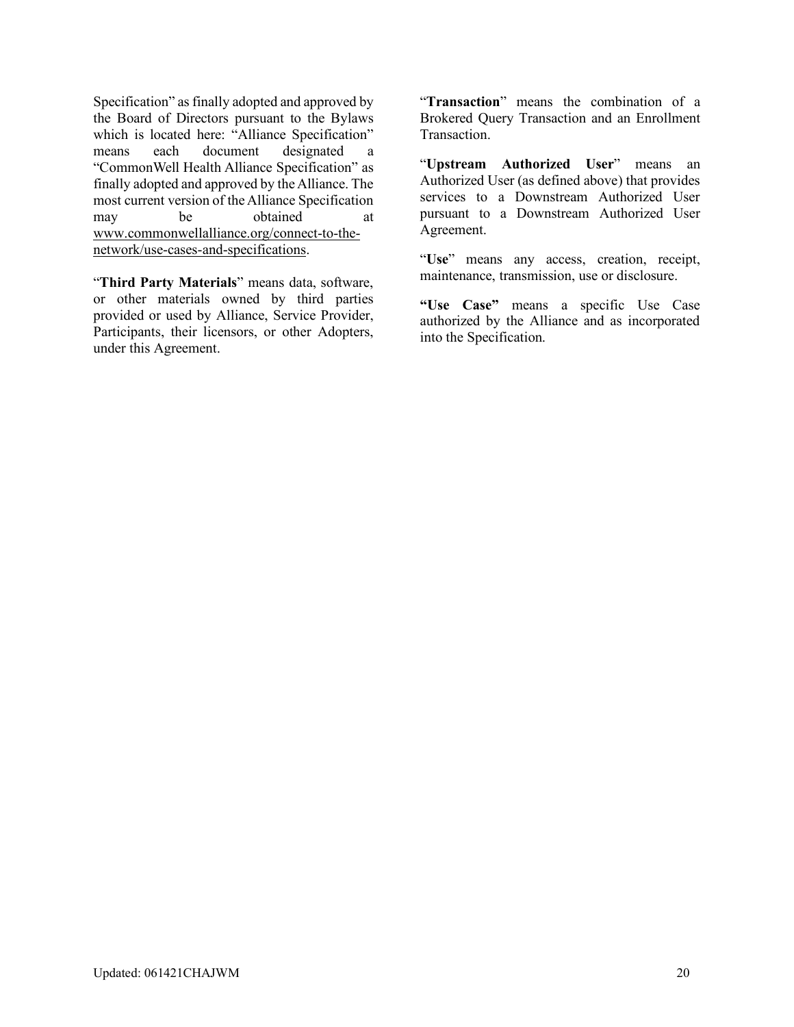Specification" as finally adopted and approved by the Board of Directors pursuant to the Bylaws which is located here: "Alliance Specification" means each document designated a "CommonWell Health Alliance Specification" as finally adopted and approved by the Alliance. The most current version of the Alliance Specification may be obtained at [www.commonwellalliance.org/connect-to-the](https://www.commonwellalliance.org/connect-to-the-network/use-cases-and-specifications/)[network/use-cases-and-specifications.](https://www.commonwellalliance.org/connect-to-the-network/use-cases-and-specifications/)

"**Third Party Materials**" means data, software, or other materials owned by third parties provided or used by Alliance, Service Provider, Participants, their licensors, or other Adopters, under this Agreement.

"**Transaction**" means the combination of a Brokered Query Transaction and an Enrollment Transaction.

"**Upstream Authorized User**" means an Authorized User (as defined above) that provides services to a Downstream Authorized User pursuant to a Downstream Authorized User Agreement.

"**Use**" means any access, creation, receipt, maintenance, transmission, use or disclosure.

**"Use Case"** means a specific Use Case authorized by the Alliance and as incorporated into the Specification.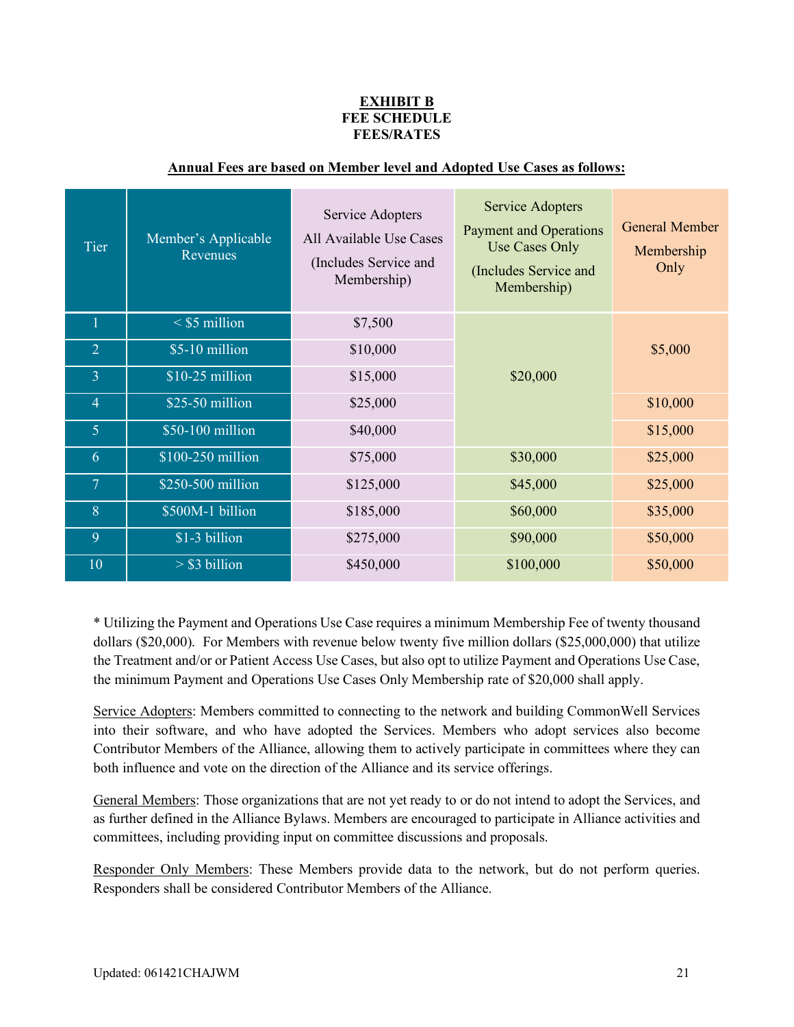### **EXHIBIT B FEE SCHEDULE FEES/RATES**

| Tier           | Member's Applicable<br>Revenues | Service Adopters<br>All Available Use Cases<br>(Includes Service and<br>Membership) | <b>Service Adopters</b><br><b>Payment and Operations</b><br><b>Use Cases Only</b><br>(Includes Service and<br>Membership) | <b>General Member</b><br>Membership<br>Only |
|----------------|---------------------------------|-------------------------------------------------------------------------------------|---------------------------------------------------------------------------------------------------------------------------|---------------------------------------------|
| ш              | $<$ \$5 million                 | \$7,500                                                                             |                                                                                                                           |                                             |
| $\overline{2}$ | \$5-10 million                  | \$10,000                                                                            |                                                                                                                           | \$5,000                                     |
| $\overline{3}$ | \$10-25 million                 | \$15,000                                                                            | \$20,000                                                                                                                  |                                             |
| $\overline{4}$ | $$25-50$ million                | \$25,000                                                                            |                                                                                                                           | \$10,000                                    |
| 5              | \$50-100 million                | \$40,000                                                                            |                                                                                                                           | \$15,000                                    |
| 6              | \$100-250 million               | \$75,000                                                                            | \$30,000                                                                                                                  | \$25,000                                    |
| $\overline{7}$ | $$250-500$ million              | \$125,000                                                                           | \$45,000                                                                                                                  | \$25,000                                    |
| 8              | \$500M-1 billion                | \$185,000                                                                           | \$60,000                                                                                                                  | \$35,000                                    |
| 9              | \$1-3 billion                   | \$275,000                                                                           | \$90,000                                                                                                                  | \$50,000                                    |
| 10             | $>$ \$3 billion                 | \$450,000                                                                           | \$100,000                                                                                                                 | \$50,000                                    |

## **Annual Fees are based on Member level and Adopted Use Cases as follows:**

\* Utilizing the Payment and Operations Use Case requires a minimum Membership Fee of twenty thousand dollars (\$20,000). For Members with revenue below twenty five million dollars (\$25,000,000) that utilize the Treatment and/or or Patient Access Use Cases, but also opt to utilize Payment and Operations Use Case, the minimum Payment and Operations Use Cases Only Membership rate of \$20,000 shall apply.

Service Adopters: Members committed to connecting to the network and building CommonWell Services into their software, and who have adopted the Services. Members who adopt services also become Contributor Members of the Alliance, allowing them to actively participate in committees where they can both influence and vote on the direction of the Alliance and its service offerings.

General Members: Those organizations that are not yet ready to or do not intend to adopt the Services, and as further defined in the Alliance Bylaws. Members are encouraged to participate in Alliance activities and committees, including providing input on committee discussions and proposals.

Responder Only Members: These Members provide data to the network, but do not perform queries. Responders shall be considered Contributor Members of the Alliance.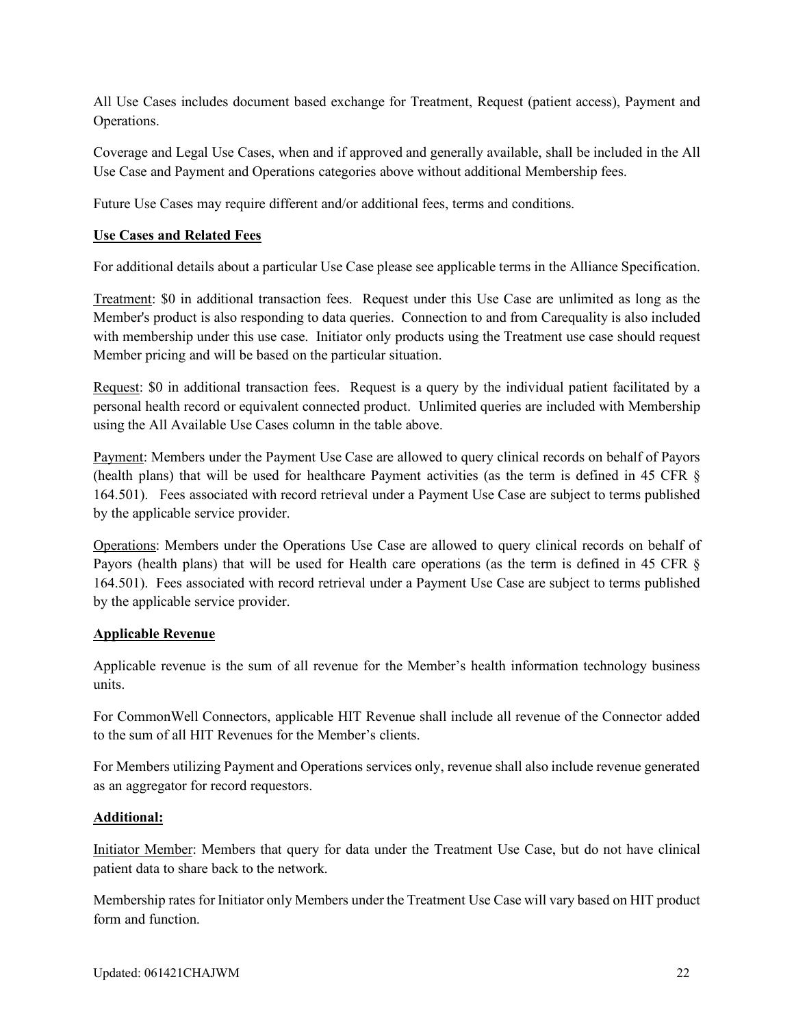All Use Cases includes document based exchange for Treatment, Request (patient access), Payment and Operations.

Coverage and Legal Use Cases, when and if approved and generally available, shall be included in the All Use Case and Payment and Operations categories above without additional Membership fees.

Future Use Cases may require different and/or additional fees, terms and conditions.

### **Use Cases and Related Fees**

For additional details about a particular Use Case please see applicable terms in the Alliance Specification.

Treatment: \$0 in additional transaction fees. Request under this Use Case are unlimited as long as the Member's product is also responding to data queries. Connection to and from Carequality is also included with membership under this use case. Initiator only products using the Treatment use case should request Member pricing and will be based on the particular situation.

Request: \$0 in additional transaction fees. Request is a query by the individual patient facilitated by a personal health record or equivalent connected product. Unlimited queries are included with Membership using the All Available Use Cases column in the table above.

Payment: Members under the Payment Use Case are allowed to query clinical records on behalf of Payors (health plans) that will be used for healthcare Payment activities (as the term is defined in 45 CFR § 164.501). Fees associated with record retrieval under a Payment Use Case are subject to terms published by the applicable service provider.

Operations: Members under the Operations Use Case are allowed to query clinical records on behalf of Payors (health plans) that will be used for Health care operations (as the term is defined in 45 CFR § 164.501). Fees associated with record retrieval under a Payment Use Case are subject to terms published by the applicable service provider.

#### **Applicable Revenue**

Applicable revenue is the sum of all revenue for the Member's health information technology business units.

For CommonWell Connectors, applicable HIT Revenue shall include all revenue of the Connector added to the sum of all HIT Revenues for the Member's clients.

For Members utilizing Payment and Operations services only, revenue shall also include revenue generated as an aggregator for record requestors.

#### **Additional:**

Initiator Member: Members that query for data under the Treatment Use Case, but do not have clinical patient data to share back to the network.

Membership rates for Initiator only Members under the Treatment Use Case will vary based on HIT product form and function.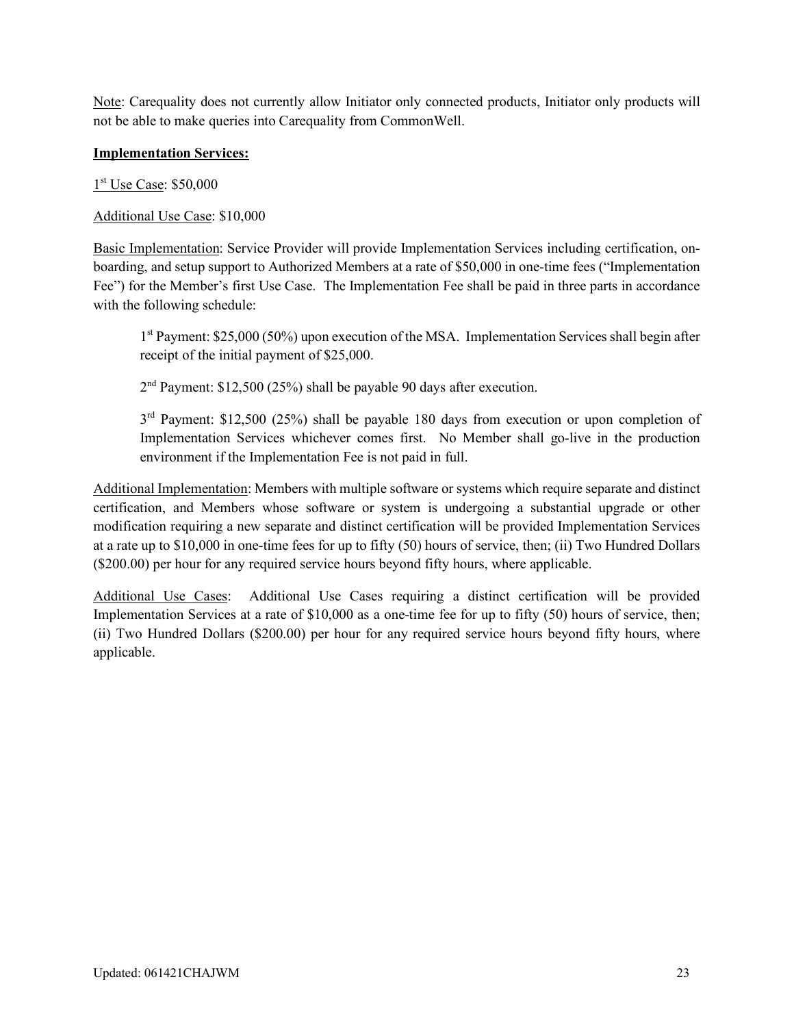Note: Carequality does not currently allow Initiator only connected products, Initiator only products will not be able to make queries into Carequality from CommonWell.

### **Implementation Services:**

1<sup>st</sup> Use Case: \$50,000

Additional Use Case: \$10,000

Basic Implementation: Service Provider will provide Implementation Services including certification, onboarding, and setup support to Authorized Members at a rate of \$50,000 in one-time fees ("Implementation Fee") for the Member's first Use Case. The Implementation Fee shall be paid in three parts in accordance with the following schedule:

1st Payment: \$25,000 (50%) upon execution of the MSA. Implementation Services shall begin after receipt of the initial payment of \$25,000.

 $2<sup>nd</sup>$  Payment: \$12,500 (25%) shall be payable 90 days after execution.

3<sup>rd</sup> Payment: \$12,500 (25%) shall be payable 180 days from execution or upon completion of Implementation Services whichever comes first. No Member shall go-live in the production environment if the Implementation Fee is not paid in full.

Additional Implementation: Members with multiple software or systems which require separate and distinct certification, and Members whose software or system is undergoing a substantial upgrade or other modification requiring a new separate and distinct certification will be provided Implementation Services at a rate up to \$10,000 in one-time fees for up to fifty (50) hours of service, then; (ii) Two Hundred Dollars (\$200.00) per hour for any required service hours beyond fifty hours, where applicable.

Additional Use Cases: Additional Use Cases requiring a distinct certification will be provided Implementation Services at a rate of \$10,000 as a one-time fee for up to fifty (50) hours of service, then; (ii) Two Hundred Dollars (\$200.00) per hour for any required service hours beyond fifty hours, where applicable.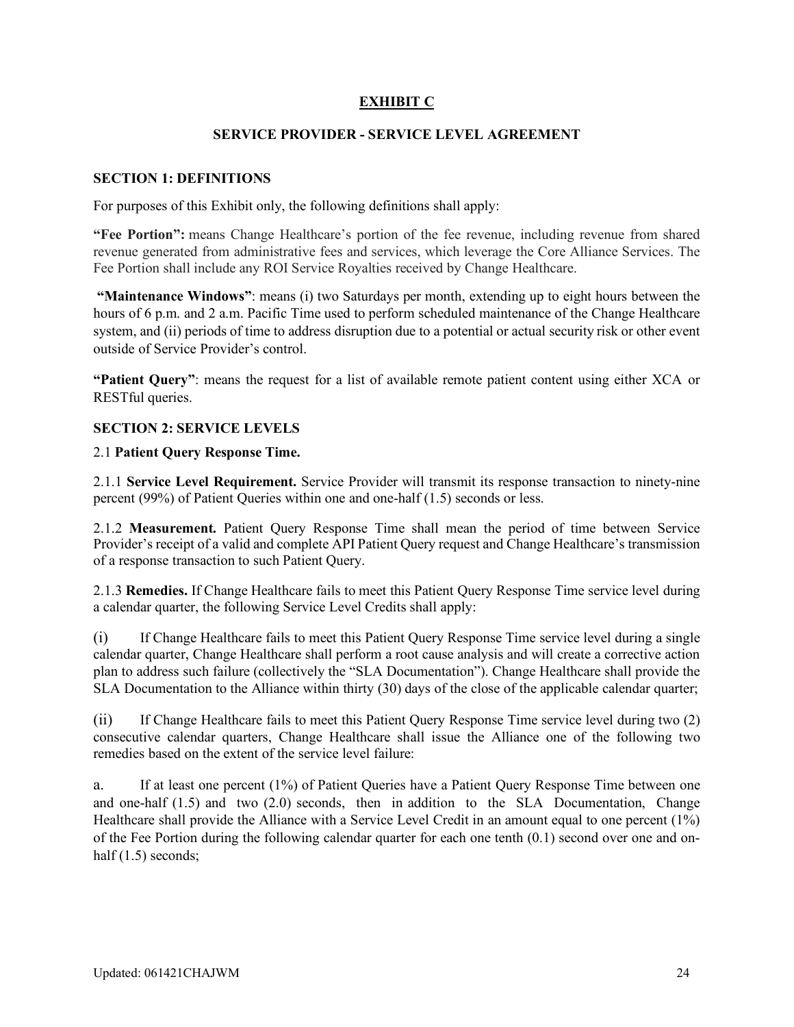## **EXHIBIT C**

#### **SERVICE PROVIDER - SERVICE LEVEL AGREEMENT**

#### **SECTION 1: DEFINITIONS**

For purposes of this Exhibit only, the following definitions shall apply:

**"Fee Portion":** means Change Healthcare's portion of the fee revenue, including revenue from shared revenue generated from administrative fees and services, which leverage the Core Alliance Services. The Fee Portion shall include any ROI Service Royalties received by Change Healthcare.

**"Maintenance Windows"**: means (i) two Saturdays per month, extending up to eight hours between the hours of 6 p.m. and 2 a.m. Pacific Time used to perform scheduled maintenance of the Change Healthcare system, and (ii) periods of time to address disruption due to a potential or actual security risk or other event outside of Service Provider's control.

**"Patient Query"**: means the request for a list of available remote patient content using either XCA or RESTful queries.

### **SECTION 2: SERVICE LEVELS**

### 2.1 **Patient Query Response Time.**

2.1.1 **Service Level Requirement.** Service Provider will transmit its response transaction to ninety-nine percent (99%) of Patient Queries within one and one-half (1.5) seconds or less.

2.1.2 **Measurement.** Patient Query Response Time shall mean the period of time between Service Provider's receipt of a valid and complete API Patient Query request and Change Healthcare's transmission of a response transaction to such Patient Query.

2.1.3 **Remedies.** If Change Healthcare fails to meet this Patient Query Response Time service level during a calendar quarter, the following Service Level Credits shall apply:

(i) If Change Healthcare fails to meet this Patient Query Response Time service level during a single calendar quarter, Change Healthcare shall perform a root cause analysis and will create a corrective action plan to address such failure (collectively the "SLA Documentation"). Change Healthcare shall provide the SLA Documentation to the Alliance within thirty (30) days of the close of the applicable calendar quarter;

(ii) If Change Healthcare fails to meet this Patient Query Response Time service level during two (2) consecutive calendar quarters, Change Healthcare shall issue the Alliance one of the following two remedies based on the extent of the service level failure:

a. If at least one percent (1%) of Patient Queries have a Patient Query Response Time between one and one-half (1.5) and two (2.0) seconds, then in addition to the SLA Documentation, Change Healthcare shall provide the Alliance with a Service Level Credit in an amount equal to one percent (1%) of the Fee Portion during the following calendar quarter for each one tenth (0.1) second over one and onhalf (1.5) seconds;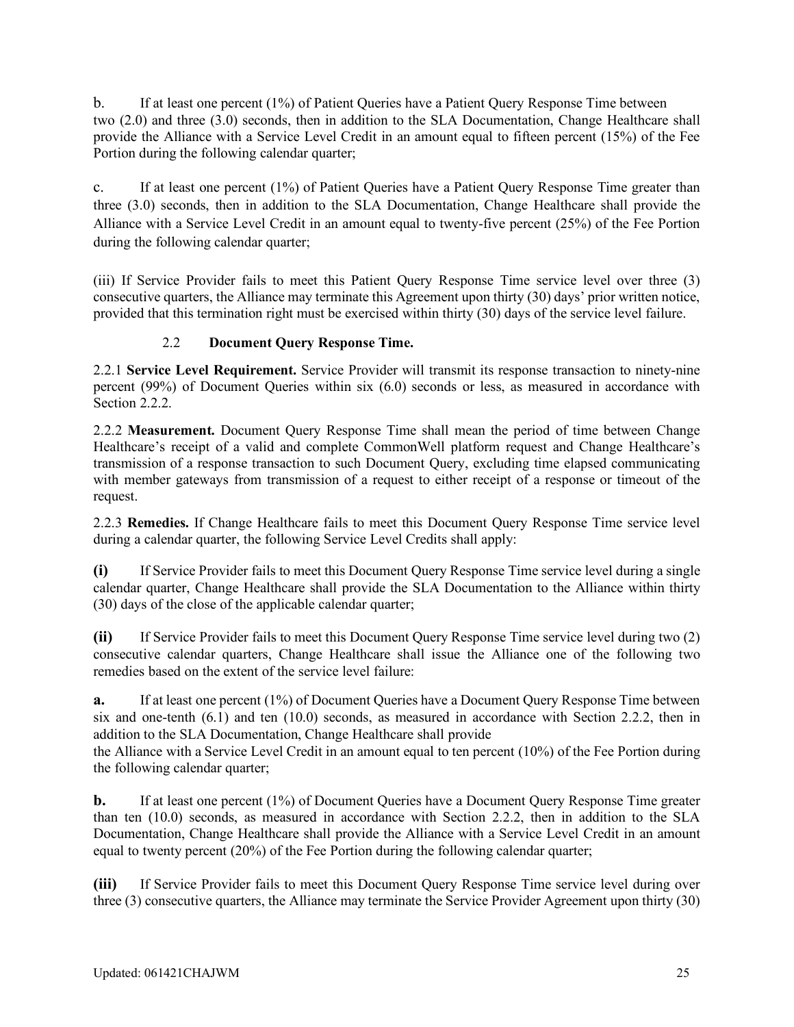b. If at least one percent (1%) of Patient Queries have a Patient Query Response Time between two (2.0) and three (3.0) seconds, then in addition to the SLA Documentation, Change Healthcare shall provide the Alliance with a Service Level Credit in an amount equal to fifteen percent (15%) of the Fee Portion during the following calendar quarter;

c. If at least one percent (1%) of Patient Queries have a Patient Query Response Time greater than three (3.0) seconds, then in addition to the SLA Documentation, Change Healthcare shall provide the Alliance with a Service Level Credit in an amount equal to twenty-five percent (25%) of the Fee Portion during the following calendar quarter;

(iii) If Service Provider fails to meet this Patient Query Response Time service level over three (3) consecutive quarters, the Alliance may terminate this Agreement upon thirty (30) days' prior written notice, provided that this termination right must be exercised within thirty (30) days of the service level failure.

### 2.2 **Document Query Response Time.**

2.2.1 **Service Level Requirement.** Service Provider will transmit its response transaction to ninety-nine percent (99%) of Document Queries within six (6.0) seconds or less, as measured in accordance with Section 2.2.2.

2.2.2 **Measurement.** Document Query Response Time shall mean the period of time between Change Healthcare's receipt of a valid and complete CommonWell platform request and Change Healthcare's transmission of a response transaction to such Document Query, excluding time elapsed communicating with member gateways from transmission of a request to either receipt of a response or timeout of the request.

2.2.3 **Remedies.** If Change Healthcare fails to meet this Document Query Response Time service level during a calendar quarter, the following Service Level Credits shall apply:

**(i)** If Service Provider fails to meet this Document Query Response Time service level during a single calendar quarter, Change Healthcare shall provide the SLA Documentation to the Alliance within thirty (30) days of the close of the applicable calendar quarter;

**(ii)** If Service Provider fails to meet this Document Query Response Time service level during two (2) consecutive calendar quarters, Change Healthcare shall issue the Alliance one of the following two remedies based on the extent of the service level failure:

**a.** If at least one percent (1%) of Document Queries have a Document Query Response Time between six and one-tenth (6.1) and ten (10.0) seconds, as measured in accordance with Section 2.2.2, then in addition to the SLA Documentation, Change Healthcare shall provide

the Alliance with a Service Level Credit in an amount equal to ten percent (10%) of the Fee Portion during the following calendar quarter;

**b.** If at least one percent (1%) of Document Queries have a Document Query Response Time greater than ten (10.0) seconds, as measured in accordance with Section 2.2.2, then in addition to the SLA Documentation, Change Healthcare shall provide the Alliance with a Service Level Credit in an amount equal to twenty percent (20%) of the Fee Portion during the following calendar quarter;

**(iii)** If Service Provider fails to meet this Document Query Response Time service level during over three (3) consecutive quarters, the Alliance may terminate the Service Provider Agreement upon thirty (30)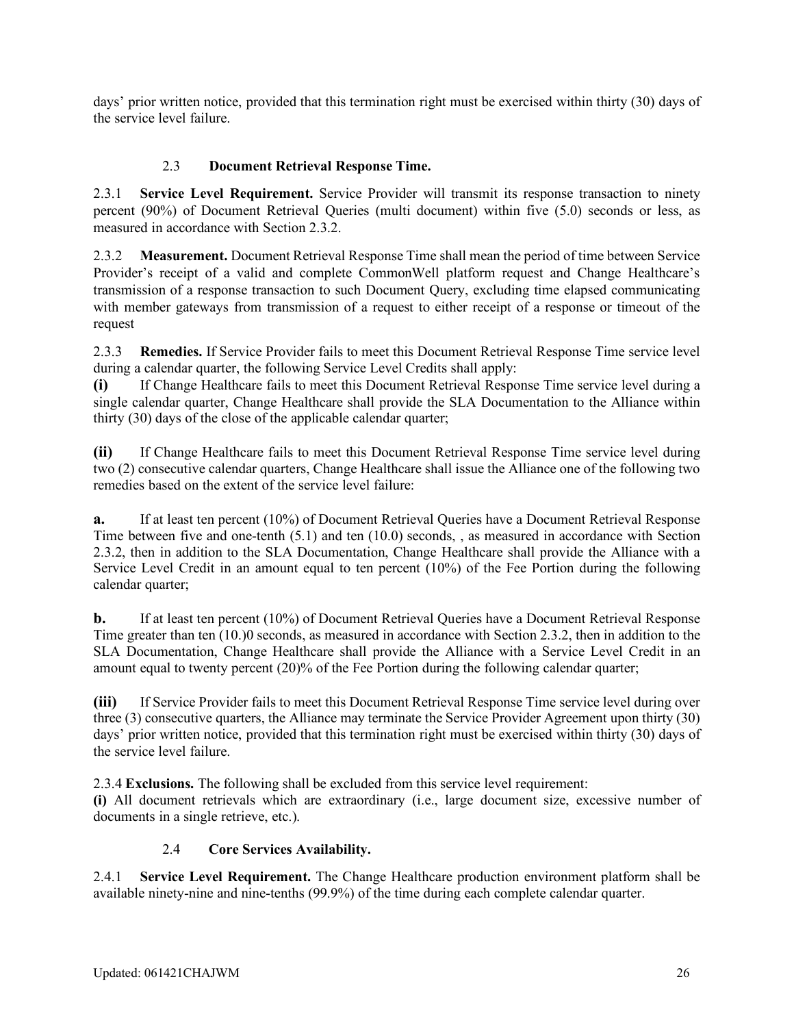days' prior written notice, provided that this termination right must be exercised within thirty (30) days of the service level failure.

## 2.3 **Document Retrieval Response Time.**

2.3.1 **Service Level Requirement.** Service Provider will transmit its response transaction to ninety percent (90%) of Document Retrieval Queries (multi document) within five (5.0) seconds or less, as measured in accordance with Section 2.3.2.

2.3.2 **Measurement.** Document Retrieval Response Time shall mean the period of time between Service Provider's receipt of a valid and complete CommonWell platform request and Change Healthcare's transmission of a response transaction to such Document Query, excluding time elapsed communicating with member gateways from transmission of a request to either receipt of a response or timeout of the request

2.3.3 **Remedies.** If Service Provider fails to meet this Document Retrieval Response Time service level during a calendar quarter, the following Service Level Credits shall apply:

**(i)** If Change Healthcare fails to meet this Document Retrieval Response Time service level during a single calendar quarter, Change Healthcare shall provide the SLA Documentation to the Alliance within thirty (30) days of the close of the applicable calendar quarter;

**(ii)** If Change Healthcare fails to meet this Document Retrieval Response Time service level during two (2) consecutive calendar quarters, Change Healthcare shall issue the Alliance one of the following two remedies based on the extent of the service level failure:

**a.** If at least ten percent (10%) of Document Retrieval Queries have a Document Retrieval Response Time between five and one-tenth (5.1) and ten (10.0) seconds, , as measured in accordance with Section 2.3.2, then in addition to the SLA Documentation, Change Healthcare shall provide the Alliance with a Service Level Credit in an amount equal to ten percent (10%) of the Fee Portion during the following calendar quarter;

**b.** If at least ten percent (10%) of Document Retrieval Queries have a Document Retrieval Response Time greater than ten (10.)0 seconds, as measured in accordance with Section 2.3.2, then in addition to the SLA Documentation, Change Healthcare shall provide the Alliance with a Service Level Credit in an amount equal to twenty percent (20)% of the Fee Portion during the following calendar quarter;

**(iii)** If Service Provider fails to meet this Document Retrieval Response Time service level during over three (3) consecutive quarters, the Alliance may terminate the Service Provider Agreement upon thirty (30) days' prior written notice, provided that this termination right must be exercised within thirty (30) days of the service level failure.

2.3.4 **Exclusions.** The following shall be excluded from this service level requirement:

**(i)** All document retrievals which are extraordinary (i.e., large document size, excessive number of documents in a single retrieve, etc.).

### 2.4 **Core Services Availability.**

2.4.1 **Service Level Requirement.** The Change Healthcare production environment platform shall be available ninety-nine and nine-tenths (99.9%) of the time during each complete calendar quarter.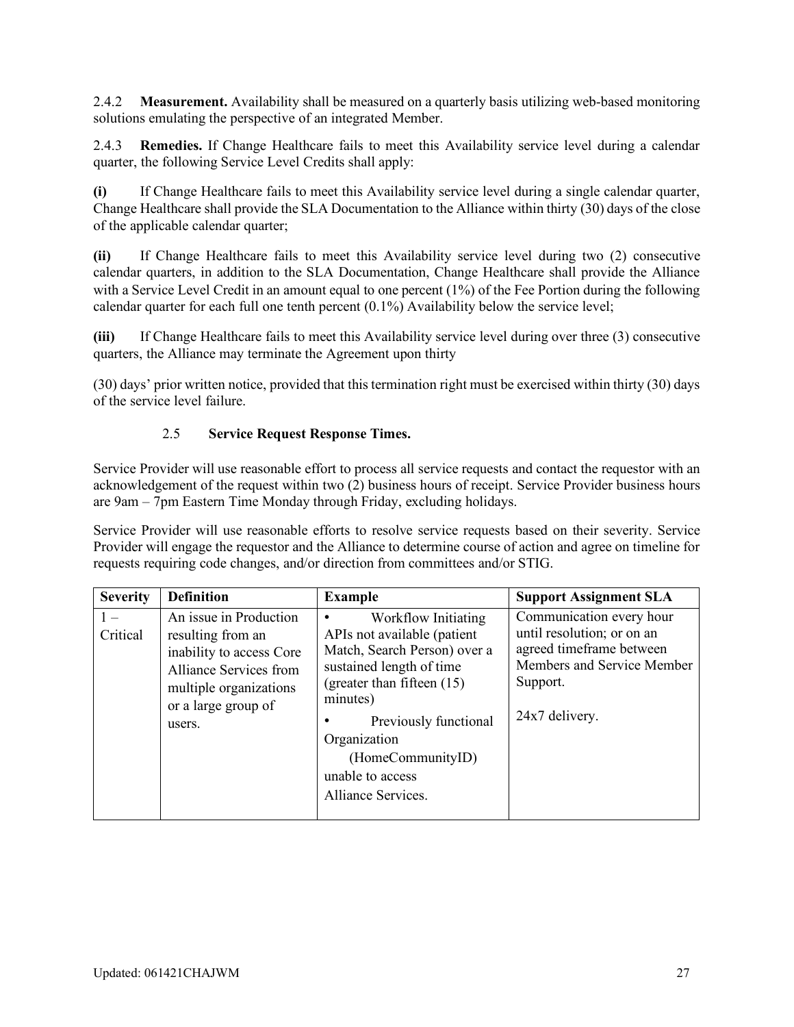2.4.2 **Measurement.** Availability shall be measured on a quarterly basis utilizing web-based monitoring solutions emulating the perspective of an integrated Member.

2.4.3 **Remedies.** If Change Healthcare fails to meet this Availability service level during a calendar quarter, the following Service Level Credits shall apply:

**(i)** If Change Healthcare fails to meet this Availability service level during a single calendar quarter, Change Healthcare shall provide the SLA Documentation to the Alliance within thirty (30) days of the close of the applicable calendar quarter;

**(ii)** If Change Healthcare fails to meet this Availability service level during two (2) consecutive calendar quarters, in addition to the SLA Documentation, Change Healthcare shall provide the Alliance with a Service Level Credit in an amount equal to one percent (1%) of the Fee Portion during the following calendar quarter for each full one tenth percent (0.1%) Availability below the service level;

**(iii)** If Change Healthcare fails to meet this Availability service level during over three (3) consecutive quarters, the Alliance may terminate the Agreement upon thirty

(30) days' prior written notice, provided that this termination right must be exercised within thirty (30) days of the service level failure.

### 2.5 **Service Request Response Times.**

Service Provider will use reasonable effort to process all service requests and contact the requestor with an acknowledgement of the request within two (2) business hours of receipt. Service Provider business hours are 9am – 7pm Eastern Time Monday through Friday, excluding holidays.

Service Provider will use reasonable efforts to resolve service requests based on their severity. Service Provider will engage the requestor and the Alliance to determine course of action and agree on timeline for requests requiring code changes, and/or direction from committees and/or STIG.

| <b>Severity</b> | <b>Definition</b>                                                                                                                                            | <b>Example</b>                                                                                                                                                                                                                                                   | <b>Support Assignment SLA</b>                                                                                                                  |
|-----------------|--------------------------------------------------------------------------------------------------------------------------------------------------------------|------------------------------------------------------------------------------------------------------------------------------------------------------------------------------------------------------------------------------------------------------------------|------------------------------------------------------------------------------------------------------------------------------------------------|
| Critical        | An issue in Production<br>resulting from an<br>inability to access Core<br>Alliance Services from<br>multiple organizations<br>or a large group of<br>users. | Workflow Initiating<br>APIs not available (patient<br>Match, Search Person) over a<br>sustained length of time<br>(greater than fifteen (15)<br>minutes)<br>Previously functional<br>Organization<br>(HomeCommunityID)<br>unable to access<br>Alliance Services. | Communication every hour<br>until resolution; or on an<br>agreed timeframe between<br>Members and Service Member<br>Support.<br>24x7 delivery. |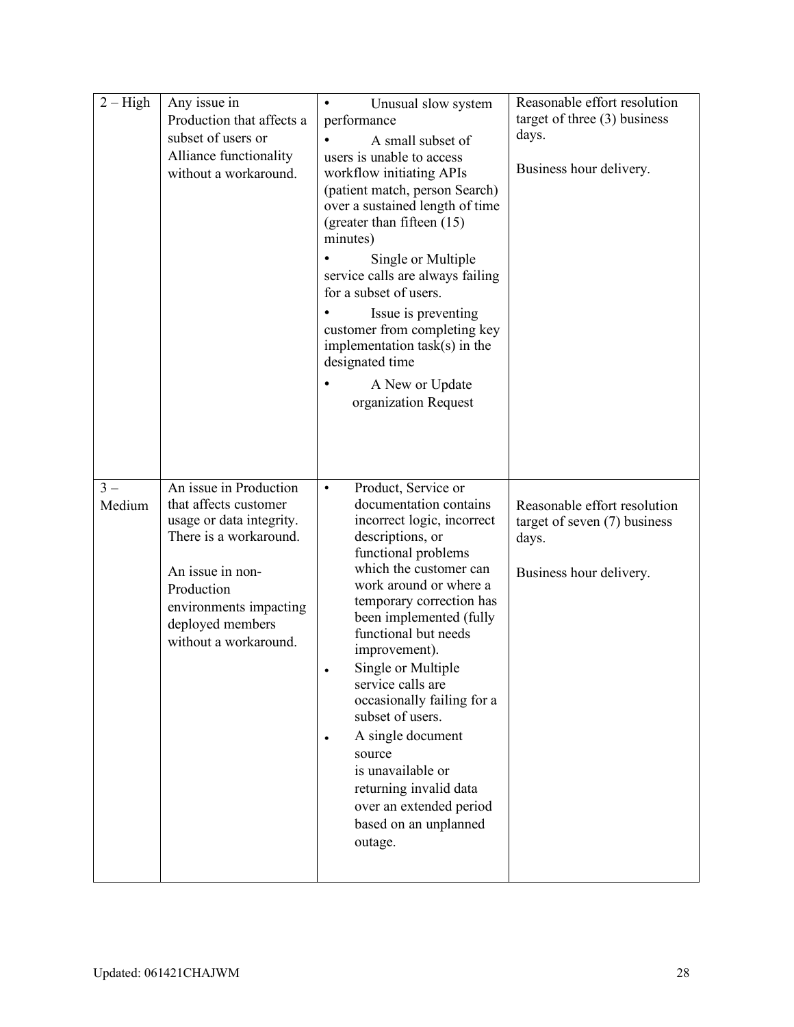| $2 - High$      | Any issue in<br>Production that affects a<br>subset of users or<br>Alliance functionality<br>without a workaround.                                                                                             | Unusual slow system<br>$\bullet$<br>performance<br>A small subset of<br>users is unable to access<br>workflow initiating APIs<br>(patient match, person Search)<br>over a sustained length of time<br>(greater than fifteen (15)<br>minutes)<br>Single or Multiple<br>service calls are always failing<br>for a subset of users.<br>Issue is preventing<br>customer from completing key<br>implementation $task(s)$ in the<br>designated time<br>A New or Update<br>organization Request                                                       | Reasonable effort resolution<br>target of three $(3)$ business<br>days.<br>Business hour delivery. |
|-----------------|----------------------------------------------------------------------------------------------------------------------------------------------------------------------------------------------------------------|------------------------------------------------------------------------------------------------------------------------------------------------------------------------------------------------------------------------------------------------------------------------------------------------------------------------------------------------------------------------------------------------------------------------------------------------------------------------------------------------------------------------------------------------|----------------------------------------------------------------------------------------------------|
| $3 -$<br>Medium | An issue in Production<br>that affects customer<br>usage or data integrity.<br>There is a workaround.<br>An issue in non-<br>Production<br>environments impacting<br>deployed members<br>without a workaround. | Product, Service or<br>$\bullet$<br>documentation contains<br>incorrect logic, incorrect<br>descriptions, or<br>functional problems<br>which the customer can<br>work around or where a<br>temporary correction has<br>been implemented (fully<br>functional but needs<br>improvement).<br>Single or Multiple<br>service calls are<br>occasionally failing for a<br>subset of users.<br>A single document<br>$\bullet$<br>source<br>is unavailable or<br>returning invalid data<br>over an extended period<br>based on an unplanned<br>outage. | Reasonable effort resolution<br>target of seven $(7)$ business<br>days.<br>Business hour delivery. |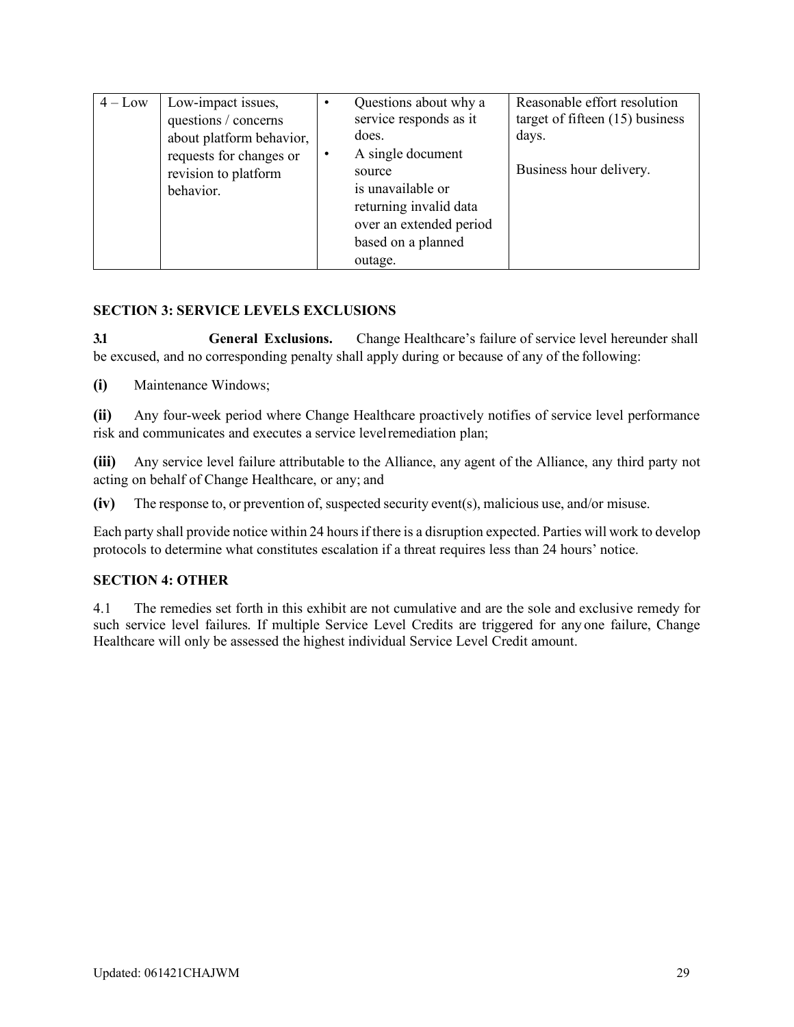| $4 - Low$ | Low-impact issues,<br>questions / concerns<br>about platform behavior,<br>requests for changes or<br>revision to platform<br>behavior. | Questions about why a<br>service responds as it<br>does.<br>A single document<br>source<br>is unavailable or<br>returning invalid data<br>over an extended period<br>based on a planned | Reasonable effort resolution<br>target of fifteen $(15)$ business<br>days.<br>Business hour delivery. |
|-----------|----------------------------------------------------------------------------------------------------------------------------------------|-----------------------------------------------------------------------------------------------------------------------------------------------------------------------------------------|-------------------------------------------------------------------------------------------------------|
|           |                                                                                                                                        | outage.                                                                                                                                                                                 |                                                                                                       |

### **SECTION 3: SERVICE LEVELS EXCLUSIONS**

**3.1 General Exclusions.** Change Healthcare's failure of service level hereunder shall be excused, and no corresponding penalty shall apply during or because of any of the following:

**(i)** Maintenance Windows;

**(ii)** Any four-week period where Change Healthcare proactively notifies of service level performance risk and communicates and executes a service levelremediation plan;

**(iii)** Any service level failure attributable to the Alliance, any agent of the Alliance, any third party not acting on behalf of Change Healthcare, or any; and

**(iv)** The response to, or prevention of, suspected security event(s), malicious use, and/or misuse.

Each party shall provide notice within 24 hours if there is a disruption expected. Parties will work to develop protocols to determine what constitutes escalation if a threat requires less than 24 hours' notice.

### **SECTION 4: OTHER**

4.1 The remedies set forth in this exhibit are not cumulative and are the sole and exclusive remedy for such service level failures. If multiple Service Level Credits are triggered for any one failure, Change Healthcare will only be assessed the highest individual Service Level Credit amount.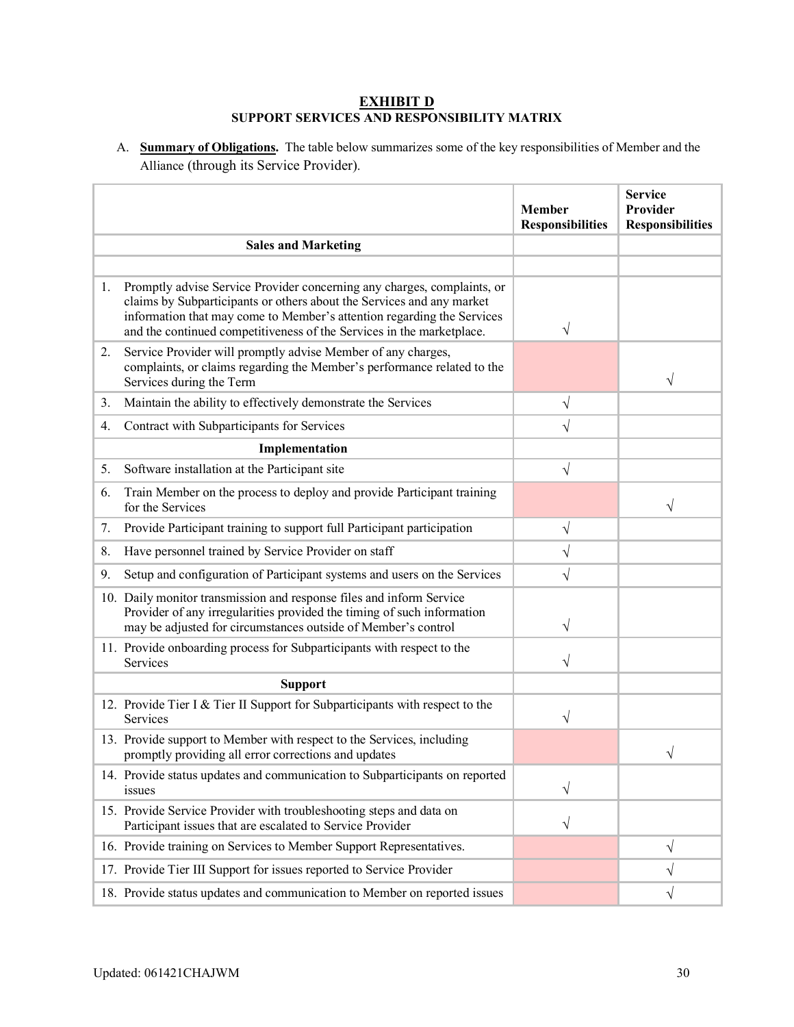#### **EXHIBIT D SUPPORT SERVICES AND RESPONSIBILITY MATRIX**

A. **Summary of Obligations.** The table below summarizes some of the key responsibilities of Member and the Alliance (through its Service Provider).

|    |                                                                                                                                                                                                                                                                                                     | <b>Member</b><br><b>Responsibilities</b> | <b>Service</b><br>Provider<br><b>Responsibilities</b> |
|----|-----------------------------------------------------------------------------------------------------------------------------------------------------------------------------------------------------------------------------------------------------------------------------------------------------|------------------------------------------|-------------------------------------------------------|
|    | <b>Sales and Marketing</b>                                                                                                                                                                                                                                                                          |                                          |                                                       |
|    |                                                                                                                                                                                                                                                                                                     |                                          |                                                       |
| 1. | Promptly advise Service Provider concerning any charges, complaints, or<br>claims by Subparticipants or others about the Services and any market<br>information that may come to Member's attention regarding the Services<br>and the continued competitiveness of the Services in the marketplace. | V                                        |                                                       |
| 2. | Service Provider will promptly advise Member of any charges,<br>complaints, or claims regarding the Member's performance related to the<br>Services during the Term                                                                                                                                 |                                          | V                                                     |
| 3. | Maintain the ability to effectively demonstrate the Services                                                                                                                                                                                                                                        | $\sqrt{}$                                |                                                       |
| 4. | Contract with Subparticipants for Services                                                                                                                                                                                                                                                          | $\sqrt{}$                                |                                                       |
|    | Implementation                                                                                                                                                                                                                                                                                      |                                          |                                                       |
| 5. | Software installation at the Participant site                                                                                                                                                                                                                                                       | $\sqrt{}$                                |                                                       |
| 6. | Train Member on the process to deploy and provide Participant training<br>for the Services                                                                                                                                                                                                          |                                          | V                                                     |
| 7. | Provide Participant training to support full Participant participation                                                                                                                                                                                                                              | V                                        |                                                       |
| 8. | Have personnel trained by Service Provider on staff                                                                                                                                                                                                                                                 | V                                        |                                                       |
| 9. | Setup and configuration of Participant systems and users on the Services                                                                                                                                                                                                                            | V                                        |                                                       |
|    | 10. Daily monitor transmission and response files and inform Service<br>Provider of any irregularities provided the timing of such information<br>may be adjusted for circumstances outside of Member's control                                                                                     | V                                        |                                                       |
|    | 11. Provide onboarding process for Subparticipants with respect to the<br>Services                                                                                                                                                                                                                  | V                                        |                                                       |
|    | <b>Support</b>                                                                                                                                                                                                                                                                                      |                                          |                                                       |
|    | 12. Provide Tier I & Tier II Support for Subparticipants with respect to the<br>Services                                                                                                                                                                                                            | V                                        |                                                       |
|    | 13. Provide support to Member with respect to the Services, including<br>promptly providing all error corrections and updates                                                                                                                                                                       |                                          | ٦                                                     |
|    | 14. Provide status updates and communication to Subparticipants on reported<br>issues                                                                                                                                                                                                               | V                                        |                                                       |
|    | 15. Provide Service Provider with troubleshooting steps and data on<br>Participant issues that are escalated to Service Provider                                                                                                                                                                    | V                                        |                                                       |
|    | 16. Provide training on Services to Member Support Representatives.                                                                                                                                                                                                                                 |                                          | V                                                     |
|    | 17. Provide Tier III Support for issues reported to Service Provider                                                                                                                                                                                                                                |                                          | V                                                     |
|    | 18. Provide status updates and communication to Member on reported issues                                                                                                                                                                                                                           |                                          | V                                                     |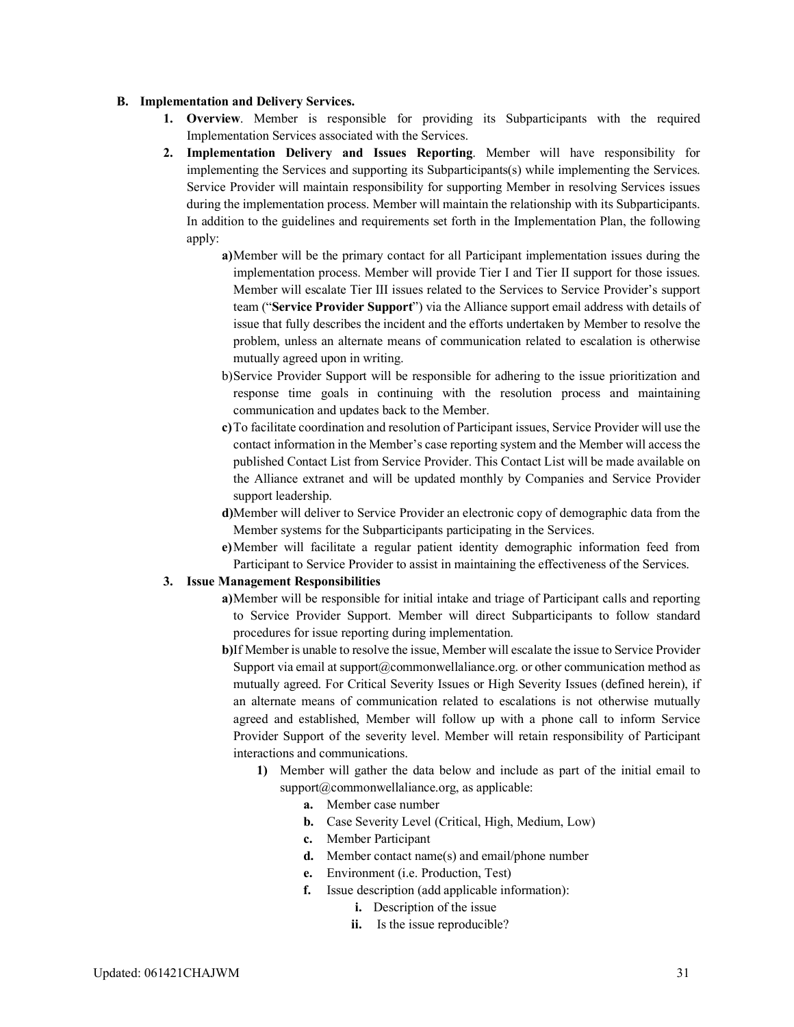#### **B. Implementation and Delivery Services.**

- **1. Overview**. Member is responsible for providing its Subparticipants with the required Implementation Services associated with the Services.
- **2. Implementation Delivery and Issues Reporting**. Member will have responsibility for implementing the Services and supporting its Subparticipants(s) while implementing the Services. Service Provider will maintain responsibility for supporting Member in resolving Services issues during the implementation process. Member will maintain the relationship with its Subparticipants. In addition to the guidelines and requirements set forth in the Implementation Plan, the following apply:
	- **a)**Member will be the primary contact for all Participant implementation issues during the implementation process. Member will provide Tier I and Tier II support for those issues. Member will escalate Tier III issues related to the Services to Service Provider's support team ("**Service Provider Support**") via the Alliance support email address with details of issue that fully describes the incident and the efforts undertaken by Member to resolve the problem, unless an alternate means of communication related to escalation is otherwise mutually agreed upon in writing.
	- b)Service Provider Support will be responsible for adhering to the issue prioritization and response time goals in continuing with the resolution process and maintaining communication and updates back to the Member.
	- **c)**To facilitate coordination and resolution of Participant issues, Service Provider will use the contact information in the Member's case reporting system and the Member will access the published Contact List from Service Provider. This Contact List will be made available on the Alliance extranet and will be updated monthly by Companies and Service Provider support leadership.
	- **d)**Member will deliver to Service Provider an electronic copy of demographic data from the Member systems for the Subparticipants participating in the Services.
	- **e)**Member will facilitate a regular patient identity demographic information feed from Participant to Service Provider to assist in maintaining the effectiveness of the Services.

#### **3. Issue Management Responsibilities**

- **a)**Member will be responsible for initial intake and triage of Participant calls and reporting to Service Provider Support. Member will direct Subparticipants to follow standard procedures for issue reporting during implementation.
- **b)**If Member is unable to resolve the issue, Member will escalate the issue to Service Provider Support via email at support $@$ commonwellaliance.org. or other communication method as mutually agreed. For Critical Severity Issues or High Severity Issues (defined herein), if an alternate means of communication related to escalations is not otherwise mutually agreed and established, Member will follow up with a phone call to inform Service Provider Support of the severity level. Member will retain responsibility of Participant interactions and communications.
	- **1)** Member will gather the data below and include as part of the initial email to  $support@commandwellaliance.org, as applicable:$ 
		- **a.** Member case number
		- **b.** Case Severity Level (Critical, High, Medium, Low)
		- **c.** Member Participant
		- **d.** Member contact name(s) and email/phone number
		- **e.** Environment (i.e. Production, Test)
		- **f.** Issue description (add applicable information):
			- **i.** Description of the issue
			- **ii.** Is the issue reproducible?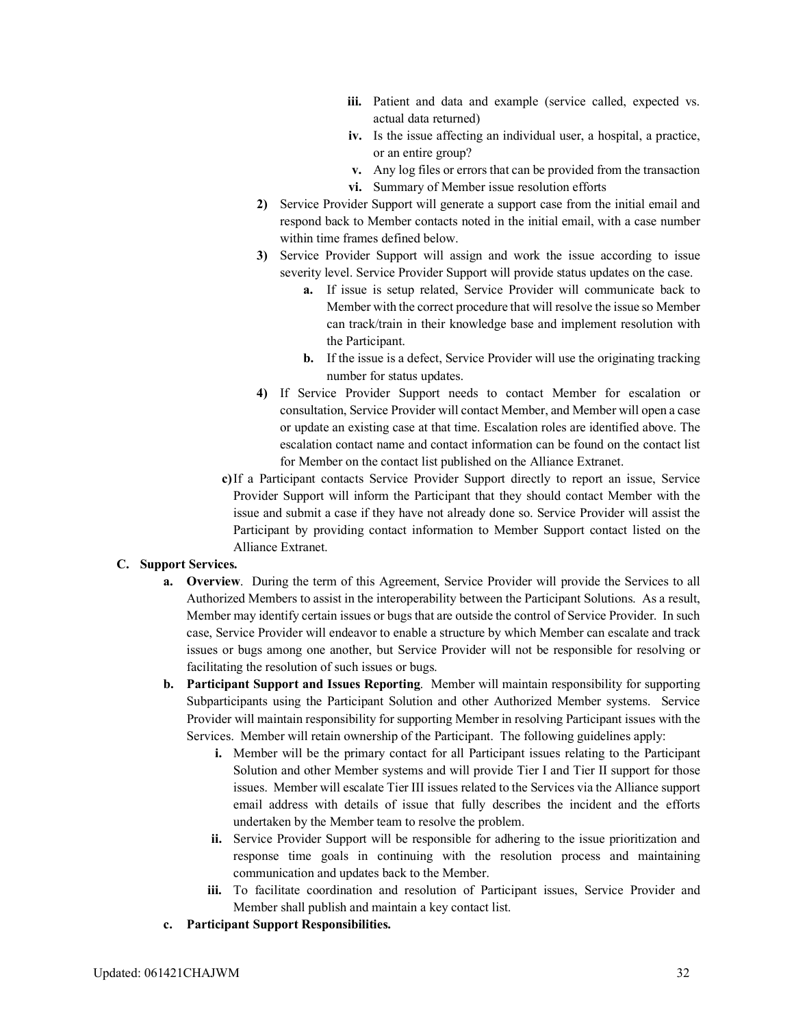- iii. Patient and data and example (service called, expected vs. actual data returned)
- **iv.** Is the issue affecting an individual user, a hospital, a practice, or an entire group?
- **v.** Any log files or errors that can be provided from the transaction
- **vi.** Summary of Member issue resolution efforts
- **2)** Service Provider Support will generate a support case from the initial email and respond back to Member contacts noted in the initial email, with a case number within time frames defined below.
- **3)** Service Provider Support will assign and work the issue according to issue severity level. Service Provider Support will provide status updates on the case.
	- **a.** If issue is setup related, Service Provider will communicate back to Member with the correct procedure that will resolve the issue so Member can track/train in their knowledge base and implement resolution with the Participant.
	- **b.** If the issue is a defect, Service Provider will use the originating tracking number for status updates.
- **4)** If Service Provider Support needs to contact Member for escalation or consultation, Service Provider will contact Member, and Member will open a case or update an existing case at that time. Escalation roles are identified above. The escalation contact name and contact information can be found on the contact list for Member on the contact list published on the Alliance Extranet.
- **c)**If a Participant contacts Service Provider Support directly to report an issue, Service Provider Support will inform the Participant that they should contact Member with the issue and submit a case if they have not already done so. Service Provider will assist the Participant by providing contact information to Member Support contact listed on the Alliance Extranet.

#### **C. Support Services.**

- **a. Overview**. During the term of this Agreement, Service Provider will provide the Services to all Authorized Members to assist in the interoperability between the Participant Solutions. As a result, Member may identify certain issues or bugs that are outside the control of Service Provider. In such case, Service Provider will endeavor to enable a structure by which Member can escalate and track issues or bugs among one another, but Service Provider will not be responsible for resolving or facilitating the resolution of such issues or bugs.
- **b. Participant Support and Issues Reporting**. Member will maintain responsibility for supporting Subparticipants using the Participant Solution and other Authorized Member systems. Service Provider will maintain responsibility for supporting Member in resolving Participant issues with the Services. Member will retain ownership of the Participant. The following guidelines apply:
	- **i.** Member will be the primary contact for all Participant issues relating to the Participant Solution and other Member systems and will provide Tier I and Tier II support for those issues. Member will escalate Tier III issues related to the Services via the Alliance support email address with details of issue that fully describes the incident and the efforts undertaken by the Member team to resolve the problem.
	- **ii.** Service Provider Support will be responsible for adhering to the issue prioritization and response time goals in continuing with the resolution process and maintaining communication and updates back to the Member.
	- **iii.** To facilitate coordination and resolution of Participant issues, Service Provider and Member shall publish and maintain a key contact list.
- **c. Participant Support Responsibilities.**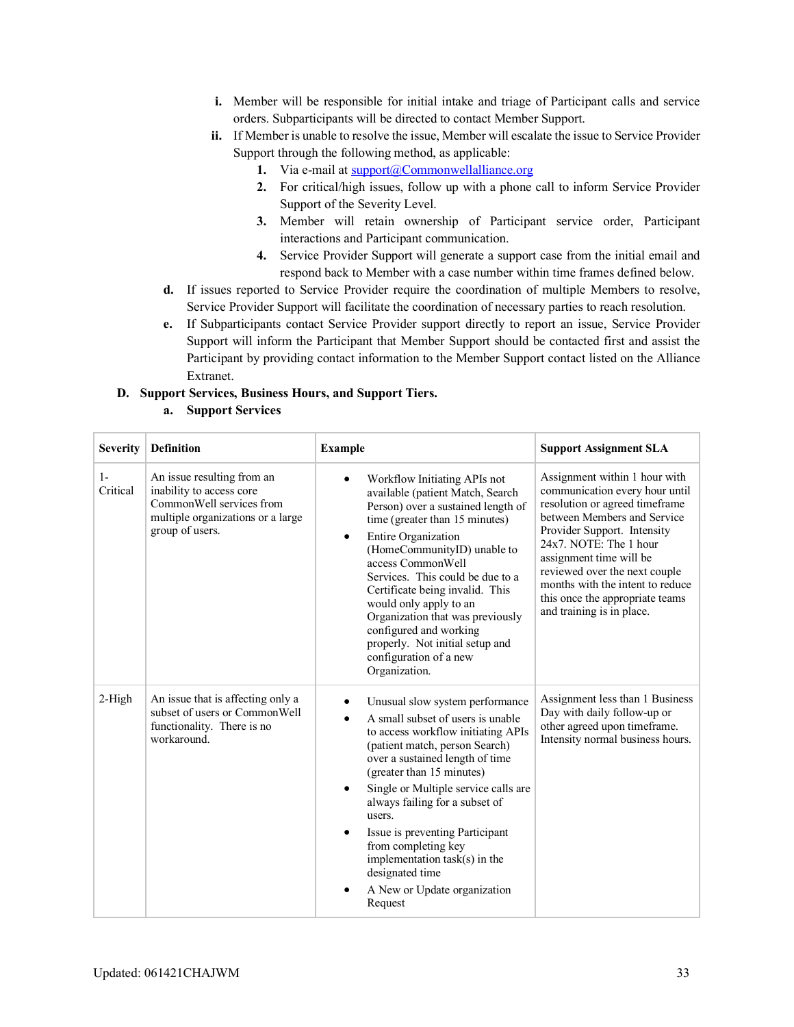- **i.** Member will be responsible for initial intake and triage of Participant calls and service orders. Subparticipants will be directed to contact Member Support.
- **ii.** If Member is unable to resolve the issue, Member will escalate the issue to Service Provider Support through the following method, as applicable:
	- **1.** Via e-mail a[t support@Commonwellalliance.org](mailto:support@Commonwellalliance.org)
	- **2.** For critical/high issues, follow up with a phone call to inform Service Provider Support of the Severity Level.
	- **3.** Member will retain ownership of Participant service order, Participant interactions and Participant communication.
	- **4.** Service Provider Support will generate a support case from the initial email and respond back to Member with a case number within time frames defined below.
- **d.** If issues reported to Service Provider require the coordination of multiple Members to resolve, Service Provider Support will facilitate the coordination of necessary parties to reach resolution.
- **e.** If Subparticipants contact Service Provider support directly to report an issue, Service Provider Support will inform the Participant that Member Support should be contacted first and assist the Participant by providing contact information to the Member Support contact listed on the Alliance Extranet.

#### **D. Support Services, Business Hours, and Support Tiers.**

#### **a. Support Services**

| <b>Severity</b>  | <b>Definition</b>                                                                                                                          | <b>Example</b>                                                                                                                                                                                                                                                                                                                                                                                                                                                                | <b>Support Assignment SLA</b>                                                                                                                                                                                                                                                                                                                               |
|------------------|--------------------------------------------------------------------------------------------------------------------------------------------|-------------------------------------------------------------------------------------------------------------------------------------------------------------------------------------------------------------------------------------------------------------------------------------------------------------------------------------------------------------------------------------------------------------------------------------------------------------------------------|-------------------------------------------------------------------------------------------------------------------------------------------------------------------------------------------------------------------------------------------------------------------------------------------------------------------------------------------------------------|
| $1-$<br>Critical | An issue resulting from an<br>inability to access core<br>CommonWell services from<br>multiple organizations or a large<br>group of users. | Workflow Initiating APIs not<br>available (patient Match, Search<br>Person) over a sustained length of<br>time (greater than 15 minutes)<br>Entire Organization<br>$\bullet$<br>(HomeCommunityID) unable to<br>access CommonWell<br>Services. This could be due to a<br>Certificate being invalid. This<br>would only apply to an<br>Organization that was previously<br>configured and working<br>properly. Not initial setup and<br>configuration of a new<br>Organization. | Assignment within 1 hour with<br>communication every hour until<br>resolution or agreed timeframe<br>between Members and Service<br>Provider Support. Intensity<br>$24x7.$ NOTE: The 1 hour<br>assignment time will be<br>reviewed over the next couple<br>months with the intent to reduce<br>this once the appropriate teams<br>and training is in place. |
| $2-High$         | An issue that is affecting only a<br>subset of users or CommonWell<br>functionality. There is no<br>workaround.                            | Unusual slow system performance<br>A small subset of users is unable<br>to access workflow initiating APIs<br>(patient match, person Search)<br>over a sustained length of time<br>(greater than 15 minutes)<br>Single or Multiple service calls are<br>always failing for a subset of<br>users.<br>Issue is preventing Participant<br>from completing key<br>implementation $task(s)$ in the<br>designated time<br>A New or Update organization<br>Request                   | Assignment less than 1 Business<br>Day with daily follow-up or<br>other agreed upon timeframe.<br>Intensity normal business hours.                                                                                                                                                                                                                          |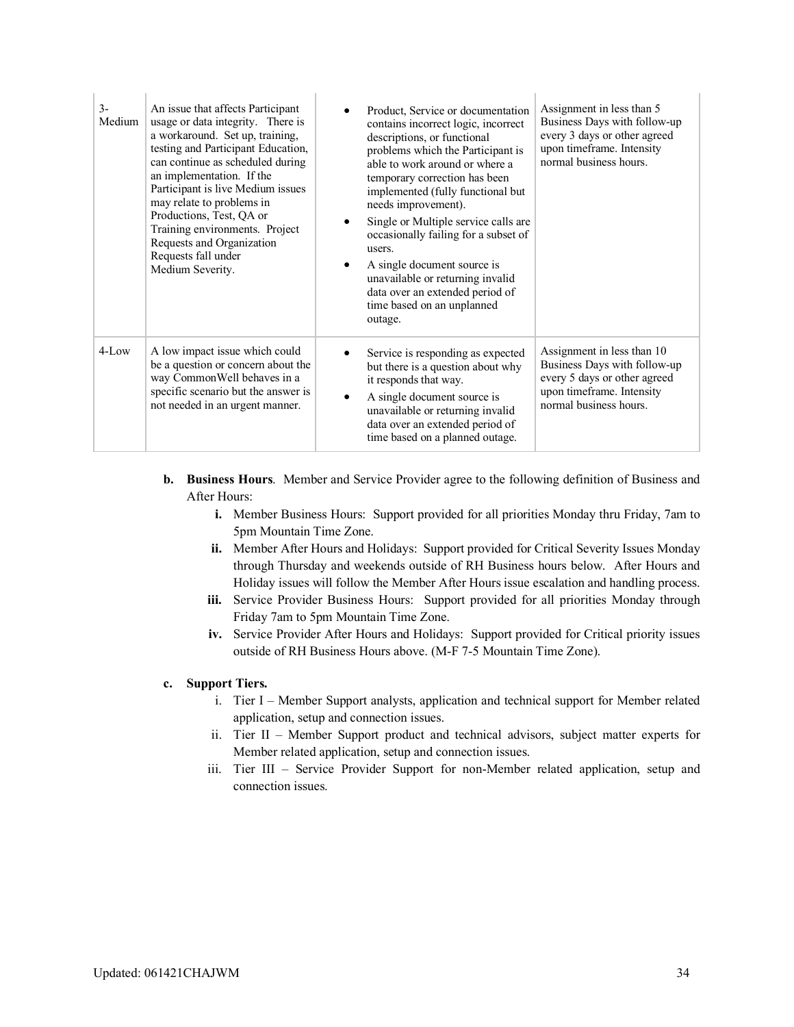| $3-$<br>Medium | An issue that affects Participant<br>usage or data integrity. There is<br>a workaround. Set up, training,<br>testing and Participant Education,<br>can continue as scheduled during<br>an implementation. If the<br>Participant is live Medium issues<br>may relate to problems in<br>Productions, Test, QA or<br>Training environments. Project<br>Requests and Organization<br>Requests fall under<br>Medium Severity. | Product, Service or documentation<br>contains incorrect logic, incorrect<br>descriptions, or functional<br>problems which the Participant is<br>able to work around or where a<br>temporary correction has been<br>implemented (fully functional but<br>needs improvement).<br>Single or Multiple service calls are<br>occasionally failing for a subset of<br>users.<br>A single document source is<br>$\bullet$<br>unavailable or returning invalid<br>data over an extended period of<br>time based on an unplanned<br>outage. | Assignment in less than 5<br>Business Days with follow-up<br>every 3 days or other agreed<br>upon timeframe. Intensity<br>normal business hours.  |
|----------------|--------------------------------------------------------------------------------------------------------------------------------------------------------------------------------------------------------------------------------------------------------------------------------------------------------------------------------------------------------------------------------------------------------------------------|-----------------------------------------------------------------------------------------------------------------------------------------------------------------------------------------------------------------------------------------------------------------------------------------------------------------------------------------------------------------------------------------------------------------------------------------------------------------------------------------------------------------------------------|---------------------------------------------------------------------------------------------------------------------------------------------------|
| $4$ -Low       | A low impact issue which could<br>be a question or concern about the<br>way CommonWell behaves in a<br>specific scenario but the answer is<br>not needed in an urgent manner.                                                                                                                                                                                                                                            | Service is responding as expected<br>but there is a question about why<br>it responds that way.<br>A single document source is<br>$\bullet$<br>unavailable or returning invalid<br>data over an extended period of<br>time based on a planned outage.                                                                                                                                                                                                                                                                             | Assignment in less than 10<br>Business Days with follow-up<br>every 5 days or other agreed<br>upon timeframe. Intensity<br>normal business hours. |

- **b. Business Hours**. Member and Service Provider agree to the following definition of Business and After Hours:
	- **i.** Member Business Hours: Support provided for all priorities Monday thru Friday, 7am to 5pm Mountain Time Zone.
	- **ii.** Member After Hours and Holidays: Support provided for Critical Severity Issues Monday through Thursday and weekends outside of RH Business hours below. After Hours and Holiday issues will follow the Member After Hours issue escalation and handling process.
	- **iii.** Service Provider Business Hours: Support provided for all priorities Monday through Friday 7am to 5pm Mountain Time Zone.
	- **iv.** Service Provider After Hours and Holidays: Support provided for Critical priority issues outside of RH Business Hours above. (M-F 7-5 Mountain Time Zone).

#### **c. Support Tiers.**

- i. Tier I Member Support analysts, application and technical support for Member related application, setup and connection issues.
- ii. Tier II Member Support product and technical advisors, subject matter experts for Member related application, setup and connection issues.
- iii. Tier III Service Provider Support for non-Member related application, setup and connection issues.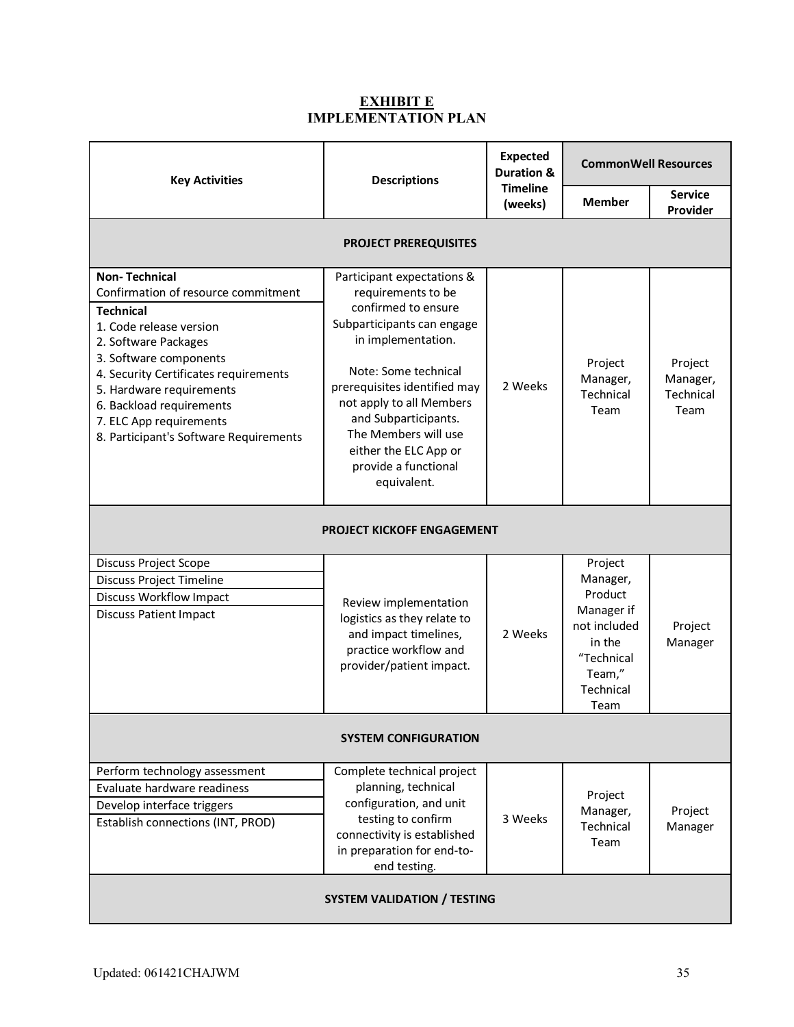### **EXHIBIT E IMPLEMENTATION PLAN**

| <b>Key Activities</b>                                                                                                                                                                                                                                                                                                              | <b>Descriptions</b>                                                                                                                                                                                                                                                                                                             | <b>Expected</b><br><b>Duration &amp;</b> | <b>CommonWell Resources</b>                                                                                         |                                          |  |  |  |
|------------------------------------------------------------------------------------------------------------------------------------------------------------------------------------------------------------------------------------------------------------------------------------------------------------------------------------|---------------------------------------------------------------------------------------------------------------------------------------------------------------------------------------------------------------------------------------------------------------------------------------------------------------------------------|------------------------------------------|---------------------------------------------------------------------------------------------------------------------|------------------------------------------|--|--|--|
|                                                                                                                                                                                                                                                                                                                                    |                                                                                                                                                                                                                                                                                                                                 | <b>Timeline</b><br>(weeks)               | <b>Member</b>                                                                                                       | <b>Service</b><br>Provider               |  |  |  |
|                                                                                                                                                                                                                                                                                                                                    | <b>PROJECT PREREQUISITES</b>                                                                                                                                                                                                                                                                                                    |                                          |                                                                                                                     |                                          |  |  |  |
| <b>Non-Technical</b><br>Confirmation of resource commitment<br><b>Technical</b><br>1. Code release version<br>2. Software Packages<br>3. Software components<br>4. Security Certificates requirements<br>5. Hardware requirements<br>6. Backload requirements<br>7. ELC App requirements<br>8. Participant's Software Requirements | Participant expectations &<br>requirements to be<br>confirmed to ensure<br>Subparticipants can engage<br>in implementation.<br>Note: Some technical<br>prerequisites identified may<br>not apply to all Members<br>and Subparticipants.<br>The Members will use<br>either the ELC App or<br>provide a functional<br>equivalent. | 2 Weeks                                  | Project<br>Manager,<br>Technical<br>Team                                                                            | Project<br>Manager,<br>Technical<br>Team |  |  |  |
| <b>PROJECT KICKOFF ENGAGEMENT</b>                                                                                                                                                                                                                                                                                                  |                                                                                                                                                                                                                                                                                                                                 |                                          |                                                                                                                     |                                          |  |  |  |
| Discuss Project Scope<br><b>Discuss Project Timeline</b><br><b>Discuss Workflow Impact</b><br><b>Discuss Patient Impact</b>                                                                                                                                                                                                        | Review implementation<br>logistics as they relate to<br>and impact timelines,<br>practice workflow and<br>provider/patient impact.                                                                                                                                                                                              | 2 Weeks                                  | Project<br>Manager,<br>Product<br>Manager if<br>not included<br>in the<br>"Technical<br>Team,"<br>Technical<br>Team | Project<br>Manager                       |  |  |  |
| <b>SYSTEM CONFIGURATION</b>                                                                                                                                                                                                                                                                                                        |                                                                                                                                                                                                                                                                                                                                 |                                          |                                                                                                                     |                                          |  |  |  |
| Perform technology assessment<br>Evaluate hardware readiness<br>Develop interface triggers<br>Establish connections (INT, PROD)                                                                                                                                                                                                    | Complete technical project<br>planning, technical<br>configuration, and unit<br>testing to confirm<br>connectivity is established<br>in preparation for end-to-<br>end testing.                                                                                                                                                 | 3 Weeks                                  | Project<br>Manager,<br>Technical<br>Team                                                                            | Project<br>Manager                       |  |  |  |
| <b>SYSTEM VALIDATION / TESTING</b>                                                                                                                                                                                                                                                                                                 |                                                                                                                                                                                                                                                                                                                                 |                                          |                                                                                                                     |                                          |  |  |  |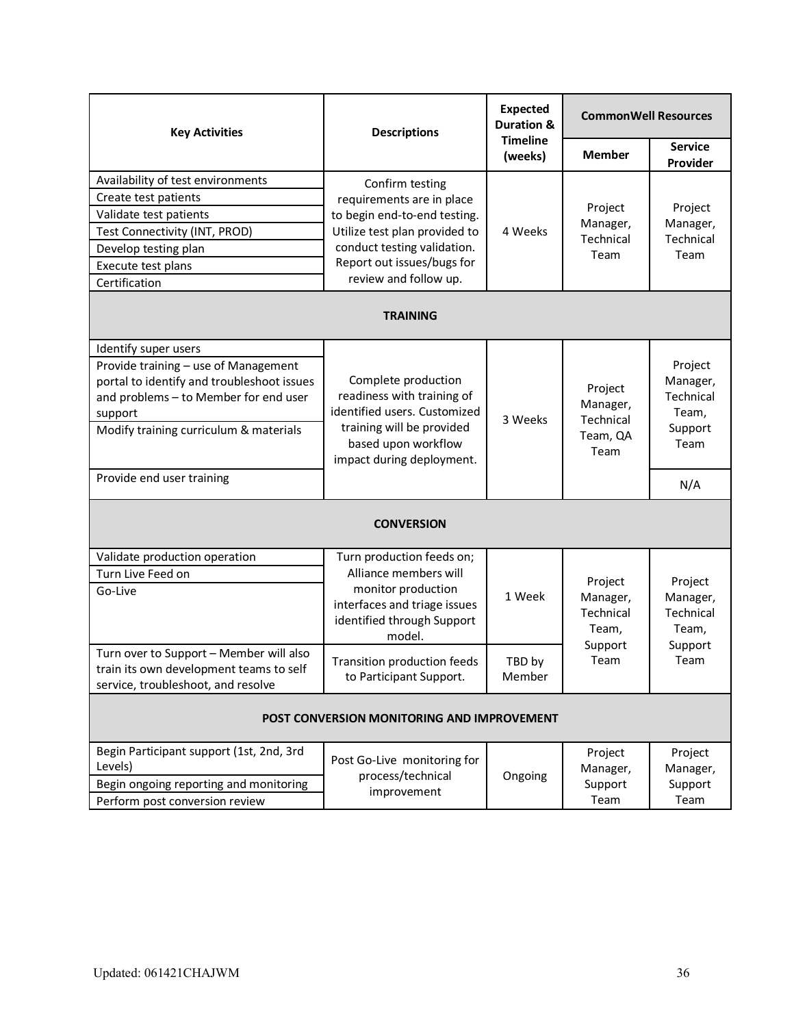| <b>Key Activities</b>                                                                                                                                                                                    | <b>Descriptions</b>                                                                                                                                                | <b>Expected</b><br><b>Duration &amp;</b><br><b>Timeline</b><br>(weeks) | <b>CommonWell Resources</b>                          |                                                              |
|----------------------------------------------------------------------------------------------------------------------------------------------------------------------------------------------------------|--------------------------------------------------------------------------------------------------------------------------------------------------------------------|------------------------------------------------------------------------|------------------------------------------------------|--------------------------------------------------------------|
|                                                                                                                                                                                                          |                                                                                                                                                                    |                                                                        | <b>Member</b>                                        | <b>Service</b><br>Provider                                   |
| Availability of test environments                                                                                                                                                                        | Confirm testing                                                                                                                                                    |                                                                        |                                                      |                                                              |
| Create test patients                                                                                                                                                                                     | requirements are in place                                                                                                                                          |                                                                        |                                                      |                                                              |
| Validate test patients                                                                                                                                                                                   | to begin end-to-end testing.                                                                                                                                       |                                                                        | Project                                              | Project                                                      |
| Test Connectivity (INT, PROD)                                                                                                                                                                            | Utilize test plan provided to                                                                                                                                      | 4 Weeks                                                                | Manager,                                             | Manager,                                                     |
| Develop testing plan                                                                                                                                                                                     | conduct testing validation.                                                                                                                                        |                                                                        | Technical<br>Team                                    | Technical<br>Team                                            |
| Execute test plans                                                                                                                                                                                       | Report out issues/bugs for                                                                                                                                         |                                                                        |                                                      |                                                              |
| Certification                                                                                                                                                                                            | review and follow up.                                                                                                                                              |                                                                        |                                                      |                                                              |
|                                                                                                                                                                                                          | <b>TRAINING</b>                                                                                                                                                    |                                                                        |                                                      |                                                              |
| Identify super users<br>Provide training - use of Management<br>portal to identify and troubleshoot issues<br>and problems - to Member for end user<br>support<br>Modify training curriculum & materials | Complete production<br>readiness with training of<br>identified users. Customized<br>training will be provided<br>based upon workflow<br>impact during deployment. | 3 Weeks                                                                | Project<br>Manager,<br>Technical<br>Team, QA<br>Team | Project<br>Manager,<br>Technical<br>Team,<br>Support<br>Team |
| Provide end user training                                                                                                                                                                                |                                                                                                                                                                    |                                                                        |                                                      | N/A                                                          |
|                                                                                                                                                                                                          | <b>CONVERSION</b>                                                                                                                                                  |                                                                        |                                                      |                                                              |
| Validate production operation                                                                                                                                                                            | Turn production feeds on;                                                                                                                                          |                                                                        |                                                      |                                                              |
| Turn Live Feed on<br>Go-Live                                                                                                                                                                             | Alliance members will<br>monitor production<br>interfaces and triage issues<br>identified through Support<br>model.                                                | 1 Week                                                                 | Project<br>Manager,<br>Technical<br>Team,<br>Support | Project<br>Manager,<br>Technical<br>Team,<br>Support         |
| Turn over to Support - Member will also<br>train its own development teams to self<br>service, troubleshoot, and resolve                                                                                 | Team<br>Transition production feeds<br>TBD by<br>to Participant Support.<br>Member                                                                                 |                                                                        | Team                                                 |                                                              |
| POST CONVERSION MONITORING AND IMPROVEMENT                                                                                                                                                               |                                                                                                                                                                    |                                                                        |                                                      |                                                              |
| Begin Participant support (1st, 2nd, 3rd                                                                                                                                                                 |                                                                                                                                                                    |                                                                        | Project                                              | Project                                                      |
| Levels)                                                                                                                                                                                                  | Post Go-Live monitoring for<br>process/technical                                                                                                                   | Ongoing                                                                | Manager,                                             | Manager,                                                     |
| Begin ongoing reporting and monitoring                                                                                                                                                                   | improvement                                                                                                                                                        |                                                                        | Support                                              | Support                                                      |
| Perform post conversion review                                                                                                                                                                           |                                                                                                                                                                    |                                                                        | Team                                                 | Team                                                         |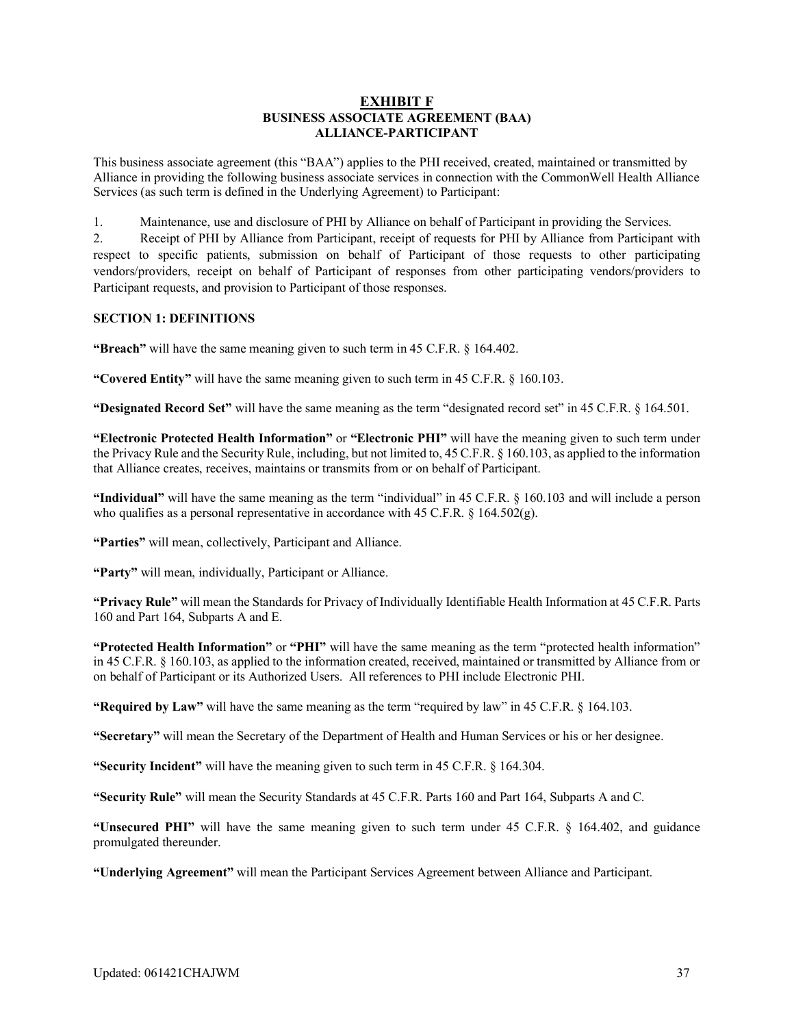#### **EXHIBIT F BUSINESS ASSOCIATE AGREEMENT (BAA) ALLIANCE-PARTICIPANT**

This business associate agreement (this "BAA") applies to the PHI received, created, maintained or transmitted by Alliance in providing the following business associate services in connection with the CommonWell Health Alliance Services (as such term is defined in the Underlying Agreement) to Participant:

1. Maintenance, use and disclosure of PHI by Alliance on behalf of Participant in providing the Services.

2. Receipt of PHI by Alliance from Participant, receipt of requests for PHI by Alliance from Participant with respect to specific patients, submission on behalf of Participant of those requests to other participating vendors/providers, receipt on behalf of Participant of responses from other participating vendors/providers to Participant requests, and provision to Participant of those responses.

#### **SECTION 1: DEFINITIONS**

**"Breach"** will have the same meaning given to such term in 45 C.F.R. § 164.402.

**"Covered Entity"** will have the same meaning given to such term in 45 C.F.R. § 160.103.

**"Designated Record Set"** will have the same meaning as the term "designated record set" in 45 C.F.R. § 164.501.

**"Electronic Protected Health Information"** or **"Electronic PHI"** will have the meaning given to such term under the Privacy Rule and the Security Rule, including, but not limited to, 45 C.F.R. § 160.103, as applied to the information that Alliance creates, receives, maintains or transmits from or on behalf of Participant.

**"Individual"** will have the same meaning as the term "individual" in 45 C.F.R. § 160.103 and will include a person who qualifies as a personal representative in accordance with 45 C.F.R. § 164.502(g).

**"Parties"** will mean, collectively, Participant and Alliance.

**"Party"** will mean, individually, Participant or Alliance.

**"Privacy Rule"** will mean the Standards for Privacy of Individually Identifiable Health Information at 45 C.F.R. Parts 160 and Part 164, Subparts A and E.

**"Protected Health Information"** or **"PHI"** will have the same meaning as the term "protected health information" in 45 C.F.R. § 160.103, as applied to the information created, received, maintained or transmitted by Alliance from or on behalf of Participant or its Authorized Users. All references to PHI include Electronic PHI.

**"Required by Law"** will have the same meaning as the term "required by law" in 45 C.F.R. § 164.103.

**"Secretary"** will mean the Secretary of the Department of Health and Human Services or his or her designee.

**"Security Incident"** will have the meaning given to such term in 45 C.F.R. § 164.304.

**"Security Rule"** will mean the Security Standards at 45 C.F.R. Parts 160 and Part 164, Subparts A and C.

**"Unsecured PHI"** will have the same meaning given to such term under 45 C.F.R. § 164.402, and guidance promulgated thereunder.

**"Underlying Agreement"** will mean the Participant Services Agreement between Alliance and Participant.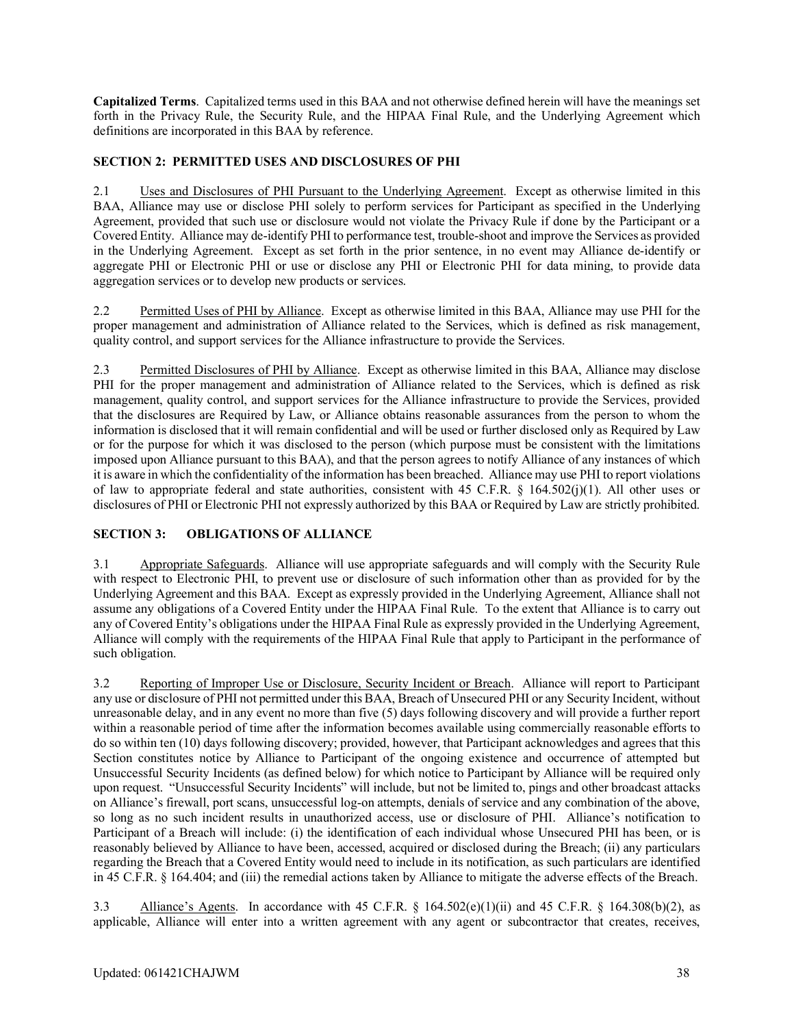**Capitalized Terms**. Capitalized terms used in this BAA and not otherwise defined herein will have the meanings set forth in the Privacy Rule, the Security Rule, and the HIPAA Final Rule, and the Underlying Agreement which definitions are incorporated in this BAA by reference.

#### **SECTION 2: PERMITTED USES AND DISCLOSURES OF PHI**

2.1 Uses and Disclosures of PHI Pursuant to the Underlying Agreement. Except as otherwise limited in this BAA, Alliance may use or disclose PHI solely to perform services for Participant as specified in the Underlying Agreement, provided that such use or disclosure would not violate the Privacy Rule if done by the Participant or a Covered Entity. Alliance may de-identify PHI to performance test, trouble-shoot and improve the Services as provided in the Underlying Agreement. Except as set forth in the prior sentence, in no event may Alliance de-identify or aggregate PHI or Electronic PHI or use or disclose any PHI or Electronic PHI for data mining, to provide data aggregation services or to develop new products or services.

2.2 Permitted Uses of PHI by Alliance. Except as otherwise limited in this BAA, Alliance may use PHI for the proper management and administration of Alliance related to the Services, which is defined as risk management, quality control, and support services for the Alliance infrastructure to provide the Services.

2.3 Permitted Disclosures of PHI by Alliance. Except as otherwise limited in this BAA, Alliance may disclose PHI for the proper management and administration of Alliance related to the Services, which is defined as risk management, quality control, and support services for the Alliance infrastructure to provide the Services, provided that the disclosures are Required by Law, or Alliance obtains reasonable assurances from the person to whom the information is disclosed that it will remain confidential and will be used or further disclosed only as Required by Law or for the purpose for which it was disclosed to the person (which purpose must be consistent with the limitations imposed upon Alliance pursuant to this BAA), and that the person agrees to notify Alliance of any instances of which it is aware in which the confidentiality of the information has been breached. Alliance may use PHI to report violations of law to appropriate federal and state authorities, consistent with 45 C.F.R. § 164.502(j)(1). All other uses or disclosures of PHI or Electronic PHI not expressly authorized by this BAA or Required by Law are strictly prohibited.

#### **SECTION 3: OBLIGATIONS OF ALLIANCE**

3.1 Appropriate Safeguards. Alliance will use appropriate safeguards and will comply with the Security Rule with respect to Electronic PHI, to prevent use or disclosure of such information other than as provided for by the Underlying Agreement and this BAA. Except as expressly provided in the Underlying Agreement, Alliance shall not assume any obligations of a Covered Entity under the HIPAA Final Rule. To the extent that Alliance is to carry out any of Covered Entity's obligations under the HIPAA Final Rule as expressly provided in the Underlying Agreement, Alliance will comply with the requirements of the HIPAA Final Rule that apply to Participant in the performance of such obligation.

3.2 Reporting of Improper Use or Disclosure, Security Incident or Breach. Alliance will report to Participant any use or disclosure of PHI not permitted under this BAA, Breach of Unsecured PHI or any Security Incident, without unreasonable delay, and in any event no more than five (5) days following discovery and will provide a further report within a reasonable period of time after the information becomes available using commercially reasonable efforts to do so within ten (10) days following discovery; provided, however, that Participant acknowledges and agrees that this Section constitutes notice by Alliance to Participant of the ongoing existence and occurrence of attempted but Unsuccessful Security Incidents (as defined below) for which notice to Participant by Alliance will be required only upon request. "Unsuccessful Security Incidents" will include, but not be limited to, pings and other broadcast attacks on Alliance's firewall, port scans, unsuccessful log-on attempts, denials of service and any combination of the above, so long as no such incident results in unauthorized access, use or disclosure of PHI. Alliance's notification to Participant of a Breach will include: (i) the identification of each individual whose Unsecured PHI has been, or is reasonably believed by Alliance to have been, accessed, acquired or disclosed during the Breach; (ii) any particulars regarding the Breach that a Covered Entity would need to include in its notification, as such particulars are identified in 45 C.F.R. § 164.404; and (iii) the remedial actions taken by Alliance to mitigate the adverse effects of the Breach.

3.3 Alliance's Agents. In accordance with 45 C.F.R.  $\S$  164.502(e)(1)(ii) and 45 C.F.R.  $\S$  164.308(b)(2), as applicable, Alliance will enter into a written agreement with any agent or subcontractor that creates, receives,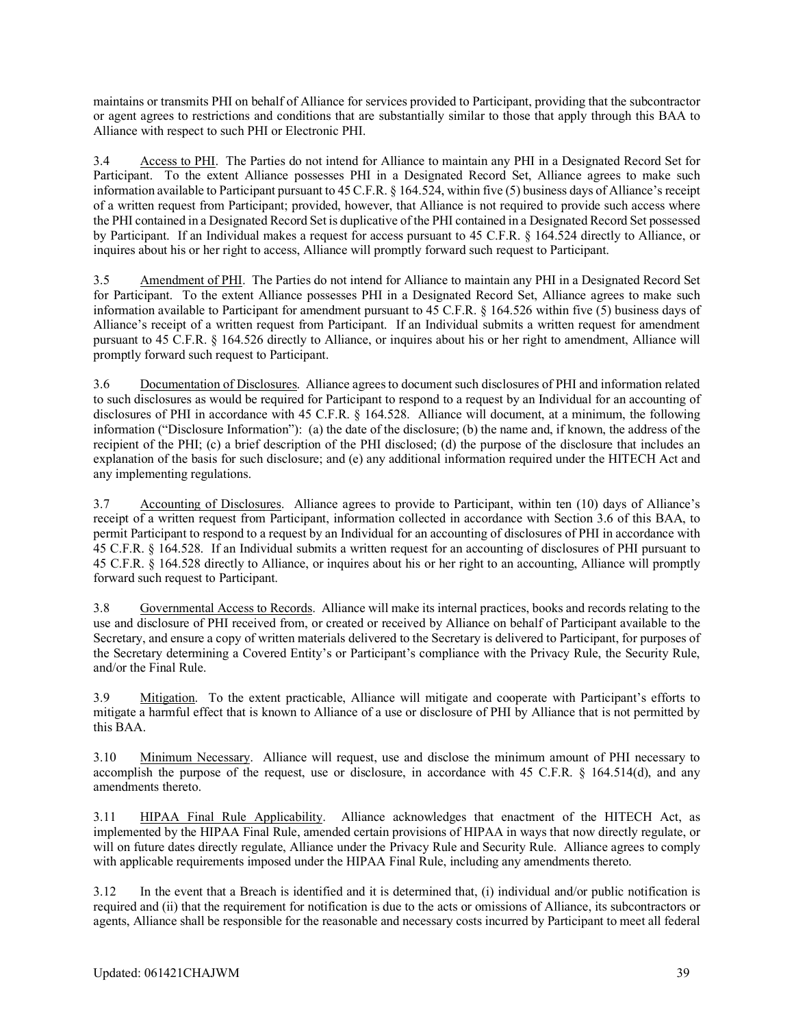maintains or transmits PHI on behalf of Alliance for services provided to Participant, providing that the subcontractor or agent agrees to restrictions and conditions that are substantially similar to those that apply through this BAA to Alliance with respect to such PHI or Electronic PHI.

3.4 Access to PHI. The Parties do not intend for Alliance to maintain any PHI in a Designated Record Set for Participant. To the extent Alliance possesses PHI in a Designated Record Set, Alliance agrees to make such information available to Participant pursuant to 45 C.F.R. § 164.524, within five (5) business days of Alliance's receipt of a written request from Participant; provided, however, that Alliance is not required to provide such access where the PHI contained in a Designated Record Set is duplicative of the PHI contained in a Designated Record Set possessed by Participant. If an Individual makes a request for access pursuant to 45 C.F.R. § 164.524 directly to Alliance, or inquires about his or her right to access, Alliance will promptly forward such request to Participant.

3.5 Amendment of PHI. The Parties do not intend for Alliance to maintain any PHI in a Designated Record Set for Participant. To the extent Alliance possesses PHI in a Designated Record Set, Alliance agrees to make such information available to Participant for amendment pursuant to 45 C.F.R. § 164.526 within five (5) business days of Alliance's receipt of a written request from Participant. If an Individual submits a written request for amendment pursuant to 45 C.F.R. § 164.526 directly to Alliance, or inquires about his or her right to amendment, Alliance will promptly forward such request to Participant.

3.6 Documentation of Disclosures. Alliance agrees to document such disclosures of PHI and information related to such disclosures as would be required for Participant to respond to a request by an Individual for an accounting of disclosures of PHI in accordance with 45 C.F.R. § 164.528. Alliance will document, at a minimum, the following information ("Disclosure Information"): (a) the date of the disclosure; (b) the name and, if known, the address of the recipient of the PHI; (c) a brief description of the PHI disclosed; (d) the purpose of the disclosure that includes an explanation of the basis for such disclosure; and (e) any additional information required under the HITECH Act and any implementing regulations.

3.7 Accounting of Disclosures. Alliance agrees to provide to Participant, within ten (10) days of Alliance's receipt of a written request from Participant, information collected in accordance with Section 3.6 of this BAA, to permit Participant to respond to a request by an Individual for an accounting of disclosures of PHI in accordance with 45 C.F.R. § 164.528. If an Individual submits a written request for an accounting of disclosures of PHI pursuant to 45 C.F.R. § 164.528 directly to Alliance, or inquires about his or her right to an accounting, Alliance will promptly forward such request to Participant.

3.8 Governmental Access to Records. Alliance will make its internal practices, books and records relating to the use and disclosure of PHI received from, or created or received by Alliance on behalf of Participant available to the Secretary, and ensure a copy of written materials delivered to the Secretary is delivered to Participant, for purposes of the Secretary determining a Covered Entity's or Participant's compliance with the Privacy Rule, the Security Rule, and/or the Final Rule.

3.9 Mitigation. To the extent practicable, Alliance will mitigate and cooperate with Participant's efforts to mitigate a harmful effect that is known to Alliance of a use or disclosure of PHI by Alliance that is not permitted by this BAA.

3.10 Minimum Necessary. Alliance will request, use and disclose the minimum amount of PHI necessary to accomplish the purpose of the request, use or disclosure, in accordance with 45 C.F.R. § 164.514(d), and any amendments thereto.

3.11 HIPAA Final Rule Applicability. Alliance acknowledges that enactment of the HITECH Act, as implemented by the HIPAA Final Rule, amended certain provisions of HIPAA in ways that now directly regulate, or will on future dates directly regulate, Alliance under the Privacy Rule and Security Rule. Alliance agrees to comply with applicable requirements imposed under the HIPAA Final Rule, including any amendments thereto.

3.12 In the event that a Breach is identified and it is determined that, (i) individual and/or public notification is required and (ii) that the requirement for notification is due to the acts or omissions of Alliance, its subcontractors or agents, Alliance shall be responsible for the reasonable and necessary costs incurred by Participant to meet all federal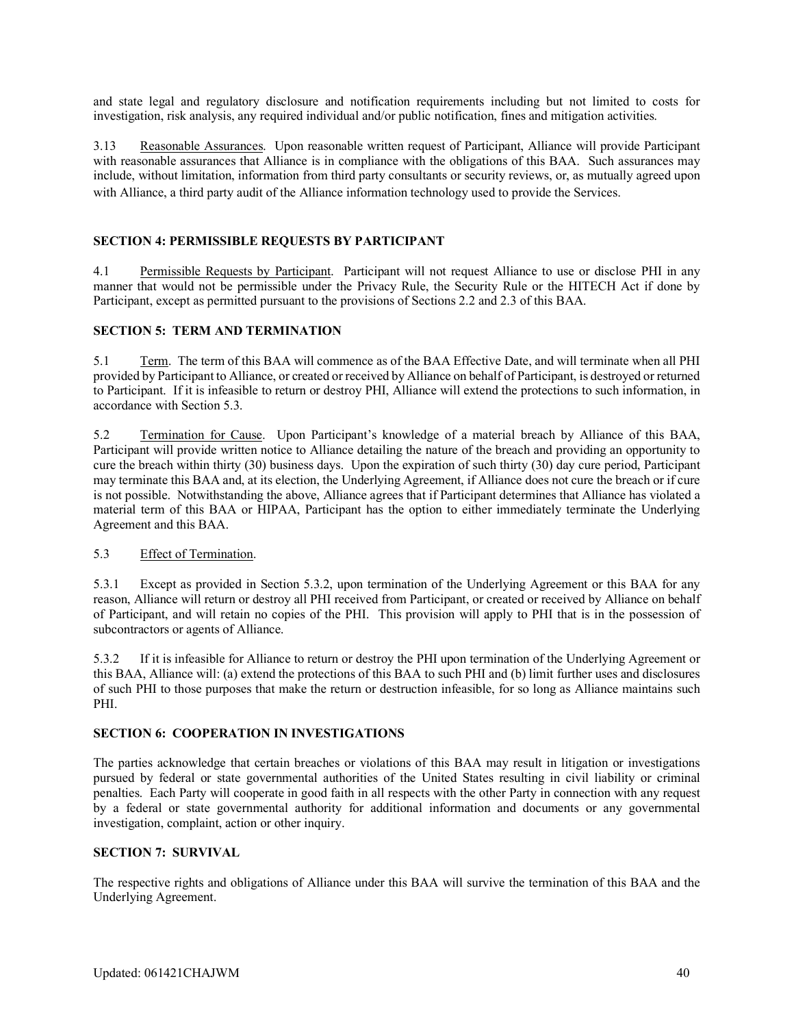and state legal and regulatory disclosure and notification requirements including but not limited to costs for investigation, risk analysis, any required individual and/or public notification, fines and mitigation activities.

3.13 Reasonable Assurances. Upon reasonable written request of Participant, Alliance will provide Participant with reasonable assurances that Alliance is in compliance with the obligations of this BAA. Such assurances may include, without limitation, information from third party consultants or security reviews, or, as mutually agreed upon with Alliance, a third party audit of the Alliance information technology used to provide the Services.

#### **SECTION 4: PERMISSIBLE REQUESTS BY PARTICIPANT**

4.1 Permissible Requests by Participant. Participant will not request Alliance to use or disclose PHI in any manner that would not be permissible under the Privacy Rule, the Security Rule or the HITECH Act if done by Participant, except as permitted pursuant to the provisions of Sections 2.2 and 2.3 of this BAA.

#### **SECTION 5: TERM AND TERMINATION**

5.1 Term. The term of this BAA will commence as of the BAA Effective Date, and will terminate when all PHI provided by Participant to Alliance, or created or received by Alliance on behalf of Participant, is destroyed or returned to Participant. If it is infeasible to return or destroy PHI, Alliance will extend the protections to such information, in accordance with Section 5.3.

5.2 Termination for Cause. Upon Participant's knowledge of a material breach by Alliance of this BAA, Participant will provide written notice to Alliance detailing the nature of the breach and providing an opportunity to cure the breach within thirty (30) business days. Upon the expiration of such thirty (30) day cure period, Participant may terminate this BAA and, at its election, the Underlying Agreement, if Alliance does not cure the breach or if cure is not possible. Notwithstanding the above, Alliance agrees that if Participant determines that Alliance has violated a material term of this BAA or HIPAA, Participant has the option to either immediately terminate the Underlying Agreement and this BAA.

#### 5.3 Effect of Termination.

5.3.1 Except as provided in Section 5.3.2, upon termination of the Underlying Agreement or this BAA for any reason, Alliance will return or destroy all PHI received from Participant, or created or received by Alliance on behalf of Participant, and will retain no copies of the PHI. This provision will apply to PHI that is in the possession of subcontractors or agents of Alliance.

5.3.2 If it is infeasible for Alliance to return or destroy the PHI upon termination of the Underlying Agreement or this BAA, Alliance will: (a) extend the protections of this BAA to such PHI and (b) limit further uses and disclosures of such PHI to those purposes that make the return or destruction infeasible, for so long as Alliance maintains such PHI.

#### **SECTION 6: COOPERATION IN INVESTIGATIONS**

The parties acknowledge that certain breaches or violations of this BAA may result in litigation or investigations pursued by federal or state governmental authorities of the United States resulting in civil liability or criminal penalties. Each Party will cooperate in good faith in all respects with the other Party in connection with any request by a federal or state governmental authority for additional information and documents or any governmental investigation, complaint, action or other inquiry.

#### **SECTION 7: SURVIVAL**

The respective rights and obligations of Alliance under this BAA will survive the termination of this BAA and the Underlying Agreement.